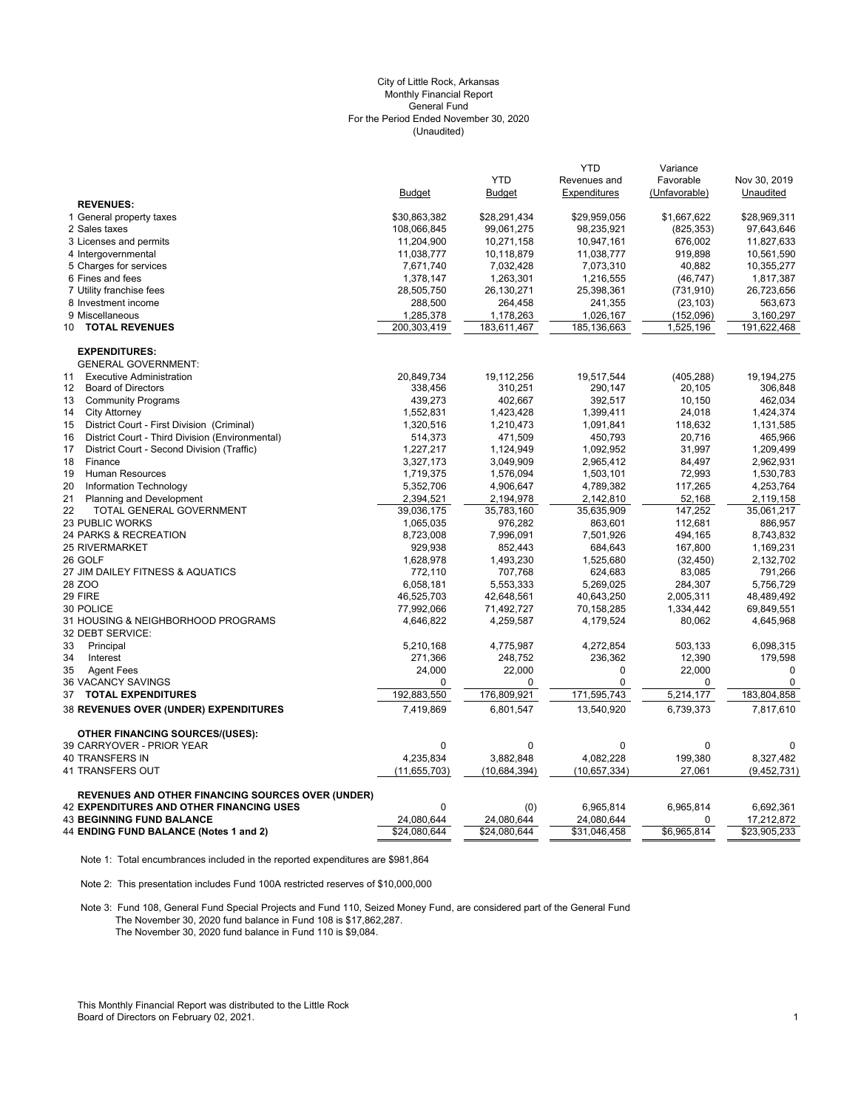## (Unaudited) City of Little Rock, Arkansas Monthly Financial Report General Fund For the Period Ended November 30, 2020

|                                                        |                      |                      | <b>YTD</b>           | Variance            |               |
|--------------------------------------------------------|----------------------|----------------------|----------------------|---------------------|---------------|
|                                                        |                      | <b>YTD</b>           | Revenues and         | Favorable           | Nov 30, 2019  |
|                                                        | <b>Budget</b>        | <b>Budget</b>        | Expenditures         | (Unfavorable)       | Unaudited     |
| <b>REVENUES:</b>                                       |                      |                      |                      |                     |               |
| 1 General property taxes                               | \$30,863,382         | \$28,291,434         | \$29,959,056         | \$1,667,622         | \$28,969,311  |
| 2 Sales taxes                                          | 108,066,845          | 99,061,275           | 98,235,921           | (825, 353)          | 97,643,646    |
| 3 Licenses and permits                                 | 11,204,900           | 10,271,158           | 10,947,161           | 676,002             | 11,827,633    |
| 4 Intergovernmental                                    | 11,038,777           | 10,118,879           | 11,038,777           | 919,898             | 10,561,590    |
| 5 Charges for services                                 | 7,671,740            | 7,032,428            | 7,073,310            | 40,882              | 10,355,277    |
| 6 Fines and fees                                       | 1,378,147            | 1,263,301            | 1,216,555            | (46, 747)           | 1,817,387     |
| 7 Utility franchise fees                               | 28,505,750           | 26,130,271           | 25,398,361           | (731, 910)          | 26,723,656    |
| 8 Investment income                                    | 288,500              | 264,458              | 241,355              | (23, 103)           | 563,673       |
| 9 Miscellaneous                                        | 1,285,378            | 1,178,263            | 1,026,167            | (152,096)           | 3,160,297     |
| <b>TOTAL REVENUES</b><br>10                            | 200,303,419          | 183,611,467          | 185,136,663          | 1,525,196           | 191,622,468   |
| <b>EXPENDITURES:</b>                                   |                      |                      |                      |                     |               |
| <b>GENERAL GOVERNMENT:</b>                             |                      |                      |                      |                     |               |
| <b>Executive Administration</b><br>11                  | 20,849,734           | 19,112,256           | 19,517,544           | (405, 288)          | 19,194,275    |
| <b>Board of Directors</b><br>$12 \overline{ }$         | 338,456              | 310,251              | 290,147              | 20,105              | 306,848       |
| <b>Community Programs</b><br>13                        | 439,273              | 402,667              | 392,517              | 10,150              | 462,034       |
| <b>City Attorney</b><br>14                             | 1,552,831            | 1,423,428            | 1,399,411            | 24,018              | 1,424,374     |
| District Court - First Division (Criminal)<br>15       | 1,320,516            | 1,210,473            | 1,091,841            | 118,632             | 1,131,585     |
| District Court - Third Division (Environmental)<br>16  | 514,373              | 471,509              | 450,793              | 20,716              | 465,966       |
| 17<br>District Court - Second Division (Traffic)       | 1,227,217            | 1,124,949            | 1,092,952            | 31,997              | 1,209,499     |
| 18<br>Finance                                          | 3,327,173            | 3,049,909            | 2,965,412            | 84,497              | 2,962,931     |
| 19<br>Human Resources                                  | 1,719,375            | 1,576,094            | 1,503,101            | 72,993              | 1,530,783     |
| 20<br>Information Technology                           | 5,352,706            | 4,906,647            | 4,789,382            | 117,265             | 4,253,764     |
| 21<br><b>Planning and Development</b>                  | 2,394,521            | 2,194,978            | 2,142,810            | 52,168              | 2,119,158     |
| 22<br>TOTAL GENERAL GOVERNMENT                         | 39,036,175           | 35,783,160           | 35,635,909           | 147,252             | 35,061,217    |
| 23 PUBLIC WORKS                                        | 1,065,035            | 976,282              | 863,601              | 112,681             | 886,957       |
| 24 PARKS & RECREATION                                  | 8,723,008            | 7,996,091            | 7,501,926            | 494,165             | 8,743,832     |
| <b>25 RIVERMARKET</b>                                  |                      |                      |                      | 167,800             | 1,169,231     |
| 26 GOLF                                                | 929,938<br>1,628,978 | 852,443<br>1,493,230 | 684,643<br>1,525,680 |                     | 2,132,702     |
| 27 JIM DAILEY FITNESS & AQUATICS                       |                      | 707,768              |                      | (32, 450)<br>83,085 | 791,266       |
|                                                        | 772,110              |                      | 624,683              |                     |               |
| 28 ZOO                                                 | 6,058,181            | 5,553,333            | 5,269,025            | 284,307             | 5,756,729     |
| 29 FIRE                                                | 46,525,703           | 42,648,561           | 40,643,250           | 2,005,311           | 48,489,492    |
| 30 POLICE                                              | 77,992,066           | 71,492,727           | 70,158,285           | 1,334,442           | 69,849,551    |
| 31 HOUSING & NEIGHBORHOOD PROGRAMS<br>32 DEBT SERVICE: | 4,646,822            | 4,259,587            | 4,179,524            | 80,062              | 4,645,968     |
| 33<br>Principal                                        | 5,210,168            | 4,775,987            | 4,272,854            | 503,133             | 6,098,315     |
| 34<br>Interest                                         | 271,366              | 248,752              | 236,362              | 12,390              | 179,598       |
| 35<br><b>Agent Fees</b>                                | 24,000               | 22,000               | 0                    | 22,000              | $\mathbf 0$   |
| 36 VACANCY SAVINGS                                     | 0                    | 0                    | 0                    | 0                   | $\mathbf 0$   |
| <b>TOTAL EXPENDITURES</b><br>37                        | 192,883,550          | 176,809,921          | 171,595,743          | 5,214,177           | 183,804,858   |
| 38 REVENUES OVER (UNDER) EXPENDITURES                  | 7,419,869            | 6,801,547            | 13,540,920           | 6,739,373           | 7,817,610     |
|                                                        |                      |                      |                      |                     |               |
| <b>OTHER FINANCING SOURCES/(USES):</b>                 |                      |                      |                      |                     |               |
| 39 CARRYOVER - PRIOR YEAR                              | 0                    | $\mathbf 0$          | 0                    | 0                   | 0             |
| 40 TRANSFERS IN                                        | 4,235,834            | 3,882,848            | 4,082,228            | 199,380             | 8,327,482     |
| 41 TRANSFERS OUT                                       | (11, 655, 703)       | (10,684,394)         | (10, 657, 334)       | 27,061              | (9, 452, 731) |
| REVENUES AND OTHER FINANCING SOURCES OVER (UNDER)      |                      |                      |                      |                     |               |
| <b>42 EXPENDITURES AND OTHER FINANCING USES</b>        | $\Omega$             | (0)                  | 6,965,814            | 6,965,814           | 6,692,361     |
| <b>43 BEGINNING FUND BALANCE</b>                       | 24,080,644           | 24,080,644           | 24,080,644           | 0                   | 17,212,872    |
| 44 ENDING FUND BALANCE (Notes 1 and 2)                 | \$24.080.644         | \$24.080.644         | \$31,046,458         | \$6,965,814         | \$23,905,233  |

Note 1: Total encumbrances included in the reported expenditures are \$981,864

Note 2: This presentation includes Fund 100A restricted reserves of \$10,000,000

Note 3: Fund 108, General Fund Special Projects and Fund 110, Seized Money Fund, are considered part of the General Fund The November 30, 2020 fund balance in Fund 108 is \$17,862,287. The November 30, 2020 fund balance in Fund 110 is \$9,084.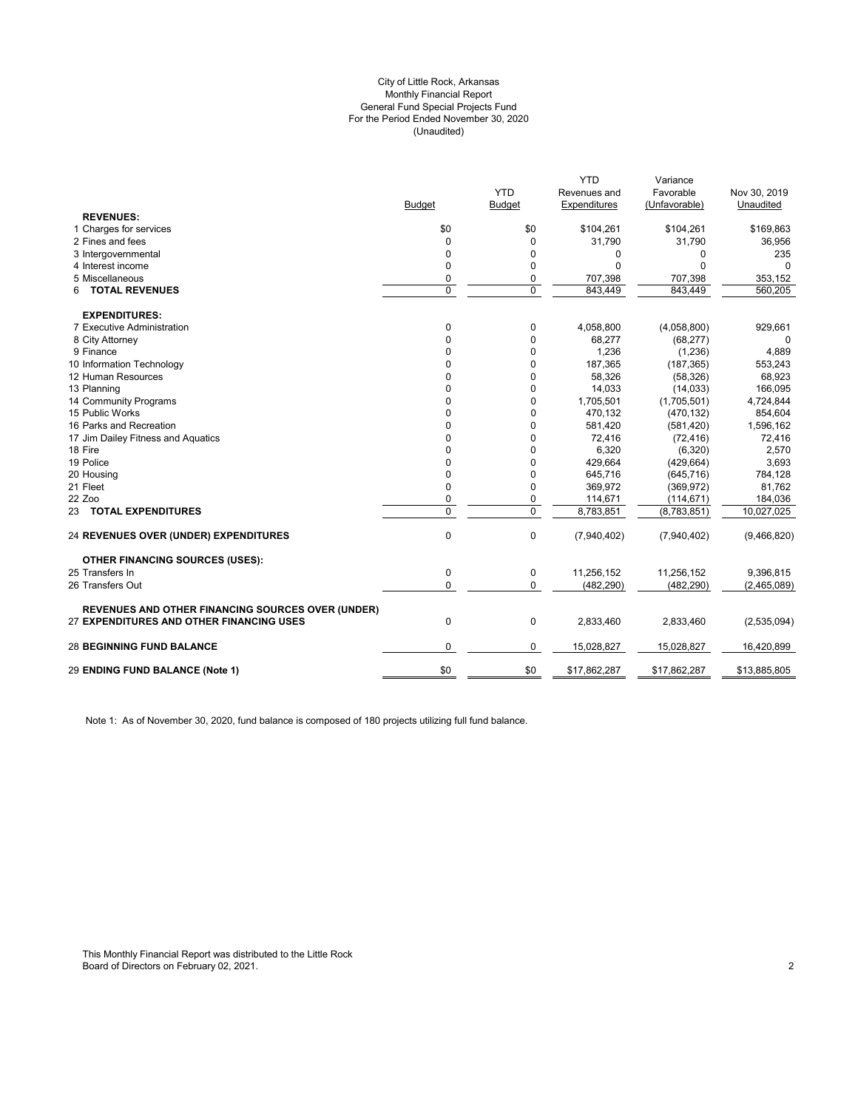## (Unaudited) City of Little Rock, Arkansas Monthly Financial Report General Fund Special Projects Fund For the Period Ended November 30, 2020

|                                                          |               | <b>YTD</b>    | <b>YTD</b>                   | Variance<br>Favorable |                           |
|----------------------------------------------------------|---------------|---------------|------------------------------|-----------------------|---------------------------|
|                                                          | <b>Budget</b> |               | Revenues and<br>Expenditures | (Unfavorable)         | Nov 30, 2019<br>Unaudited |
| <b>REVENUES:</b>                                         |               | <b>Budget</b> |                              |                       |                           |
| 1 Charges for services                                   | \$0           | \$0           | \$104,261                    | \$104,261             | \$169,863                 |
| 2 Fines and fees                                         | 0             | $\mathbf 0$   | 31,790                       | 31,790                | 36,956                    |
| 3 Intergovernmental                                      | 0             | $\mathbf 0$   | 0                            | 0                     | 235                       |
| 4 Interest income                                        | 0             | $\mathbf{0}$  | 0                            | $\Omega$              | $\Omega$                  |
| 5 Miscellaneous                                          | 0             | $\mathbf 0$   | 707,398                      | 707,398               | 353,152                   |
| <b>TOTAL REVENUES</b><br>6                               | $\Omega$      | $\Omega$      | 843.449                      | 843.449               | 560.205                   |
| <b>EXPENDITURES:</b>                                     |               |               |                              |                       |                           |
| 7 Executive Administration                               | 0             | 0             | 4,058,800                    | (4,058,800)           | 929,661                   |
| 8 City Attorney                                          | 0             | $\mathbf{0}$  | 68,277                       | (68, 277)             | 0                         |
| 9 Finance                                                | 0             | $\mathbf 0$   | 1,236                        | (1,236)               | 4,889                     |
| 10 Information Technology                                | 0             | 0             | 187,365                      | (187, 365)            | 553,243                   |
| 12 Human Resources                                       | 0             | 0             | 58,326                       | (58, 326)             | 68,923                    |
| 13 Planning                                              | $\Omega$      | $\mathbf{0}$  | 14,033                       | (14, 033)             | 166,095                   |
| 14 Community Programs                                    | $\Omega$      | $\Omega$      | 1,705,501                    | (1,705,501)           | 4,724,844                 |
| 15 Public Works                                          | $\Omega$      | $\mathbf 0$   | 470,132                      | (470, 132)            | 854,604                   |
| 16 Parks and Recreation                                  | 0             | 0             | 581,420                      | (581, 420)            | 1,596,162                 |
| 17 Jim Dailey Fitness and Aquatics                       | 0             | 0             | 72,416                       | (72, 416)             | 72,416                    |
| 18 Fire                                                  | $\Omega$      | $\Omega$      | 6,320                        | (6,320)               | 2,570                     |
| 19 Police                                                | $\Omega$      | $\Omega$      | 429,664                      | (429, 664)            | 3,693                     |
| 20 Housing                                               | 0             | $\mathbf{0}$  | 645,716                      | (645, 716)            | 784,128                   |
| 21 Fleet                                                 | 0             | $\mathbf{0}$  | 369,972                      | (369, 972)            | 81,762                    |
| 22 Zoo                                                   | 0             | 0             | 114,671                      | (114, 671)            | 184,036                   |
| 23 TOTAL EXPENDITURES                                    | 0             | $\mathbf 0$   | 8,783,851                    | (8,783,851)           | 10,027,025                |
| 24 REVENUES OVER (UNDER) EXPENDITURES                    | 0             | 0             | (7,940,402)                  | (7,940,402)           | (9,466,820)               |
| <b>OTHER FINANCING SOURCES (USES):</b>                   |               |               |                              |                       |                           |
| 25 Transfers In                                          | 0             | 0             | 11,256,152                   | 11,256,152            | 9.396.815                 |
| 26 Transfers Out                                         | $\Omega$      | 0             | (482, 290)                   | (482, 290)            | (2,465,089)               |
| <b>REVENUES AND OTHER FINANCING SOURCES OVER (UNDER)</b> |               |               |                              |                       |                           |
| 27 EXPENDITURES AND OTHER FINANCING USES                 | 0             | 0             | 2,833,460                    | 2,833,460             | (2,535,094)               |
| <b>28 BEGINNING FUND BALANCE</b>                         | 0             | 0             | 15,028,827                   | 15,028,827            | 16,420,899                |
| 29 ENDING FUND BALANCE (Note 1)                          | \$0           | \$0           | \$17,862,287                 | \$17,862,287          | \$13,885,805              |
|                                                          |               |               |                              |                       |                           |

Note 1: As of November 30, 2020, fund balance is composed of 180 projects utilizing full fund balance.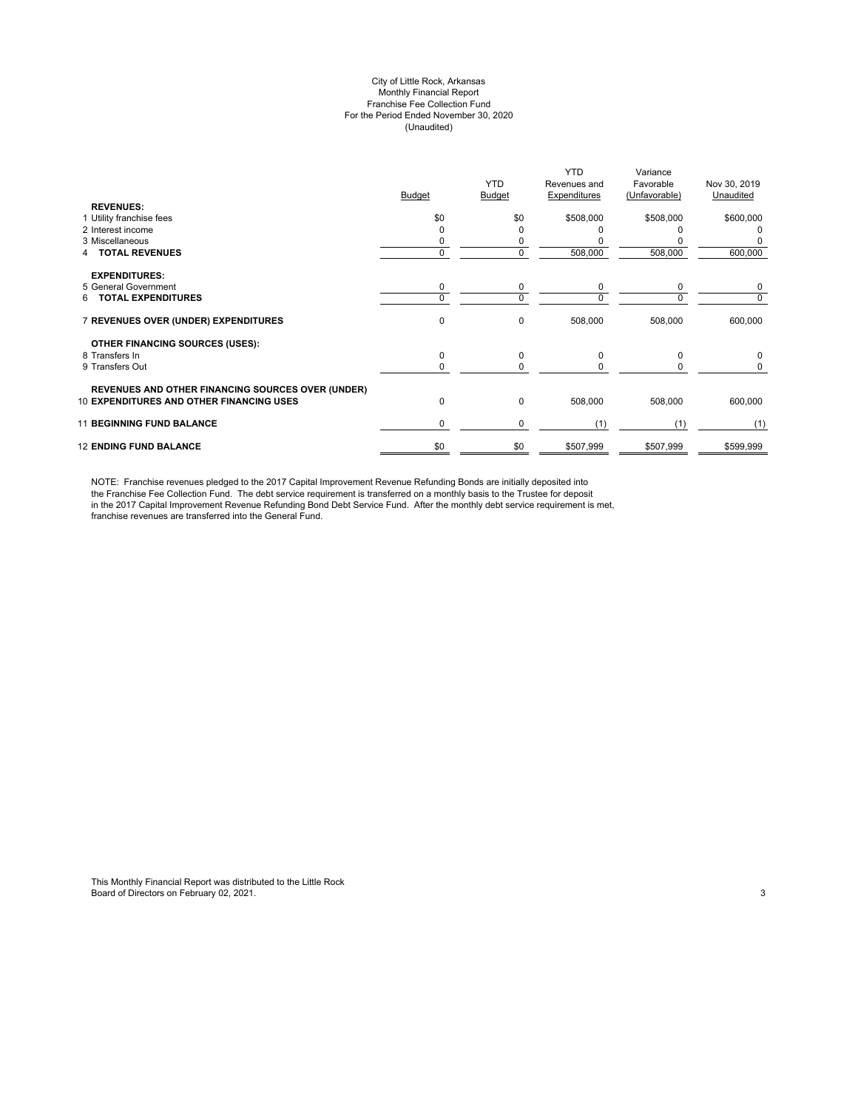#### City of Little Rock, Arkansas Monthly Financial Report Franchise Fee Collection Fund For the Period Ended November 30, 2020 (Unaudited)

|                                                          |          | <b>YTD</b>    | <b>YTD</b><br>Revenues and | Variance<br>Favorable | Nov 30, 2019 |
|----------------------------------------------------------|----------|---------------|----------------------------|-----------------------|--------------|
|                                                          | Budget   | <b>Budget</b> | Expenditures               | (Unfavorable)         | Unaudited    |
| <b>REVENUES:</b>                                         |          |               |                            |                       |              |
| 1 Utility franchise fees                                 | \$0      | \$0           | \$508,000                  | \$508,000             | \$600,000    |
| 2 Interest income                                        |          | ŋ             |                            |                       |              |
| 3 Miscellaneous                                          |          | 0             |                            |                       |              |
| <b>TOTAL REVENUES</b>                                    | $\Omega$ | 0             | 508,000                    | 508,000               | 600,000      |
|                                                          |          |               |                            |                       |              |
| <b>EXPENDITURES:</b>                                     |          |               |                            |                       |              |
| 5 General Government                                     | 0        | 0             | 0                          | 0                     | 0            |
| <b>TOTAL EXPENDITURES</b><br>6.                          | $\Omega$ | 0             | $\Omega$                   | 0                     | 0            |
| 7 REVENUES OVER (UNDER) EXPENDITURES                     | 0        | 0             | 508,000                    | 508,000               | 600,000      |
| <b>OTHER FINANCING SOURCES (USES):</b>                   |          |               |                            |                       |              |
| 8 Transfers In                                           | 0        | 0             | 0                          | $\Omega$              | 0            |
| 9 Transfers Out                                          | $\Omega$ | 0             | $\Omega$                   | <sup>0</sup>          | 0            |
|                                                          |          |               |                            |                       |              |
| <b>REVENUES AND OTHER FINANCING SOURCES OVER (UNDER)</b> |          |               |                            |                       |              |
| <b>10 EXPENDITURES AND OTHER FINANCING USES</b>          | 0        | 0             | 508,000                    | 508,000               | 600,000      |
| <b>11 BEGINNING FUND BALANCE</b>                         | 0        | 0             | (1)                        | (1)                   | (1)          |
| <b>12 ENDING FUND BALANCE</b>                            | \$0      | \$0           | \$507,999                  | \$507,999             | \$599,999    |

NOTE: Franchise revenues pledged to the 2017 Capital Improvement Revenue Refunding Bonds are initially deposited into the Franchise Fee Collection Fund. The debt service requirement is transferred on a monthly basis to the Trustee for deposit in the 2017 Capital Improvement Revenue Refunding Bond Debt Service Fund. After the monthly debt service requirement is met, franchise revenues are transferred into the General Fund.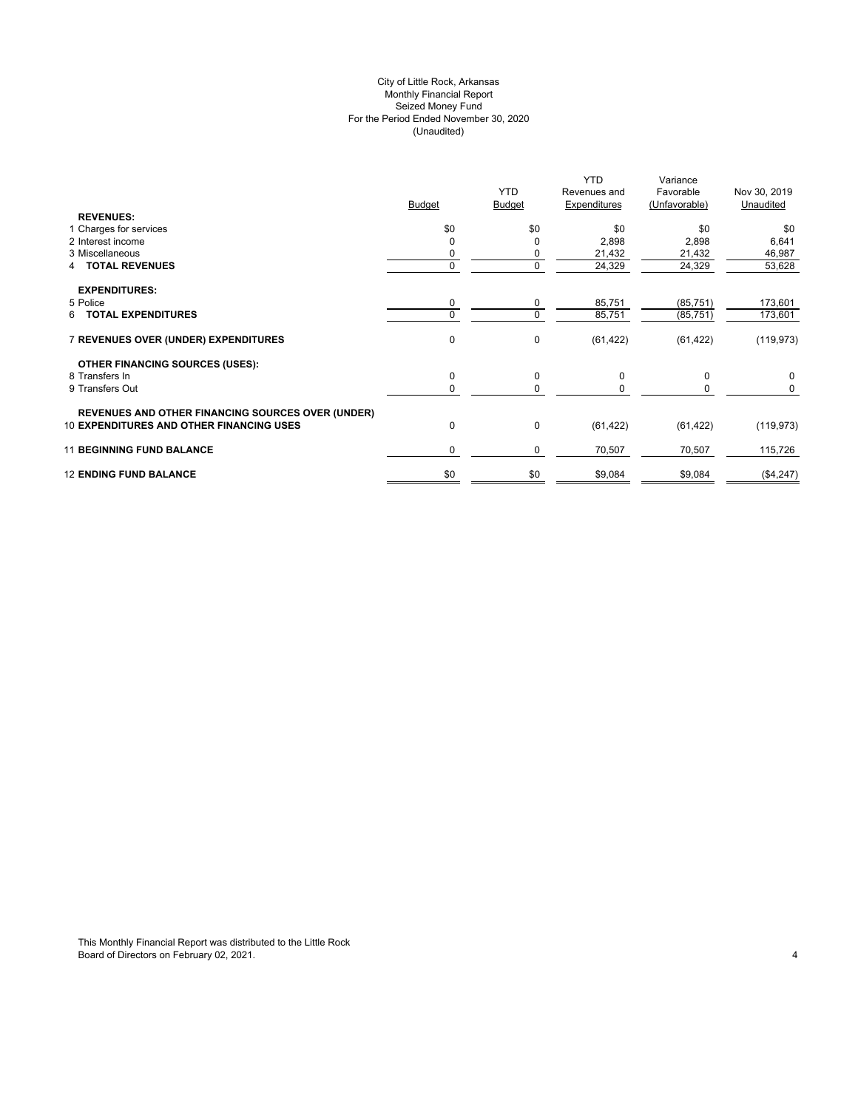## City of Little Rock, Arkansas (Unaudited) For the Period Ended November 30, 2020 Seized Money Fund Monthly Financial Report

| <b>REVENUES:</b>                                         | <b>Budget</b> | <b>YTD</b><br><b>Budget</b> | <b>YTD</b><br>Revenues and<br>Expenditures | Variance<br>Favorable<br>(Unfavorable) | Nov 30, 2019<br>Unaudited |
|----------------------------------------------------------|---------------|-----------------------------|--------------------------------------------|----------------------------------------|---------------------------|
| 1 Charges for services                                   | \$0           | \$0                         | \$0                                        | \$0                                    | \$0                       |
| 2 Interest income                                        |               | 0                           | 2,898                                      | 2,898                                  | 6,641                     |
| 3 Miscellaneous                                          |               | 0                           | 21,432                                     | 21,432                                 | 46,987                    |
| <b>4 TOTAL REVENUES</b>                                  |               | 0                           | 24,329                                     | 24,329                                 | 53,628                    |
| <b>EXPENDITURES:</b>                                     |               |                             |                                            |                                        |                           |
| 5 Police                                                 | 0             | 0                           | 85,751                                     | (85, 751)                              | 173,601                   |
| <b>TOTAL EXPENDITURES</b><br>6                           |               | 0                           | 85,751                                     | (85, 751)                              | 173,601                   |
| 7 REVENUES OVER (UNDER) EXPENDITURES                     | $\mathbf 0$   | 0                           | (61, 422)                                  | (61, 422)                              | (119, 973)                |
| <b>OTHER FINANCING SOURCES (USES):</b>                   |               |                             |                                            |                                        |                           |
| 8 Transfers In                                           | 0             | 0                           | 0                                          | $\mathbf 0$                            | 0                         |
| 9 Transfers Out                                          | 0             | 0                           | 0                                          | 0                                      | 0                         |
| <b>REVENUES AND OTHER FINANCING SOURCES OVER (UNDER)</b> |               |                             |                                            |                                        |                           |
| <b>10 EXPENDITURES AND OTHER FINANCING USES</b>          | $\mathbf 0$   | 0                           | (61, 422)                                  | (61, 422)                              | (119, 973)                |
| <b>11 BEGINNING FUND BALANCE</b>                         | 0             | 0                           | 70,507                                     | 70,507                                 | 115,726                   |
| <b>12 ENDING FUND BALANCE</b>                            | \$0           | \$0                         | \$9,084                                    | \$9,084                                | (\$4,247)                 |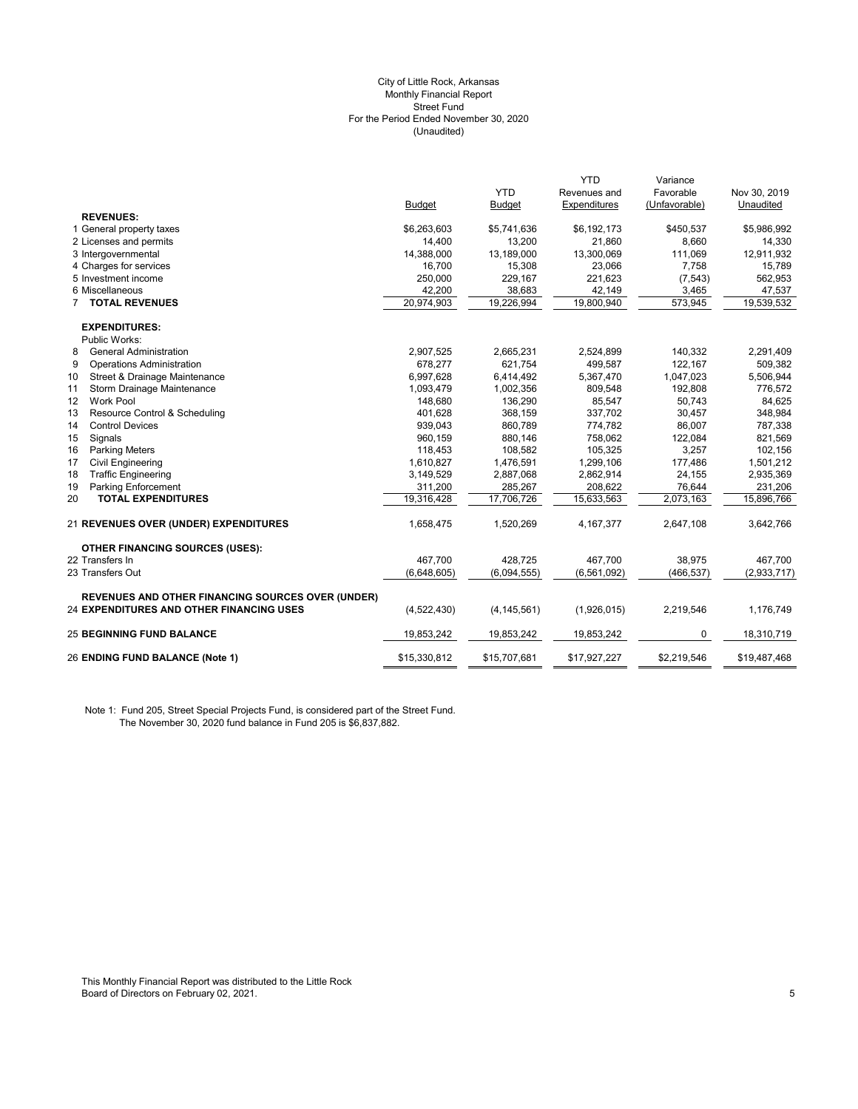#### (Unaudited) City of Little Rock, Arkansas Monthly Financial Report Street Fund For the Period Ended November 30, 2020

|                                                          |               |               | <b>YTD</b>    | Variance      |              |
|----------------------------------------------------------|---------------|---------------|---------------|---------------|--------------|
|                                                          |               | <b>YTD</b>    | Revenues and  | Favorable     | Nov 30, 2019 |
|                                                          | <b>Budget</b> | Budget        | Expenditures  | (Unfavorable) | Unaudited    |
| <b>REVENUES:</b>                                         |               |               |               |               |              |
| 1 General property taxes                                 | \$6,263,603   | \$5,741,636   | \$6,192,173   | \$450,537     | \$5,986,992  |
| 2 Licenses and permits                                   | 14,400        | 13,200        | 21,860        | 8,660         | 14,330       |
| 3 Intergovernmental                                      | 14,388,000    | 13,189,000    | 13,300,069    | 111,069       | 12,911,932   |
| 4 Charges for services                                   | 16.700        | 15,308        | 23,066        | 7,758         | 15,789       |
| 5 Investment income                                      | 250,000       | 229,167       | 221,623       | (7, 543)      | 562,953      |
| 6 Miscellaneous                                          | 42,200        | 38,683        | 42,149        | 3,465         | 47,537       |
| <b>7 TOTAL REVENUES</b>                                  | 20,974,903    | 19,226,994    | 19,800,940    | 573,945       | 19,539,532   |
| <b>EXPENDITURES:</b>                                     |               |               |               |               |              |
| Public Works:                                            |               |               |               |               |              |
| 8<br><b>General Administration</b>                       | 2,907,525     | 2,665,231     | 2,524,899     | 140,332       | 2,291,409    |
| 9<br><b>Operations Administration</b>                    | 678,277       | 621,754       | 499,587       | 122,167       | 509,382      |
| Street & Drainage Maintenance<br>10                      | 6,997,628     | 6,414,492     | 5,367,470     | 1,047,023     | 5,506,944    |
| 11<br>Storm Drainage Maintenance                         | 1,093,479     | 1,002,356     | 809,548       | 192,808       | 776,572      |
| 12<br><b>Work Pool</b>                                   | 148,680       | 136,290       | 85,547        | 50,743        | 84,625       |
| Resource Control & Scheduling<br>13                      | 401,628       | 368,159       | 337,702       | 30,457        | 348,984      |
| 14<br><b>Control Devices</b>                             | 939,043       | 860,789       | 774,782       | 86,007        | 787,338      |
| 15<br>Signals                                            | 960,159       | 880,146       | 758,062       | 122,084       | 821,569      |
| 16<br><b>Parking Meters</b>                              | 118,453       | 108,582       | 105,325       | 3,257         | 102,156      |
| 17<br><b>Civil Engineering</b>                           | 1,610,827     | 1,476,591     | 1,299,106     | 177,486       | 1,501,212    |
| <b>Traffic Engineering</b><br>18                         | 3,149,529     | 2,887,068     | 2,862,914     | 24,155        | 2,935,369    |
| Parking Enforcement<br>19                                | 311,200       | 285,267       | 208,622       | 76,644        | 231,206      |
| <b>TOTAL EXPENDITURES</b><br>20                          | 19,316,428    | 17,706,726    | 15,633,563    | 2,073,163     | 15,896,766   |
| 21 REVENUES OVER (UNDER) EXPENDITURES                    | 1,658,475     | 1,520,269     | 4, 167, 377   | 2,647,108     | 3,642,766    |
| <b>OTHER FINANCING SOURCES (USES):</b>                   |               |               |               |               |              |
| 22 Transfers In                                          | 467.700       | 428,725       | 467,700       | 38,975        | 467,700      |
| 23 Transfers Out                                         | (6,648,605)   | (6,094,555)   | (6, 561, 092) | (466, 537)    | (2,933,717)  |
| <b>REVENUES AND OTHER FINANCING SOURCES OVER (UNDER)</b> |               |               |               |               |              |
| 24 EXPENDITURES AND OTHER FINANCING USES                 | (4,522,430)   | (4, 145, 561) | (1,926,015)   | 2,219,546     | 1,176,749    |
| <b>25 BEGINNING FUND BALANCE</b>                         | 19,853,242    | 19,853,242    | 19,853,242    | 0             | 18,310,719   |
| 26 ENDING FUND BALANCE (Note 1)                          | \$15,330,812  | \$15,707,681  | \$17,927,227  | \$2,219,546   | \$19,487,468 |

Note 1: Fund 205, Street Special Projects Fund, is considered part of the Street Fund. The November 30, 2020 fund balance in Fund 205 is \$6,837,882.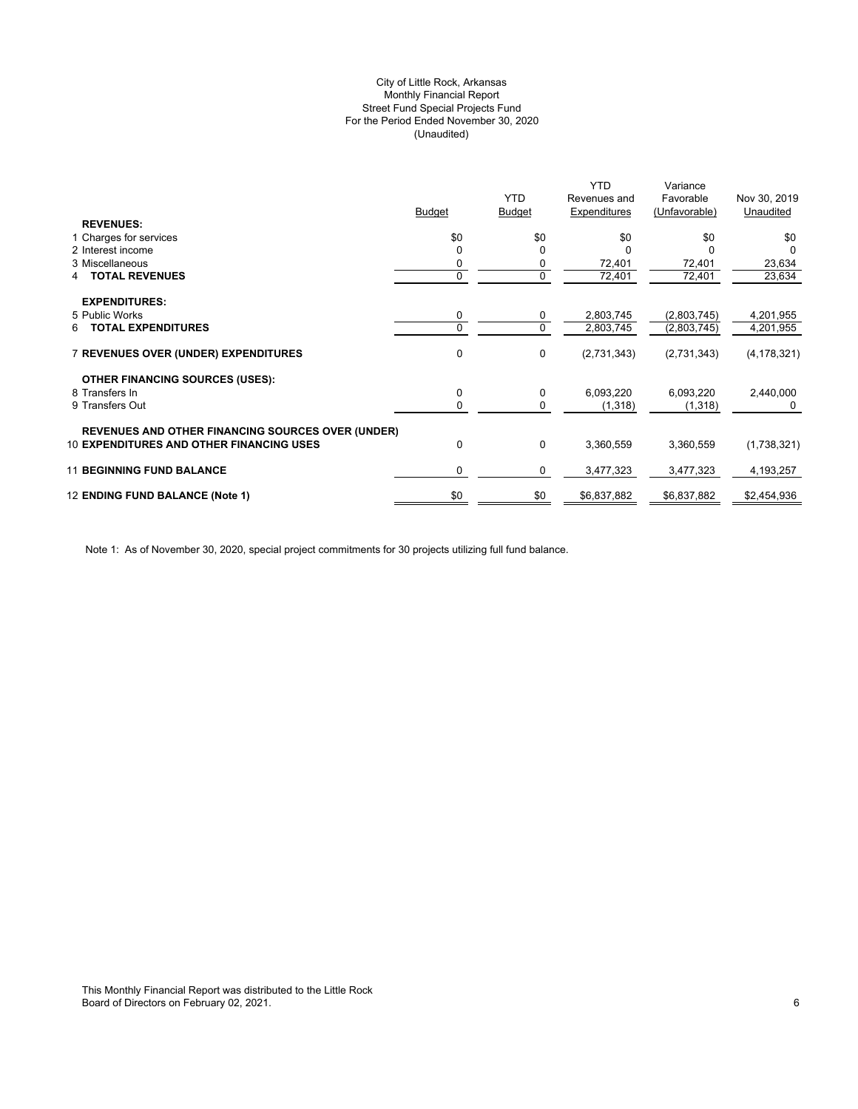## (Unaudited) City of Little Rock, Arkansas Monthly Financial Report Street Fund Special Projects Fund For the Period Ended November 30, 2020

|                                                          |             |                | <b>YTD</b>   | Variance      |               |
|----------------------------------------------------------|-------------|----------------|--------------|---------------|---------------|
|                                                          |             | <b>YTD</b>     | Revenues and | Favorable     | Nov 30, 2019  |
|                                                          | Budget      | <b>Budget</b>  | Expenditures | (Unfavorable) | Unaudited     |
| <b>REVENUES:</b>                                         |             |                |              |               |               |
| 1 Charges for services                                   | \$0         | \$0            | \$0          | \$0           | \$0           |
| 2 Interest income                                        |             | $\Omega$       |              |               |               |
| 3 Miscellaneous                                          | 0           | 0              | 72,401       | 72,401        | 23,634        |
| <b>TOTAL REVENUES</b><br>4                               | $\mathbf 0$ | $\overline{0}$ | 72,401       | 72,401        | 23,634        |
|                                                          |             |                |              |               |               |
| <b>EXPENDITURES:</b>                                     |             |                |              |               |               |
| 5 Public Works                                           | 0           | 0              | 2,803,745    | (2,803,745)   | 4,201,955     |
| <b>TOTAL EXPENDITURES</b><br>6                           | 0           | $\mathbf 0$    | 2,803,745    | (2,803,745)   | 4,201,955     |
|                                                          |             |                |              |               |               |
| 7 REVENUES OVER (UNDER) EXPENDITURES                     | 0           | 0              | (2,731,343)  | (2,731,343)   | (4, 178, 321) |
|                                                          |             |                |              |               |               |
| <b>OTHER FINANCING SOURCES (USES):</b>                   |             |                |              |               |               |
| 8 Transfers In                                           | 0           | 0              | 6,093,220    | 6,093,220     | 2,440,000     |
| 9 Transfers Out                                          | 0           | 0              | (1,318)      | (1,318)       | 0             |
|                                                          |             |                |              |               |               |
| <b>REVENUES AND OTHER FINANCING SOURCES OVER (UNDER)</b> |             |                |              |               |               |
| <b>10 EXPENDITURES AND OTHER FINANCING USES</b>          | 0           | 0              | 3,360,559    | 3,360,559     | (1,738,321)   |
|                                                          |             |                |              |               |               |
| <b>11 BEGINNING FUND BALANCE</b>                         | $\Omega$    | 0              | 3,477,323    | 3,477,323     | 4,193,257     |
|                                                          |             |                |              |               |               |
| 12 ENDING FUND BALANCE (Note 1)                          | \$0         | \$0            | \$6,837,882  | \$6,837,882   | \$2,454,936   |
|                                                          |             |                |              |               |               |

Note 1: As of November 30, 2020, special project commitments for 30 projects utilizing full fund balance.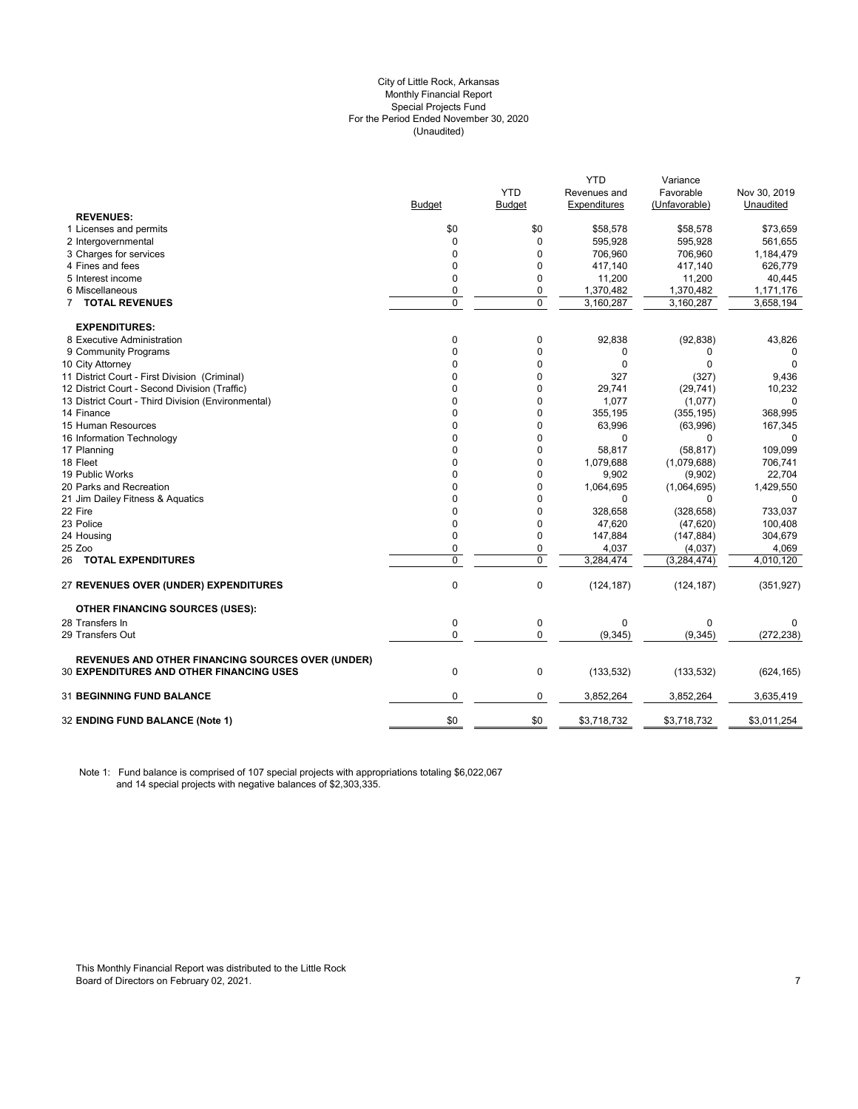#### City of Little Rock, Arkansas (Unaudited) For the Period Ended November 30, 2020 Special Projects Fund Monthly Financial Report

|                                                          |               |            | <b>YTD</b>   | Variance      |              |
|----------------------------------------------------------|---------------|------------|--------------|---------------|--------------|
|                                                          |               | <b>YTD</b> | Revenues and | Favorable     | Nov 30, 2019 |
|                                                          | <b>Budget</b> | Budget     | Expenditures | (Unfavorable) | Unaudited    |
| <b>REVENUES:</b>                                         |               |            |              |               |              |
| 1 Licenses and permits                                   | \$0           | \$0        | \$58,578     | \$58,578      | \$73,659     |
| 2 Intergovernmental                                      | $\mathbf 0$   | 0          | 595,928      | 595,928       | 561,655      |
| 3 Charges for services                                   | $\Omega$      | $\Omega$   | 706,960      | 706,960       | 1,184,479    |
| 4 Fines and fees                                         | $\mathbf 0$   | 0          | 417,140      | 417,140       | 626,779      |
| 5 Interest income                                        | 0             | 0          | 11,200       | 11,200        | 40,445       |
| 6 Miscellaneous                                          | 0             | 0          | 1,370,482    | 1,370,482     | 1,171,176    |
| 7 TOTAL REVENUES                                         | 0             | 0          | 3,160,287    | 3,160,287     | 3,658,194    |
| <b>EXPENDITURES:</b>                                     |               |            |              |               |              |
| 8 Executive Administration                               | 0             | 0          | 92,838       | (92, 838)     | 43,826       |
| 9 Community Programs                                     | $\mathbf 0$   | 0          | 0            | 0             | 0            |
| 10 City Attorney                                         | $\mathbf 0$   | 0          | 0            | $\Omega$      | $\Omega$     |
| 11 District Court - First Division (Criminal)            | 0             | 0          | 327          | (327)         | 9,436        |
| 12 District Court - Second Division (Traffic)            | 0             | 0          | 29,741       | (29, 741)     | 10,232       |
| 13 District Court - Third Division (Environmental)       | 0             | 0          | 1,077        | (1,077)       | 0            |
| 14 Finance                                               | 0             | 0          | 355,195      | (355, 195)    | 368,995      |
| 15 Human Resources                                       | 0             | 0          | 63,996       | (63,996)      | 167,345      |
| 16 Information Technology                                | $\Omega$      | $\Omega$   | $\Omega$     | 0             | 0            |
| 17 Planning                                              | $\Omega$      | 0          | 58,817       | (58, 817)     | 109,099      |
| 18 Fleet                                                 | $\Omega$      | 0          | 1,079,688    | (1,079,688)   | 706,741      |
| 19 Public Works                                          | $\Omega$      | 0          | 9,902        | (9,902)       | 22,704       |
| 20 Parks and Recreation                                  | $\mathbf 0$   | 0          | 1,064,695    | (1,064,695)   | 1,429,550    |
| 21 Jim Dailey Fitness & Aquatics                         | 0             | 0          | $\mathbf{0}$ | $\Omega$      | 0            |
| 22 Fire                                                  | $\Omega$      | $\Omega$   | 328,658      | (328, 658)    | 733,037      |
| 23 Police                                                | $\mathbf 0$   | 0          | 47,620       | (47, 620)     | 100,408      |
| 24 Housing                                               | $\mathbf 0$   | 0          | 147,884      | (147, 884)    | 304,679      |
| 25 Zoo                                                   | 0             | 0          | 4,037        | (4,037)       | 4,069        |
| <b>26 TOTAL EXPENDITURES</b>                             | $\mathbf 0$   | 0          | 3,284,474    | (3, 284, 474) | 4,010,120    |
| 27 REVENUES OVER (UNDER) EXPENDITURES                    | $\mathbf 0$   | 0          | (124, 187)   | (124, 187)    | (351, 927)   |
| <b>OTHER FINANCING SOURCES (USES):</b>                   |               |            |              |               |              |
| 28 Transfers In                                          | $\mathbf 0$   | 0          | $\mathbf 0$  | $\Omega$      | 0            |
| 29 Transfers Out                                         | $\mathbf 0$   | 0          | (9, 345)     | (9, 345)      | (272, 238)   |
| <b>REVENUES AND OTHER FINANCING SOURCES OVER (UNDER)</b> |               |            |              |               |              |
| <b>30 EXPENDITURES AND OTHER FINANCING USES</b>          | $\mathbf 0$   | 0          | (133, 532)   | (133, 532)    | (624, 165)   |
| 31 BEGINNING FUND BALANCE                                | 0             | 0          | 3,852,264    | 3,852,264     | 3,635,419    |
| 32 ENDING FUND BALANCE (Note 1)                          | \$0           | \$0        | \$3,718,732  | \$3,718,732   | \$3,011,254  |

Note 1: Fund balance is comprised of 107 special projects with appropriations totaling \$6,022,067 and 14 special projects with negative balances of \$2,303,335.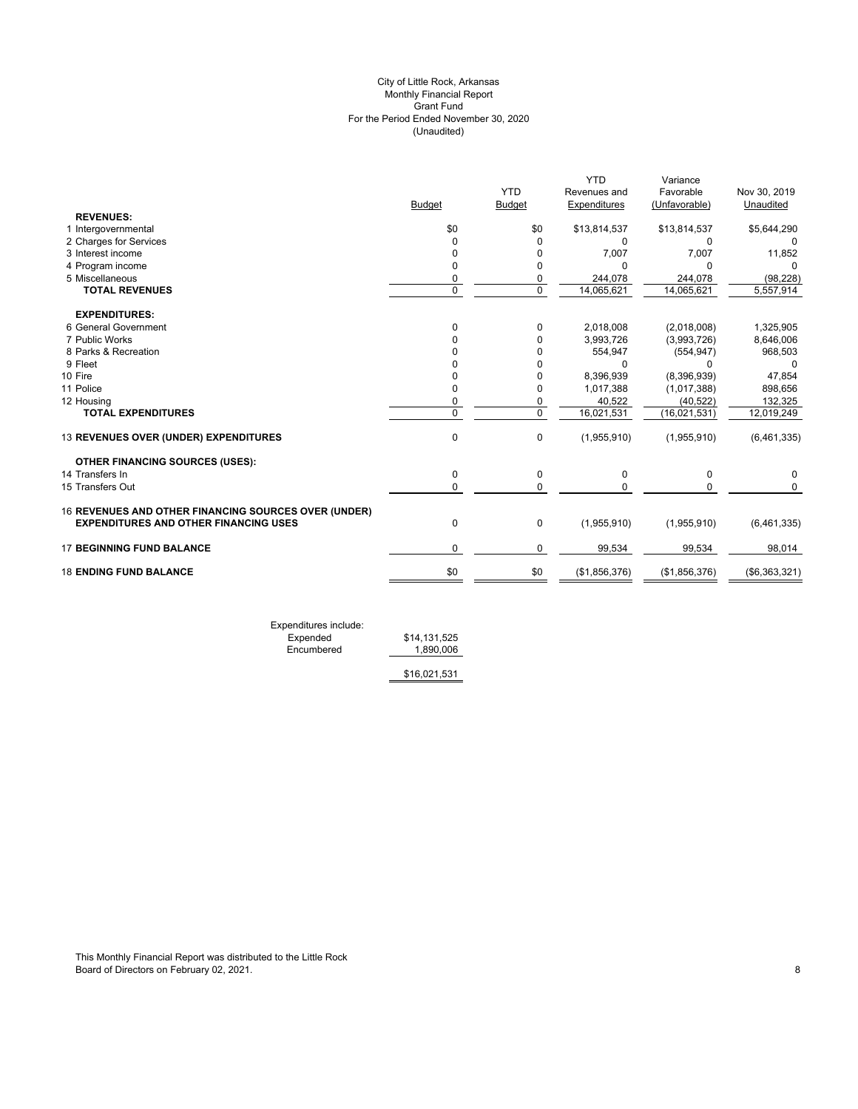## (Unaudited) City of Little Rock, Arkansas Monthly Financial Report Grant Fund For the Period Ended November 30, 2020

|              | <b>YTD</b>                                                                | <b>YTD</b><br>Revenues and                                     | Variance<br>Favorable                                                    | Nov 30, 2019                                                                            |
|--------------|---------------------------------------------------------------------------|----------------------------------------------------------------|--------------------------------------------------------------------------|-----------------------------------------------------------------------------------------|
|              |                                                                           |                                                                |                                                                          | Unaudited                                                                               |
|              |                                                                           |                                                                |                                                                          |                                                                                         |
|              |                                                                           |                                                                |                                                                          | \$5,644,290                                                                             |
|              |                                                                           |                                                                |                                                                          | 0<br>11,852                                                                             |
|              |                                                                           |                                                                |                                                                          | 0                                                                                       |
|              |                                                                           |                                                                |                                                                          | (98, 228)                                                                               |
|              |                                                                           |                                                                |                                                                          | 5,557,914                                                                               |
|              |                                                                           |                                                                |                                                                          |                                                                                         |
|              |                                                                           |                                                                |                                                                          |                                                                                         |
| $\Omega$     | 0                                                                         | 2,018,008                                                      | (2,018,008)                                                              | 1,325,905                                                                               |
|              | 0                                                                         | 3,993,726                                                      | (3,993,726)                                                              | 8,646,006                                                                               |
|              | 0                                                                         | 554,947                                                        | (554, 947)                                                               | 968,503                                                                                 |
|              | 0                                                                         | 0                                                              | 0                                                                        | 0                                                                                       |
| $\Omega$     | 0                                                                         | 8,396,939                                                      | (8,396,939)                                                              | 47,854                                                                                  |
| $\Omega$     | 0                                                                         | 1,017,388                                                      | (1,017,388)                                                              | 898,656                                                                                 |
| $\mathbf 0$  | 0                                                                         | 40,522                                                         | (40, 522)                                                                | 132,325                                                                                 |
| $\Omega$     | $\mathbf 0$                                                               | 16,021,531                                                     | (16,021,531)                                                             | 12,019,249                                                                              |
| $\Omega$     | 0                                                                         | (1,955,910)                                                    | (1,955,910)                                                              | (6,461,335)                                                                             |
|              |                                                                           |                                                                |                                                                          |                                                                                         |
| 0            | 0                                                                         | 0                                                              | 0                                                                        | 0                                                                                       |
| $\mathbf{0}$ | $\mathbf 0$                                                               | $\Omega$                                                       | 0                                                                        | 0                                                                                       |
|              |                                                                           |                                                                |                                                                          |                                                                                         |
| 0            | $\mathbf 0$                                                               | (1,955,910)                                                    | (1,955,910)                                                              | (6,461,335)                                                                             |
| $\Omega$     | 0                                                                         | 99,534                                                         | 99,534                                                                   | 98,014                                                                                  |
| \$0          | \$0                                                                       | (\$1,856,376)                                                  | (\$1,856,376)                                                            | (\$6,363,321)                                                                           |
|              | <b>Budget</b><br>\$0<br>$\Omega$<br>$\Omega$<br>$\Omega$<br>0<br>$\Omega$ | <b>Budget</b><br>\$0<br>$\Omega$<br>0<br>0<br>0<br>$\mathbf 0$ | Expenditures<br>\$13,814,537<br>0<br>7,007<br>U<br>244,078<br>14,065,621 | (Unfavorable)<br>\$13,814,537<br>$\Omega$<br>7,007<br>$\Omega$<br>244,078<br>14,065,621 |

Expenditures include: Expended \$14,131,525 Expended \$14,131,525<br>Encumbered 1,890,006

\$16,021,531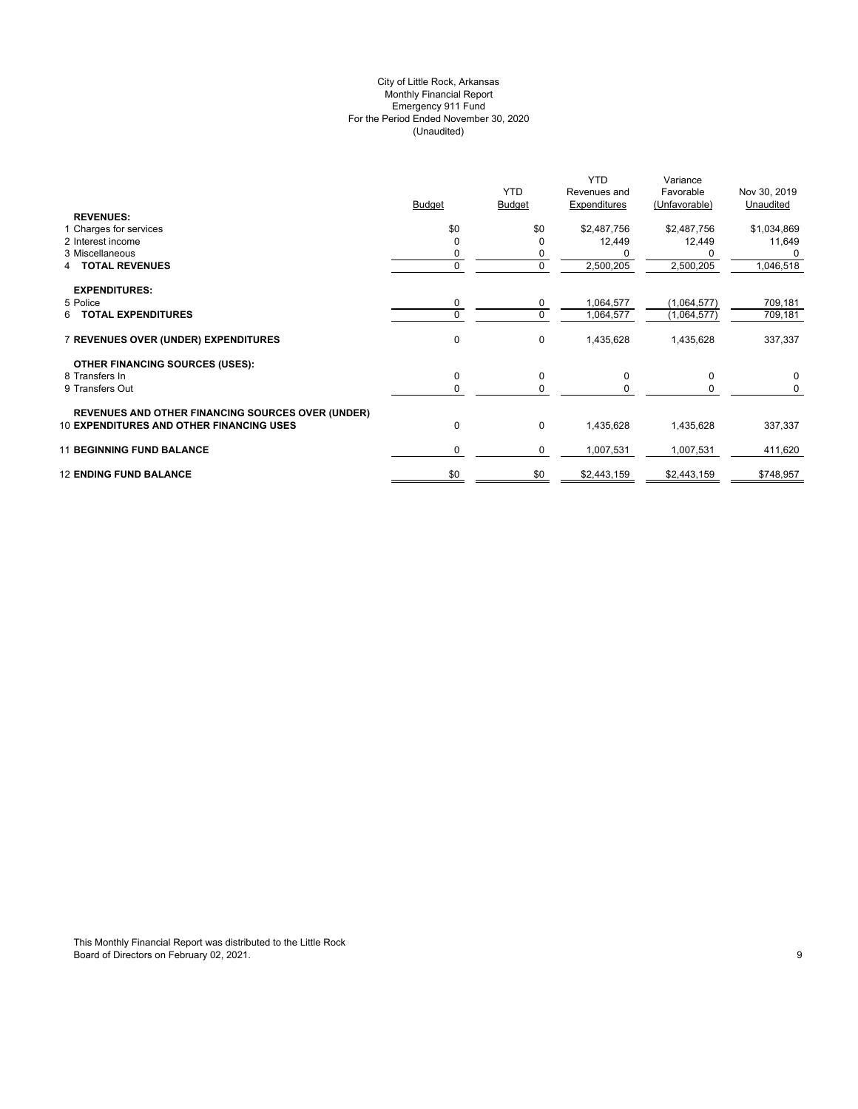## (Unaudited) City of Little Rock, Arkansas Monthly Financial Report Emergency 911 Fund For the Period Ended November 30, 2020

|                                                          | <b>Budget</b> | <b>YTD</b><br><b>Budget</b> | <b>YTD</b><br>Revenues and<br>Expenditures | Variance<br>Favorable<br>(Unfavorable) | Nov 30, 2019<br>Unaudited |
|----------------------------------------------------------|---------------|-----------------------------|--------------------------------------------|----------------------------------------|---------------------------|
| <b>REVENUES:</b><br>1 Charges for services               | \$0           | \$0                         | \$2,487,756                                | \$2,487,756                            | \$1,034,869               |
| 2 Interest income                                        | $\Omega$      |                             | 12,449                                     | 12,449                                 | 11,649                    |
| 3 Miscellaneous                                          |               | 0                           |                                            |                                        |                           |
| 4 TOTAL REVENUES                                         | 0             | 0                           | 2,500,205                                  | 2,500,205                              | 1,046,518                 |
| <b>EXPENDITURES:</b>                                     |               |                             |                                            |                                        |                           |
| 5 Police                                                 | 0             | 0                           | 1,064,577                                  | (1,064,577)                            | 709,181                   |
| <b>TOTAL EXPENDITURES</b><br>6.                          | $\Omega$      | $\mathbf 0$                 | 1,064,577                                  | (1,064,577)                            | 709,181                   |
| 7 REVENUES OVER (UNDER) EXPENDITURES                     | $\mathbf 0$   | 0                           | 1,435,628                                  | 1,435,628                              | 337,337                   |
| <b>OTHER FINANCING SOURCES (USES):</b>                   |               |                             |                                            |                                        |                           |
| 8 Transfers In                                           | 0             | 0                           | 0                                          | 0                                      | 0                         |
| 9 Transfers Out                                          | 0             | $\Omega$                    |                                            |                                        | 0                         |
| <b>REVENUES AND OTHER FINANCING SOURCES OVER (UNDER)</b> |               |                             |                                            |                                        |                           |
| <b>10 EXPENDITURES AND OTHER FINANCING USES</b>          | 0             | 0                           | 1,435,628                                  | 1,435,628                              | 337,337                   |
| <b>11 BEGINNING FUND BALANCE</b>                         | 0             | 0                           | 1,007,531                                  | 1,007,531                              | 411,620                   |
| <b>12 ENDING FUND BALANCE</b>                            | \$0           | \$0                         | \$2,443,159                                | \$2,443,159                            | \$748,957                 |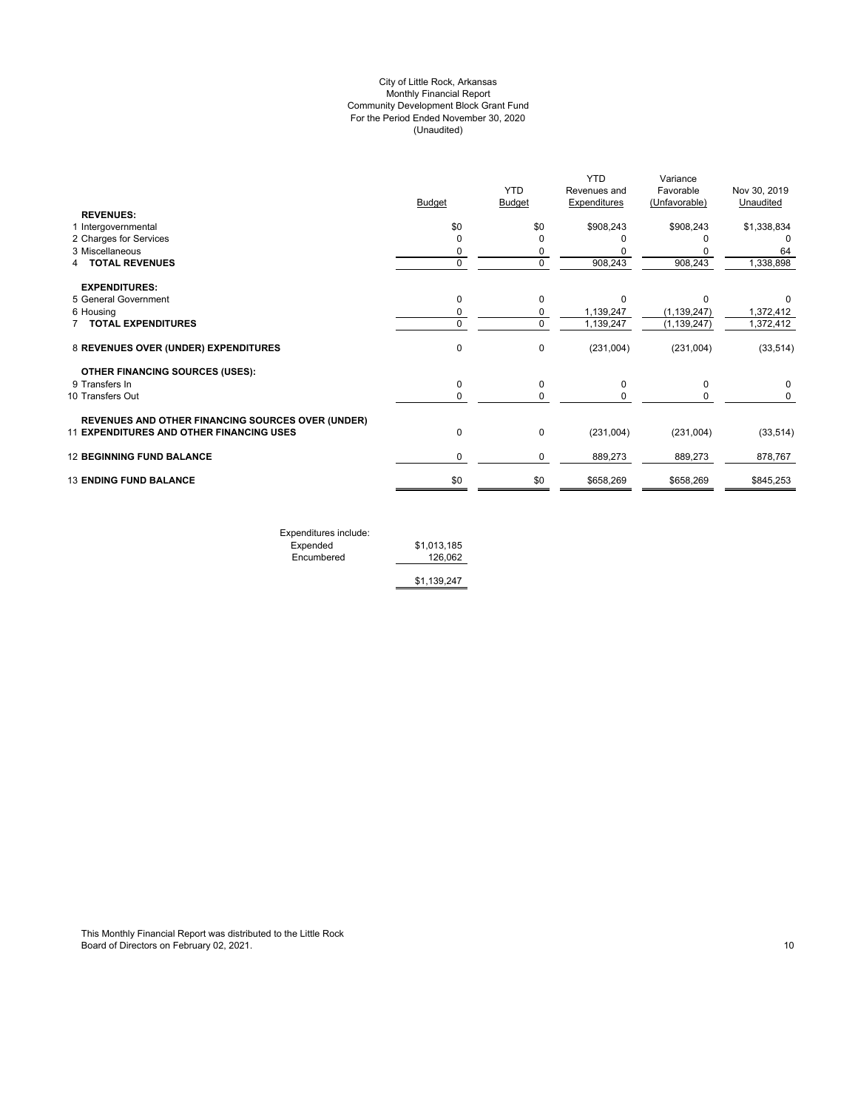## (Unaudited) City of Little Rock, Arkansas Monthly Financial Report Community Development Block Grant Fund For the Period Ended November 30, 2020

|                                                          |             |                             | <b>YTD</b>                   | Variance                   |                           |
|----------------------------------------------------------|-------------|-----------------------------|------------------------------|----------------------------|---------------------------|
|                                                          | Budget      | <b>YTD</b><br><b>Budget</b> | Revenues and<br>Expenditures | Favorable<br>(Unfavorable) | Nov 30, 2019<br>Unaudited |
| <b>REVENUES:</b>                                         |             |                             |                              |                            |                           |
| 1 Intergovernmental                                      | \$0         | \$0                         | \$908,243                    | \$908,243                  | \$1,338,834               |
| 2 Charges for Services                                   | $\Omega$    |                             |                              |                            |                           |
| 3 Miscellaneous                                          | 0           | 0                           |                              |                            | 64                        |
| <b>TOTAL REVENUES</b>                                    | $\mathbf 0$ | $\mathbf 0$                 | 908,243                      | 908,243                    | 1,338,898                 |
| <b>EXPENDITURES:</b>                                     |             |                             |                              |                            |                           |
| 5 General Government                                     | 0           | $\Omega$                    | $\Omega$                     | C                          | 0                         |
| 6 Housing                                                | 0           | 0                           | 1,139,247                    | (1, 139, 247)              | 1,372,412                 |
| <b>TOTAL EXPENDITURES</b>                                | 0           | $\Omega$                    | 1,139,247                    | (1, 139, 247)              | 1,372,412                 |
| 8 REVENUES OVER (UNDER) EXPENDITURES                     | 0           | 0                           | (231,004)                    | (231,004)                  | (33, 514)                 |
| <b>OTHER FINANCING SOURCES (USES):</b>                   |             |                             |                              |                            |                           |
| 9 Transfers In                                           | 0           | $\Omega$                    | $\Omega$                     | 0                          | 0                         |
| 10 Transfers Out                                         | 0           | 0                           |                              | 0                          | 0                         |
| <b>REVENUES AND OTHER FINANCING SOURCES OVER (UNDER)</b> |             |                             |                              |                            |                           |
| <b>11 EXPENDITURES AND OTHER FINANCING USES</b>          | 0           | 0                           | (231,004)                    | (231,004)                  | (33, 514)                 |
| <b>12 BEGINNING FUND BALANCE</b>                         | 0           | 0                           | 889,273                      | 889,273                    | 878,767                   |
| <b>13 ENDING FUND BALANCE</b>                            | \$0         | \$0                         | \$658,269                    | \$658,269                  | \$845,253                 |
|                                                          |             |                             |                              |                            |                           |

Expenditures include: Expended \$1,013,185 Encumbered 126,062

\$1,139,247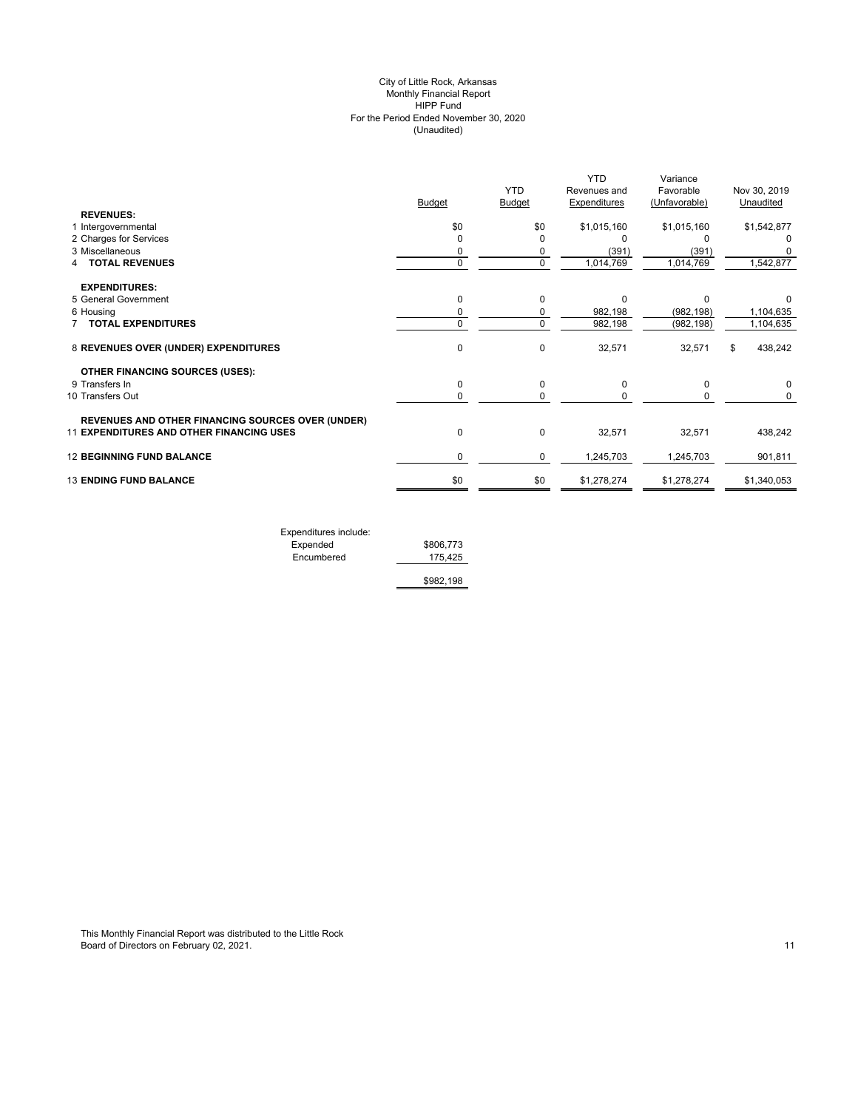#### (Unaudited) City of Little Rock, Arkansas Monthly Financial Report HIPP Fund For the Period Ended November 30, 2020

|                                                          | <b>Budget</b> | <b>YTD</b><br>Budget | <b>YTD</b><br>Revenues and<br>Expenditures | Variance<br>Favorable<br>(Unfavorable) | Nov 30, 2019<br>Unaudited |
|----------------------------------------------------------|---------------|----------------------|--------------------------------------------|----------------------------------------|---------------------------|
| <b>REVENUES:</b>                                         |               |                      |                                            |                                        |                           |
| 1 Intergovernmental                                      | \$0           | \$0                  | \$1,015,160                                | \$1,015,160                            | \$1,542,877               |
| 2 Charges for Services<br>3 Miscellaneous                | $\mathbf 0$   | 0                    | O                                          |                                        |                           |
|                                                          | 0             | 0                    | (391)                                      | (391)                                  |                           |
| <b>TOTAL REVENUES</b>                                    | $\mathbf 0$   | 0                    | 1,014,769                                  | 1,014,769                              | 1,542,877                 |
| <b>EXPENDITURES:</b>                                     |               |                      |                                            |                                        |                           |
| 5 General Government                                     | $\mathbf 0$   | $\Omega$             | $\Omega$                                   | $\Omega$                               | 0                         |
| 6 Housing                                                | 0             | 0                    | 982,198                                    | (982, 198)                             | 1,104,635                 |
| <b>TOTAL EXPENDITURES</b>                                | 0             | $\Omega$             | 982,198                                    | (982, 198)                             | 1,104,635                 |
| 8 REVENUES OVER (UNDER) EXPENDITURES                     | $\mathbf 0$   | $\Omega$             | 32,571                                     | 32,571                                 | 438,242<br>\$             |
| <b>OTHER FINANCING SOURCES (USES):</b>                   |               |                      |                                            |                                        |                           |
| 9 Transfers In                                           | $\mathbf 0$   | $\Omega$             | $\Omega$                                   | $\Omega$                               |                           |
| 10 Transfers Out                                         | 0             | 0                    | 0                                          | 0                                      | 0                         |
| <b>REVENUES AND OTHER FINANCING SOURCES OVER (UNDER)</b> |               |                      |                                            |                                        |                           |
| <b>11 EXPENDITURES AND OTHER FINANCING USES</b>          | 0             | $\mathbf 0$          | 32,571                                     | 32,571                                 | 438,242                   |
| <b>12 BEGINNING FUND BALANCE</b>                         | 0             | 0                    | 1,245,703                                  | 1,245,703                              | 901,811                   |
| <b>13 ENDING FUND BALANCE</b>                            | \$0           | \$0                  | \$1,278,274                                | \$1,278,274                            | \$1,340,053               |
|                                                          |               |                      |                                            |                                        |                           |

| Expenditures include: |           |
|-----------------------|-----------|
| Expended              | \$806,773 |
| Encumbered            | 175.425   |
|                       | \$982,198 |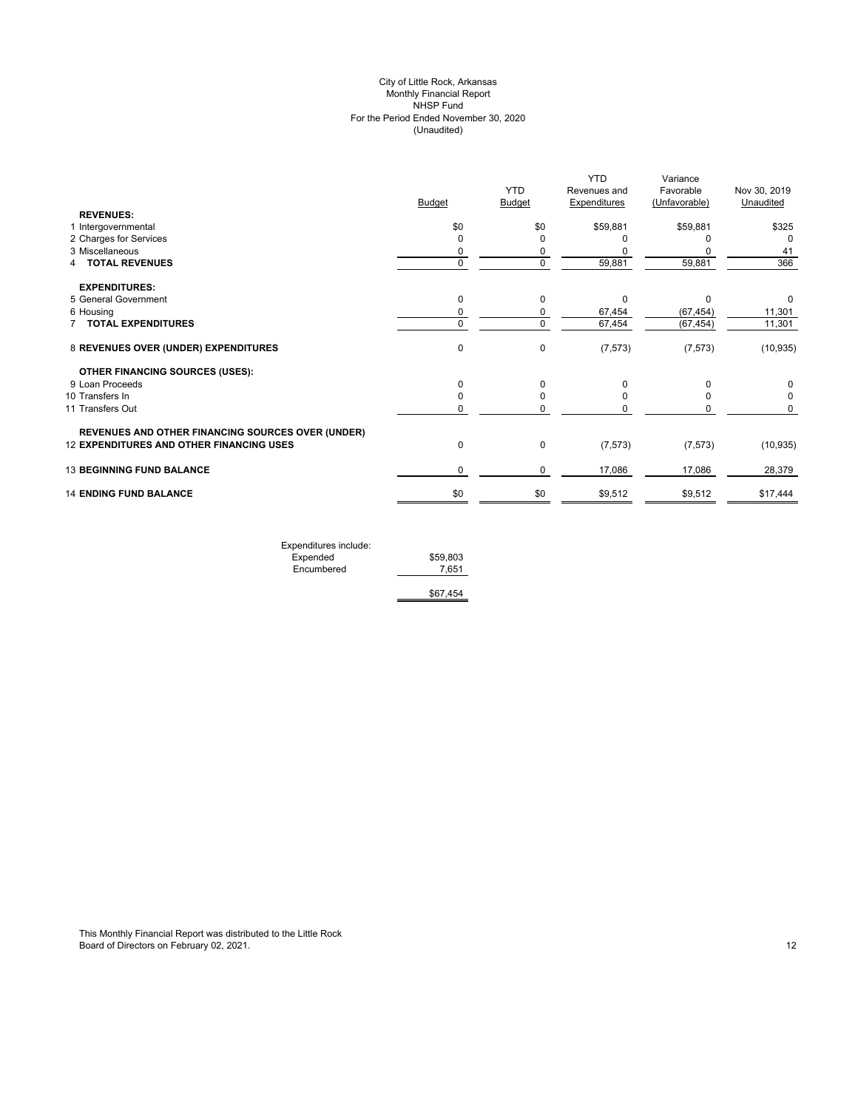## (Unaudited) City of Little Rock, Arkansas Monthly Financial Report NHSP Fund For the Period Ended November 30, 2020

|                                                          |               |               | <b>YTD</b>          | Variance      |              |
|----------------------------------------------------------|---------------|---------------|---------------------|---------------|--------------|
|                                                          |               | <b>YTD</b>    | Revenues and        | Favorable     | Nov 30, 2019 |
|                                                          | <b>Budget</b> | <b>Budget</b> | <b>Expenditures</b> | (Unfavorable) | Unaudited    |
| <b>REVENUES:</b>                                         |               |               |                     |               |              |
| 1 Intergovernmental                                      | \$0           | \$0           | \$59,881            | \$59,881      | \$325        |
| 2 Charges for Services                                   | $\Omega$      |               |                     |               | $\Omega$     |
| 3 Miscellaneous                                          | 0             |               |                     |               | 41           |
| <b>TOTAL REVENUES</b><br>4                               | $\mathbf 0$   | $\mathbf 0$   | 59,881              | 59,881        | 366          |
| <b>EXPENDITURES:</b>                                     |               |               |                     |               |              |
| 5 General Government                                     | 0             | 0             | $\Omega$            | $\Omega$      | 0            |
| 6 Housing                                                | 0             | 0             | 67,454              | (67, 454)     | 11,301       |
| 7 TOTAL EXPENDITURES                                     | 0             | $\mathbf 0$   | 67,454              | (67, 454)     | 11,301       |
| 8 REVENUES OVER (UNDER) EXPENDITURES                     | $\pmb{0}$     | $\mathbf 0$   | (7, 573)            | (7, 573)      | (10, 935)    |
| <b>OTHER FINANCING SOURCES (USES):</b>                   |               |               |                     |               |              |
| 9 Loan Proceeds                                          | 0             | $\Omega$      | ŋ                   |               | 0            |
| 10 Transfers In                                          | 0             | O             |                     |               | $\Omega$     |
| 11 Transfers Out                                         | 0             |               |                     |               | 0            |
| <b>REVENUES AND OTHER FINANCING SOURCES OVER (UNDER)</b> |               |               |                     |               |              |
| 12 EXPENDITURES AND OTHER FINANCING USES                 | $\pmb{0}$     | $\mathbf 0$   | (7, 573)            | (7, 573)      | (10, 935)    |
| <b>13 BEGINNING FUND BALANCE</b>                         | 0             | 0             | 17,086              | 17,086        | 28,379       |
| <b>14 ENDING FUND BALANCE</b>                            | \$0           | \$0           | \$9,512             | \$9,512       | \$17,444     |
|                                                          |               |               |                     |               |              |

| Expenditures include: |          |
|-----------------------|----------|
| Expended              | \$59,803 |
| Encumbered            | 7.651    |
|                       |          |
|                       | \$67.454 |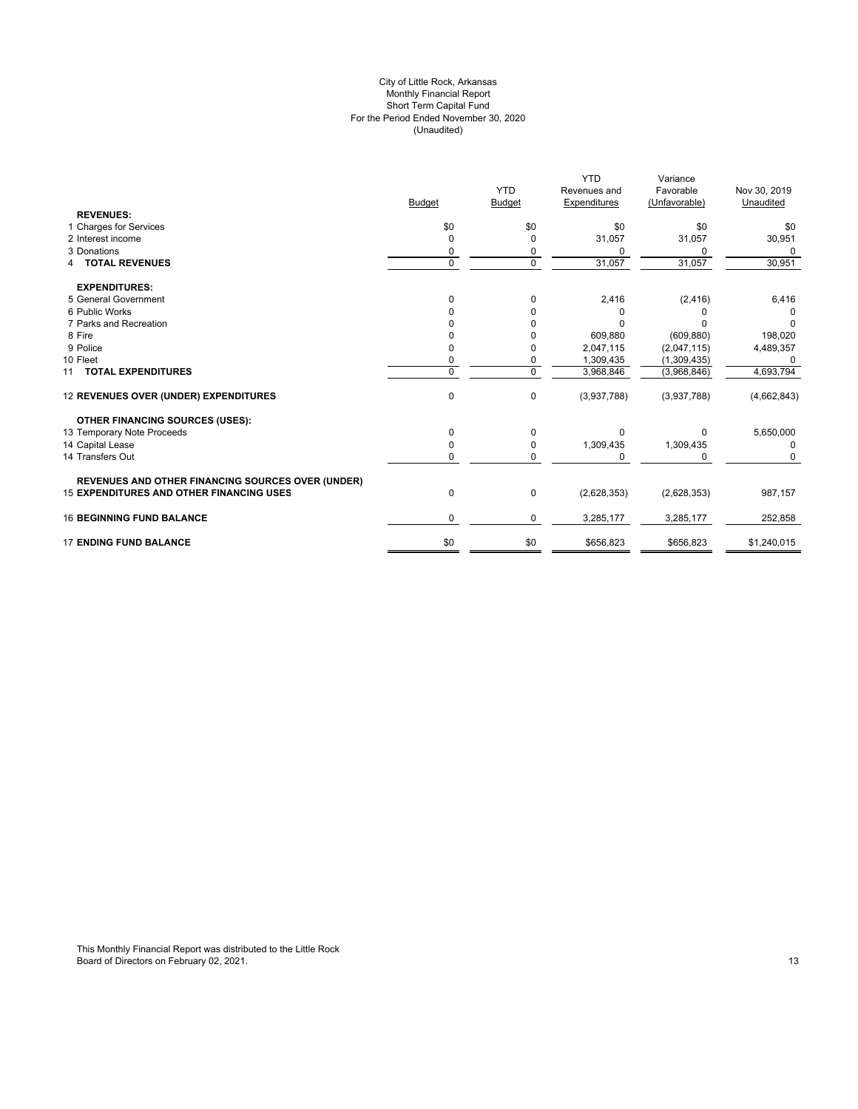#### For the Period Ended November 30, 2020 (Unaudited) City of Little Rock, Arkansas Monthly Financial Report Short Term Capital Fund

|                                                          |               | <b>YTD</b>    | <b>YTD</b><br>Revenues and | Variance<br>Favorable | Nov 30, 2019 |
|----------------------------------------------------------|---------------|---------------|----------------------------|-----------------------|--------------|
|                                                          | <b>Budget</b> | <b>Budget</b> | <b>Expenditures</b>        | (Unfavorable)         | Unaudited    |
| <b>REVENUES:</b>                                         |               |               |                            |                       |              |
| 1 Charges for Services                                   | \$0           | \$0           | \$0                        | \$0                   | \$0          |
| 2 Interest income                                        | $\Omega$      | 0             | 31,057                     | 31,057                | 30,951       |
| 3 Donations                                              |               | 0             | <sup>0</sup>               | 0                     | <sup>0</sup> |
| <b>4 TOTAL REVENUES</b>                                  | 0             | $\mathbf 0$   | 31,057                     | 31,057                | 30,951       |
| <b>EXPENDITURES:</b>                                     |               |               |                            |                       |              |
| 5 General Government                                     | $\Omega$      | $\Omega$      | 2,416                      | (2, 416)              | 6,416        |
| 6 Public Works                                           |               | <sup>0</sup>  | 0                          |                       |              |
| 7 Parks and Recreation                                   |               |               | <sup>0</sup>               |                       | <sup>0</sup> |
| 8 Fire                                                   |               |               | 609,880                    | (609, 880)            | 198,020      |
| 9 Police                                                 |               | 0             | 2,047,115                  | (2,047,115)           | 4,489,357    |
| 10 Fleet                                                 |               | 0             | 1,309,435                  | (1,309,435)           | $\Omega$     |
| 11 TOTAL EXPENDITURES                                    | $\Omega$      | $\Omega$      | 3,968,846                  | (3,968,846)           | 4,693,794    |
| 12 REVENUES OVER (UNDER) EXPENDITURES                    | 0             | $\mathbf 0$   | (3,937,788)                | (3,937,788)           | (4,662,843)  |
| <b>OTHER FINANCING SOURCES (USES):</b>                   |               |               |                            |                       |              |
| 13 Temporary Note Proceeds                               | 0             | $\Omega$      | $\Omega$                   | 0                     | 5,650,000    |
| 14 Capital Lease                                         | 0             | 0             | 1,309,435                  | 1,309,435             | 0            |
| 14 Transfers Out                                         | 0             | 0             | $\Omega$                   | 0                     | $\Omega$     |
| <b>REVENUES AND OTHER FINANCING SOURCES OVER (UNDER)</b> |               |               |                            |                       |              |
| <b>15 EXPENDITURES AND OTHER FINANCING USES</b>          | 0             | 0             | (2,628,353)                | (2,628,353)           | 987,157      |
| <b>16 BEGINNING FUND BALANCE</b>                         | 0             | 0             | 3,285,177                  | 3,285,177             | 252,858      |
| <b>17 ENDING FUND BALANCE</b>                            | \$0           | \$0           | \$656,823                  | \$656,823             | \$1,240,015  |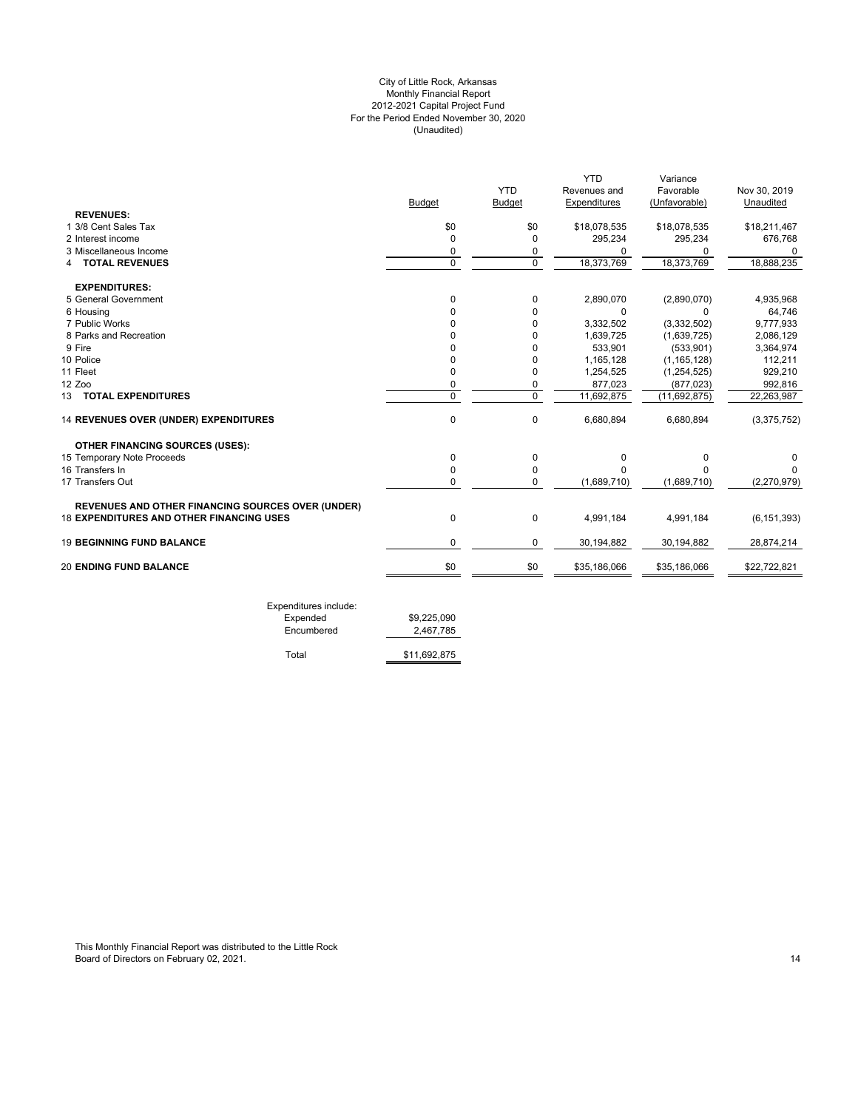## For the Period Ended November 30, 2020 (Unaudited) City of Little Rock, Arkansas Monthly Financial Report 2012-2021 Capital Project Fund

|                                                          |                |               | <b>YTD</b>   | Variance      |               |
|----------------------------------------------------------|----------------|---------------|--------------|---------------|---------------|
|                                                          |                | <b>YTD</b>    | Revenues and | Favorable     | Nov 30, 2019  |
|                                                          | <b>Budget</b>  | <b>Budget</b> | Expenditures | (Unfavorable) | Unaudited     |
| <b>REVENUES:</b>                                         |                |               |              |               |               |
| 1 3/8 Cent Sales Tax                                     | \$0            | \$0           | \$18,078,535 | \$18,078,535  | \$18,211,467  |
| 2 Interest income                                        | $\Omega$       | $\Omega$      | 295,234      | 295,234       | 676,768       |
| 3 Miscellaneous Income                                   | 0              | 0             | U            | 0             | 0             |
| <b>4 TOTAL REVENUES</b>                                  | $\overline{0}$ | $\Omega$      | 18,373,769   | 18,373,769    | 18,888,235    |
| <b>EXPENDITURES:</b>                                     |                |               |              |               |               |
| 5 General Government                                     | $\Omega$       | 0             | 2,890,070    | (2,890,070)   | 4,935,968     |
| 6 Housing                                                | O              | 0             | 0            | $\Omega$      | 64,746        |
| 7 Public Works                                           | U              | $\Omega$      | 3,332,502    | (3,332,502)   | 9,777,933     |
| 8 Parks and Recreation                                   |                | 0             | 1,639,725    | (1,639,725)   | 2,086,129     |
| 9 Fire                                                   |                | $\Omega$      | 533,901      | (533, 901)    | 3,364,974     |
| 10 Police                                                | O              | 0             | 1,165,128    | (1, 165, 128) | 112,211       |
| 11 Fleet                                                 | 0              | 0             | 1,254,525    | (1, 254, 525) | 929,210       |
| 12 Zoo                                                   | 0              | 0             | 877,023      | (877, 023)    | 992,816       |
| 13 TOTAL EXPENDITURES                                    | $\overline{0}$ | $\mathbf 0$   | 11,692,875   | (11,692,875)  | 22,263,987    |
| 14 REVENUES OVER (UNDER) EXPENDITURES                    | $\mathbf 0$    | 0             | 6,680,894    | 6,680,894     | (3,375,752)   |
| <b>OTHER FINANCING SOURCES (USES):</b>                   |                |               |              |               |               |
| 15 Temporary Note Proceeds                               | $\mathbf 0$    | 0             | 0            | 0             | 0             |
| 16 Transfers In                                          | $\Omega$       | $\Omega$      | U            | O             | O             |
| 17 Transfers Out                                         | $\Omega$       | $\Omega$      | (1,689,710)  | (1,689,710)   | (2,270,979)   |
| <b>REVENUES AND OTHER FINANCING SOURCES OVER (UNDER)</b> |                |               |              |               |               |
| <b>18 EXPENDITURES AND OTHER FINANCING USES</b>          | $\mathbf 0$    | $\mathbf 0$   | 4,991,184    | 4,991,184     | (6, 151, 393) |
| <b>19 BEGINNING FUND BALANCE</b>                         | 0              | 0             | 30,194,882   | 30,194,882    | 28,874,214    |
| <b>20 ENDING FUND BALANCE</b>                            | \$0            | \$0           | \$35,186,066 | \$35,186,066  | \$22,722,821  |

| LAPOHURU CJ INGUUC. |              |
|---------------------|--------------|
| Expended            | \$9.225.090  |
| Encumbered          | 2,467,785    |
|                     |              |
| Total               | \$11,692,875 |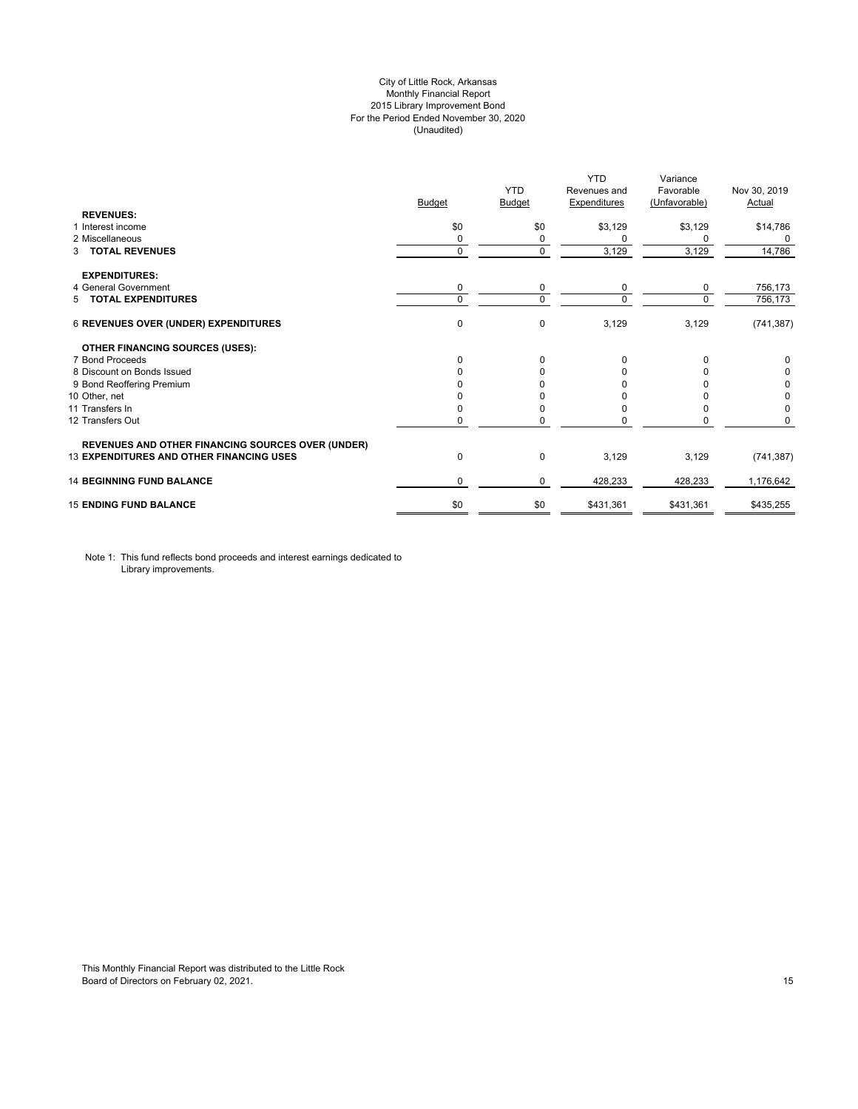## City of Little Rock, Arkansas Monthly Financial Report 2015 Library Improvement Bond For the Period Ended November 30, 2020 (Unaudited)

|                                                          | <b>Budget</b> | <b>YTD</b><br>Budget | <b>YTD</b><br>Revenues and<br><b>Expenditures</b> | Variance<br>Favorable<br>(Unfavorable) | Nov 30, 2019<br>Actual |
|----------------------------------------------------------|---------------|----------------------|---------------------------------------------------|----------------------------------------|------------------------|
| <b>REVENUES:</b><br>1 Interest income                    | \$0           | \$0                  | \$3,129                                           | \$3,129                                |                        |
| 2 Miscellaneous                                          | 0             | 0                    | 0                                                 | 0                                      | \$14,786<br>0          |
| <b>TOTAL REVENUES</b><br>3                               | $\mathbf 0$   | $\mathbf 0$          | 3,129                                             | 3,129                                  | 14,786                 |
| <b>EXPENDITURES:</b>                                     |               |                      |                                                   |                                        |                        |
| 4 General Government                                     | 0             | 0                    | 0                                                 | 0                                      | 756,173                |
| 5 TOTAL EXPENDITURES                                     | 0             | $\Omega$             | $\Omega$                                          | $\Omega$                               | 756,173                |
| <b>6 REVENUES OVER (UNDER) EXPENDITURES</b>              | $\mathbf 0$   | 0                    | 3,129                                             | 3,129                                  | (741, 387)             |
| <b>OTHER FINANCING SOURCES (USES):</b>                   |               |                      |                                                   |                                        |                        |
| 7 Bond Proceeds                                          | $\Omega$      | $\Omega$             | $\Omega$                                          |                                        | 0                      |
| 8 Discount on Bonds Issued                               | O             | n                    | U                                                 |                                        | 0                      |
| 9 Bond Reoffering Premium                                |               |                      |                                                   |                                        | 0                      |
| 10 Other, net                                            |               |                      |                                                   |                                        | 0                      |
| 11 Transfers In                                          | $\Omega$      | <sup>0</sup>         |                                                   |                                        | 0                      |
| 12 Transfers Out                                         | 0             | 0                    |                                                   |                                        | 0                      |
| <b>REVENUES AND OTHER FINANCING SOURCES OVER (UNDER)</b> |               |                      |                                                   |                                        |                        |
| <b>13 EXPENDITURES AND OTHER FINANCING USES</b>          | 0             | 0                    | 3,129                                             | 3,129                                  | (741, 387)             |
| <b>14 BEGINNING FUND BALANCE</b>                         | $\Omega$      | $\Omega$             | 428,233                                           | 428,233                                | 1,176,642              |
| <b>15 ENDING FUND BALANCE</b>                            | \$0           | \$0                  | \$431,361                                         | \$431,361                              | \$435,255              |

Note 1: This fund reflects bond proceeds and interest earnings dedicated to Library improvements.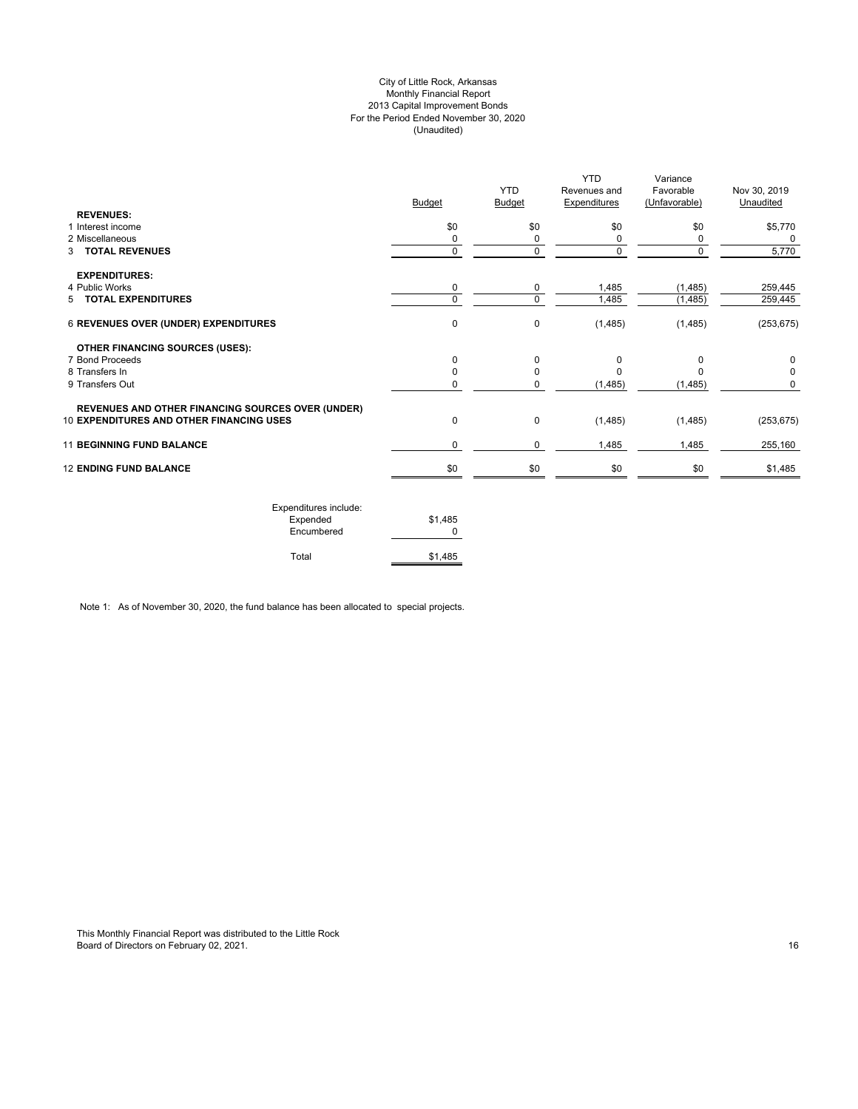## City of Little Rock, Arkansas Monthly Financial Report 2013 Capital Improvement Bonds For the Period Ended November 30, 2020 (Unaudited)

| <b>REVENUES:</b>                                         | <b>Budget</b> | <b>YTD</b><br><b>Budget</b> | <b>YTD</b><br>Revenues and<br><b>Expenditures</b> | Variance<br>Favorable<br>(Unfavorable) | Nov 30, 2019<br>Unaudited |
|----------------------------------------------------------|---------------|-----------------------------|---------------------------------------------------|----------------------------------------|---------------------------|
| 1 Interest income                                        | \$0           | \$0                         | \$0                                               | \$0                                    | \$5,770                   |
| 2 Miscellaneous                                          | 0             | 0                           | 0                                                 | 0                                      | 0                         |
| 3 TOTAL REVENUES                                         | 0             | 0                           | 0                                                 | $\Omega$                               | 5,770                     |
| <b>EXPENDITURES:</b>                                     |               |                             |                                                   |                                        |                           |
| 4 Public Works                                           | 0             | 0                           | 1,485                                             | (1, 485)                               | 259,445                   |
| 5 TOTAL EXPENDITURES                                     | $\Omega$      | 0                           | 1,485                                             | (1, 485)                               | 259,445                   |
| 6 REVENUES OVER (UNDER) EXPENDITURES                     | 0             | 0                           | (1,485)                                           | (1,485)                                | (253, 675)                |
| <b>OTHER FINANCING SOURCES (USES):</b>                   |               |                             |                                                   |                                        |                           |
| 7 Bond Proceeds                                          | $\Omega$      | 0                           | 0                                                 | $\Omega$                               | 0                         |
| 8 Transfers In                                           | O             | 0                           |                                                   |                                        | 0                         |
| 9 Transfers Out                                          | 0             | 0                           | (1,485)                                           | (1, 485)                               | 0                         |
| <b>REVENUES AND OTHER FINANCING SOURCES OVER (UNDER)</b> |               |                             |                                                   |                                        |                           |
| <b>10 EXPENDITURES AND OTHER FINANCING USES</b>          | 0             | 0                           | (1,485)                                           | (1,485)                                | (253, 675)                |
| <b>11 BEGINNING FUND BALANCE</b>                         | 0             | 0                           | 1,485                                             | 1,485                                  | 255,160                   |
| <b>12 ENDING FUND BALANCE</b>                            | \$0           | \$0                         | \$0                                               | \$0                                    | \$1,485                   |
|                                                          |               |                             |                                                   |                                        |                           |

| Expenditures include:<br>Expended<br>Encumbered | \$1.485 |
|-------------------------------------------------|---------|
| Total                                           | \$1,485 |

Note 1: As of November 30, 2020, the fund balance has been allocated to special projects.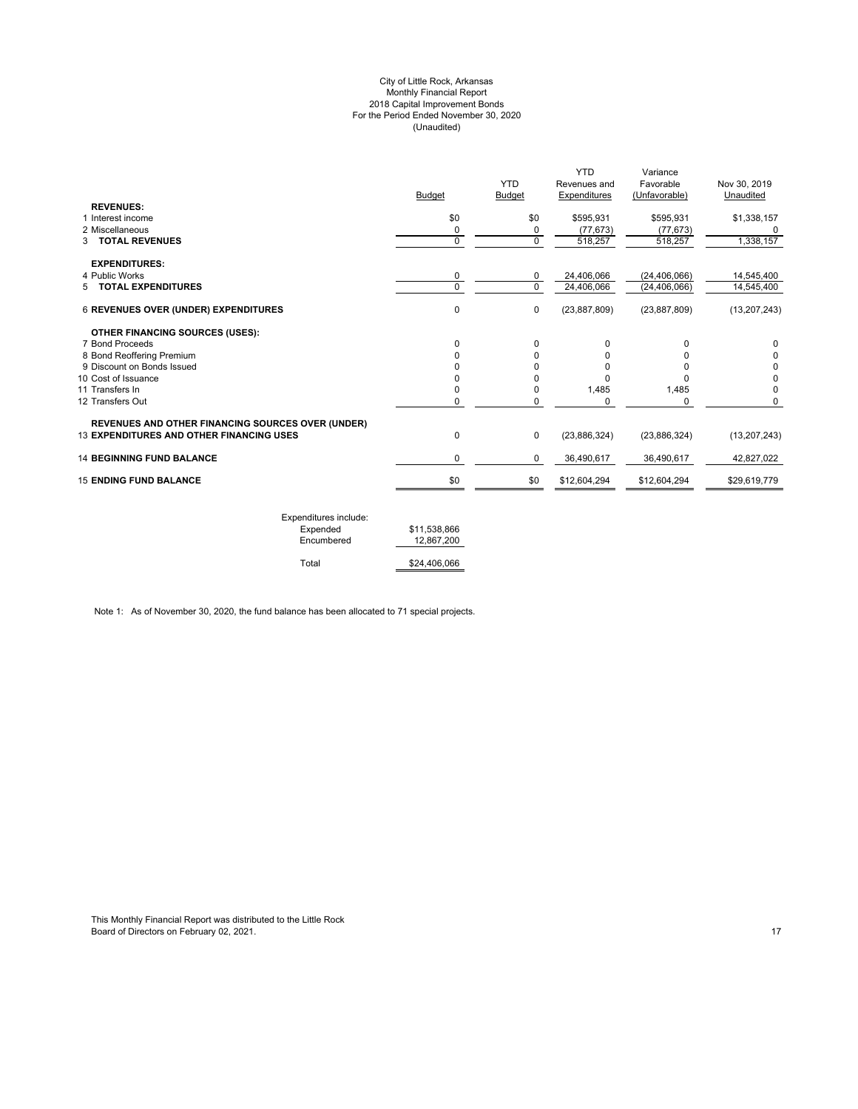#### City of Little Rock, Arkansas Monthly Financial Report 2018 Capital Improvement Bonds For the Period Ended November 30, 2020 (Unaudited)

|                                                          |               | <b>YTD</b>  | <b>YTD</b><br>Revenues and | Variance<br>Favorable | Nov 30, 2019   |
|----------------------------------------------------------|---------------|-------------|----------------------------|-----------------------|----------------|
|                                                          | <b>Budget</b> | Budget      | Expenditures               | (Unfavorable)         | Unaudited      |
| <b>REVENUES:</b>                                         |               |             |                            |                       |                |
| 1 Interest income                                        | \$0           | \$0         | \$595,931                  | \$595,931             | \$1,338,157    |
| 2 Miscellaneous                                          | 0             | 0           | (77, 673)                  | (77, 673)             |                |
| <b>3 TOTAL REVENUES</b>                                  | 0             | $\mathbf 0$ | 518,257                    | 518,257               | 1,338,157      |
| <b>EXPENDITURES:</b>                                     |               |             |                            |                       |                |
| 4 Public Works                                           | 0             | 0           | 24,406,066                 | (24, 406, 066)        | 14,545,400     |
| 5 TOTAL EXPENDITURES                                     | 0             | $\Omega$    | 24,406,066                 | (24, 406, 066)        | 14,545,400     |
| <b>6 REVENUES OVER (UNDER) EXPENDITURES</b>              | 0             | $\pmb{0}$   | (23, 887, 809)             | (23, 887, 809)        | (13, 207, 243) |
| <b>OTHER FINANCING SOURCES (USES):</b>                   |               |             |                            |                       |                |
| 7 Bond Proceeds                                          | 0             | $\Omega$    | 0                          | 0                     | 0              |
| 8 Bond Reoffering Premium                                | 0             | 0           | 0                          | 0                     |                |
| 9 Discount on Bonds Issued                               |               | 0           | O                          | <sup>0</sup>          | 0              |
| 10 Cost of Issuance                                      | 0             | $\Omega$    | $\Omega$                   | <sup>0</sup>          | 0              |
| 11 Transfers In                                          | 0             | 0           | 1,485                      | 1,485                 | $\Omega$       |
| 12 Transfers Out                                         | $\Omega$      | 0           | 0                          | 0                     | 0              |
| <b>REVENUES AND OTHER FINANCING SOURCES OVER (UNDER)</b> |               |             |                            |                       |                |
| <b>13 EXPENDITURES AND OTHER FINANCING USES</b>          | 0             | $\mathbf 0$ | (23,886,324)               | (23,886,324)          | (13, 207, 243) |
| <b>14 BEGINNING FUND BALANCE</b>                         | 0             | 0           | 36,490,617                 | 36,490,617            | 42,827,022     |
| <b>15 ENDING FUND BALANCE</b>                            | \$0           | \$0         | \$12,604,294               | \$12,604,294          | \$29,619,779   |
|                                                          |               |             |                            |                       |                |

| Expenditures include: |              |
|-----------------------|--------------|
| Expended              | \$11.538.866 |
| Encumbered            | 12.867.200   |
| Total                 | \$24,406,066 |

Note 1: As of November 30, 2020, the fund balance has been allocated to 71 special projects.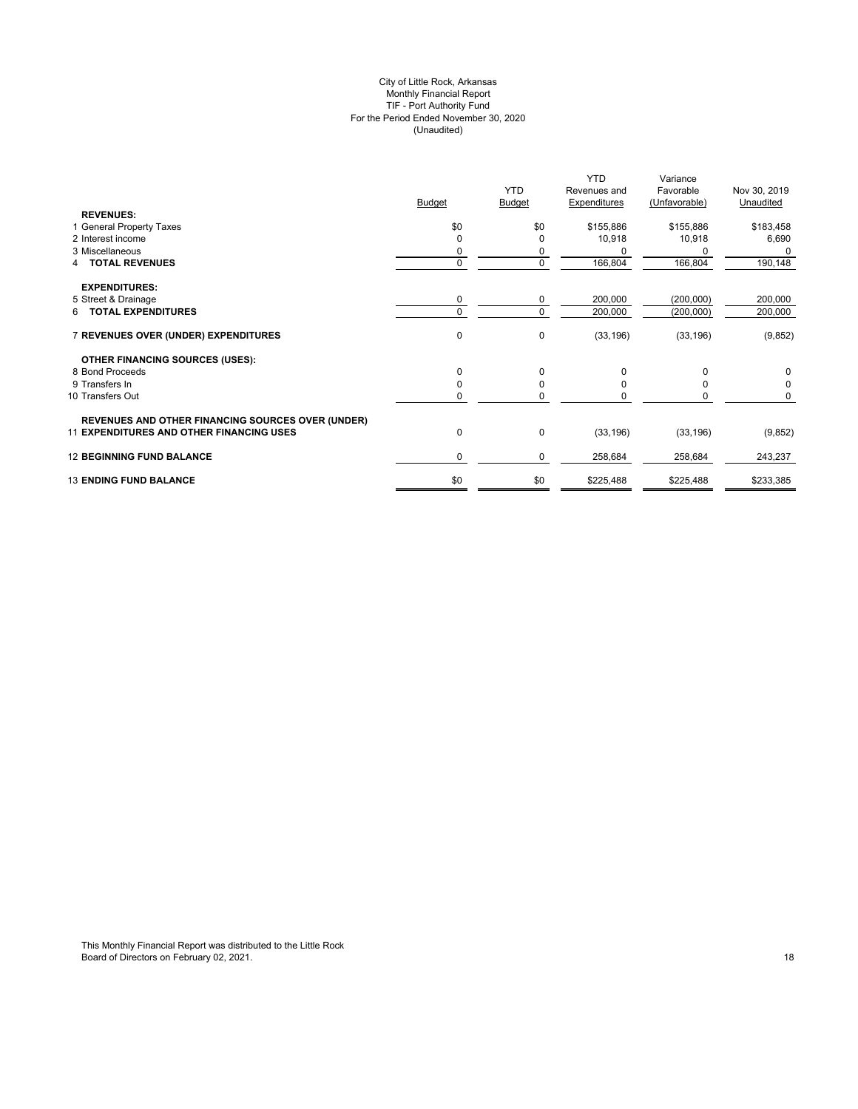#### City of Little Rock, Arkansas Monthly Financial Report TIF - Port Authority Fund For the Period Ended November 30, 2020 (Unaudited)

|                                                          |               | <b>YTD</b>    | <b>YTD</b><br>Revenues and | Variance<br>Favorable | Nov 30, 2019 |
|----------------------------------------------------------|---------------|---------------|----------------------------|-----------------------|--------------|
|                                                          | <b>Budget</b> | <b>Budget</b> | Expenditures               | (Unfavorable)         | Unaudited    |
| <b>REVENUES:</b>                                         |               |               |                            |                       |              |
| 1 General Property Taxes                                 | \$0           | \$0           | \$155,886                  | \$155,886             | \$183,458    |
| 2 Interest income                                        | $\Omega$      |               | 10,918                     | 10,918                | 6,690        |
| 3 Miscellaneous                                          | 0             | 0             | n                          | 0                     | 0            |
| <b>TOTAL REVENUES</b><br>4                               | 0             | $\mathbf 0$   | 166,804                    | 166,804               | 190,148      |
| <b>EXPENDITURES:</b>                                     |               |               |                            |                       |              |
| 5 Street & Drainage                                      | 0             | 0             | 200,000                    | (200, 000)            | 200,000      |
| 6 TOTAL EXPENDITURES                                     | $\mathbf 0$   | $\Omega$      | 200,000                    | (200,000)             | 200,000      |
| 7 REVENUES OVER (UNDER) EXPENDITURES                     | 0             | 0             | (33, 196)                  | (33, 196)             | (9, 852)     |
| <b>OTHER FINANCING SOURCES (USES):</b>                   |               |               |                            |                       |              |
| 8 Bond Proceeds                                          | 0             | 0             | 0                          | $\Omega$              | 0            |
| 9 Transfers In                                           | 0             | $\Omega$      |                            |                       | 0            |
| 10 Transfers Out                                         | 0             | 0             |                            | 0                     | 0            |
| <b>REVENUES AND OTHER FINANCING SOURCES OVER (UNDER)</b> |               |               |                            |                       |              |
| <b>11 EXPENDITURES AND OTHER FINANCING USES</b>          | 0             | 0             | (33, 196)                  | (33, 196)             | (9, 852)     |
| <b>12 BEGINNING FUND BALANCE</b>                         | 0             | 0             | 258,684                    | 258,684               | 243,237      |
| <b>13 ENDING FUND BALANCE</b>                            | \$0           | \$0           | \$225,488                  | \$225,488             | \$233,385    |
|                                                          |               |               |                            |                       |              |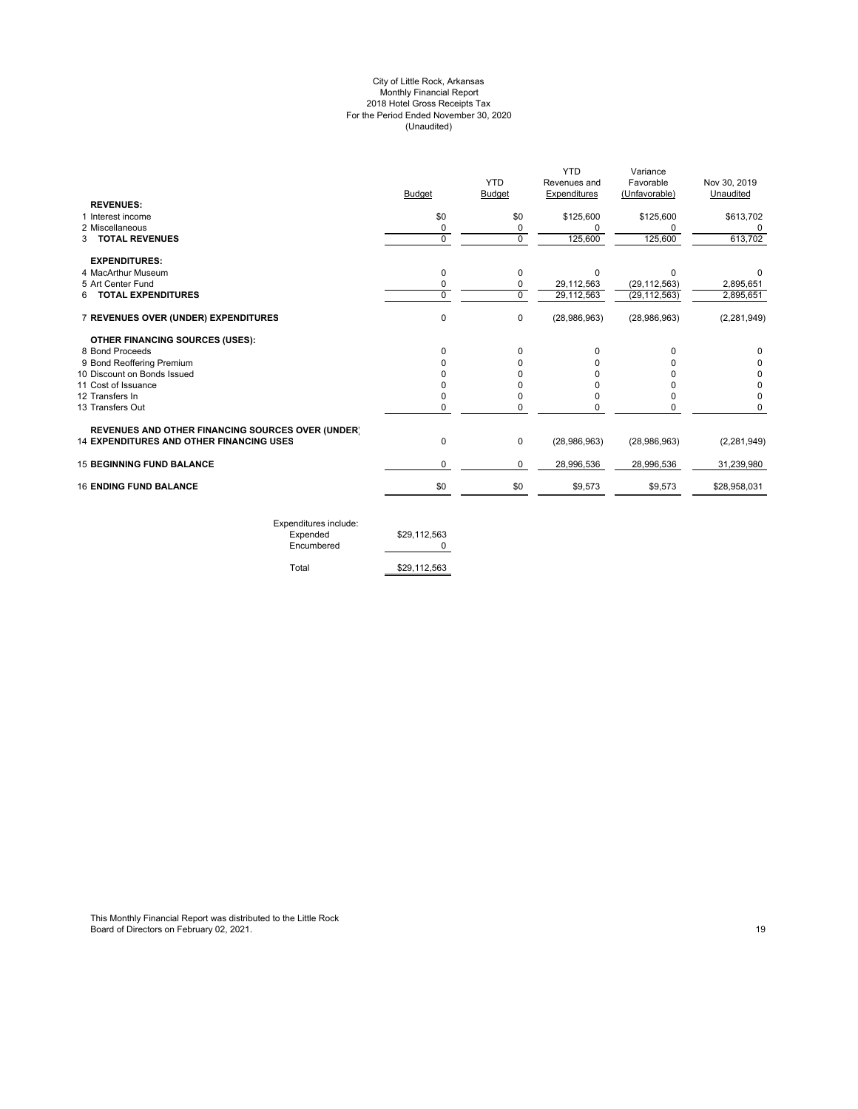#### City of Little Rock, Arkansas Monthly Financial Report 2018 Hotel Gross Receipts Tax For the Period Ended November 30, 2020 (Unaudited)

|                                                          |               |               | YTD          | Variance       |               |
|----------------------------------------------------------|---------------|---------------|--------------|----------------|---------------|
|                                                          |               | <b>YTD</b>    | Revenues and | Favorable      | Nov 30, 2019  |
|                                                          | <b>Budget</b> | <b>Budget</b> | Expenditures | (Unfavorable)  | Unaudited     |
| <b>REVENUES:</b>                                         |               |               |              |                |               |
| 1 Interest income                                        | \$0           | \$0           | \$125,600    | \$125,600      | \$613,702     |
| 2 Miscellaneous                                          | 0             | 0             | $\Omega$     |                |               |
| <b>TOTAL REVENUES</b><br>3                               | $\mathbf 0$   | $\mathbf 0$   | 125,600      | 125,600        | 613,702       |
| <b>EXPENDITURES:</b>                                     |               |               |              |                |               |
| 4 MacArthur Museum                                       | 0             | 0             | $\Omega$     | $\Omega$       |               |
| 5 Art Center Fund                                        | 0             | 0             | 29,112,563   | (29, 112, 563) | 2,895,651     |
| <b>TOTAL EXPENDITURES</b><br>6                           | $\Omega$      | $\Omega$      | 29,112,563   | (29, 112, 563) | 2,895,651     |
| 7 REVENUES OVER (UNDER) EXPENDITURES                     | 0             | 0             | (28,986,963) | (28,986,963)   | (2, 281, 949) |
| OTHER FINANCING SOURCES (USES):                          |               |               |              |                |               |
| 8 Bond Proceeds                                          |               | 0             | $\Omega$     |                | 0             |
| 9 Bond Reoffering Premium                                |               | <sup>0</sup>  |              |                | 0             |
| 10 Discount on Bonds Issued                              |               | ŋ             |              |                | 0             |
| 11 Cost of Issuance                                      |               | n             |              |                | 0             |
| 12 Transfers In                                          |               | 0             |              |                | 0             |
| 13 Transfers Out                                         | 0             | 0             | 0            |                | 0             |
| <b>REVENUES AND OTHER FINANCING SOURCES OVER (UNDER)</b> |               |               |              |                |               |
| <b>14 EXPENDITURES AND OTHER FINANCING USES</b>          | $\Omega$      | 0             | (28,986,963) | (28,986,963)   | (2, 281, 949) |
| <b>15 BEGINNING FUND BALANCE</b>                         | 0             | 0             | 28,996,536   | 28,996,536     | 31,239,980    |
| <b>16 ENDING FUND BALANCE</b>                            | \$0           | \$0           | \$9,573      | \$9,573        | \$28,958,031  |
|                                                          |               |               |              |                |               |

Expenditures include: Expended \$29,112,563 Encumbered 0

Total \$29,112,563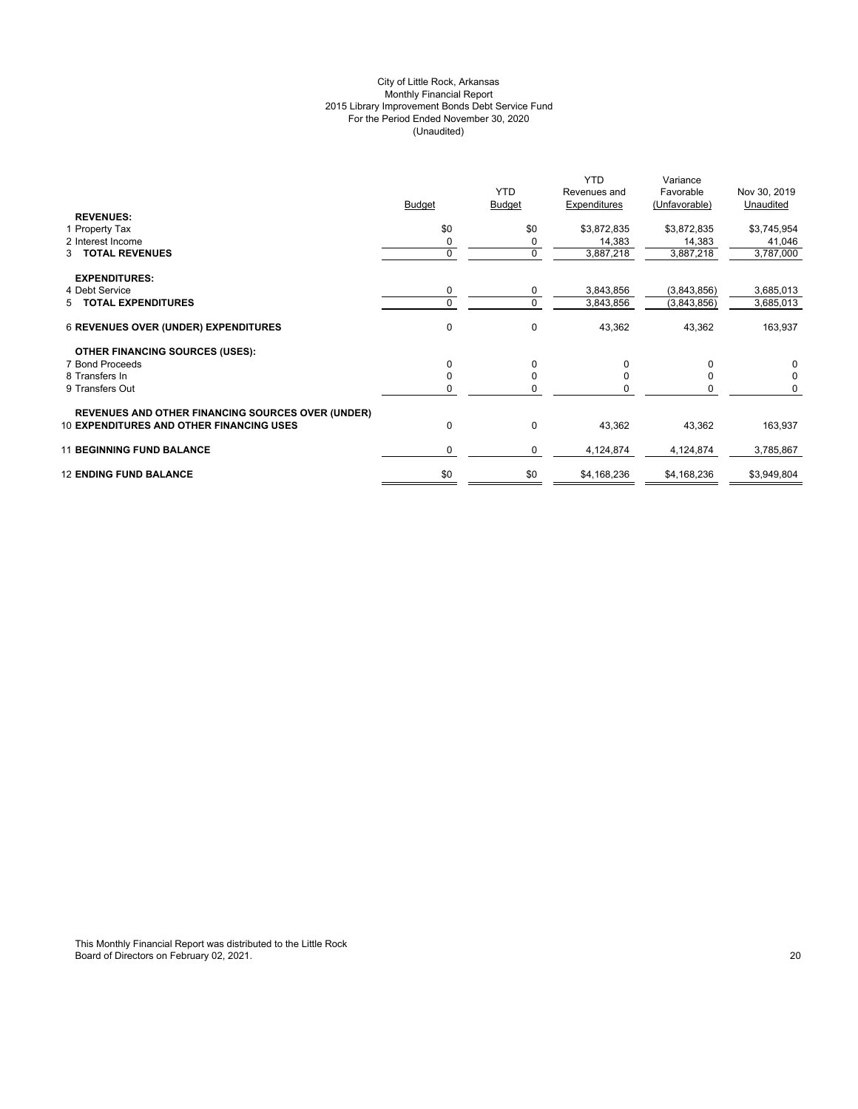## City of Little Rock, Arkansas Monthly Financial Report 2015 Library Improvement Bonds Debt Service Fund For the Period Ended November 30, 2020 (Unaudited)

|                                                          |               |               | <b>YTD</b>   | Variance      |              |
|----------------------------------------------------------|---------------|---------------|--------------|---------------|--------------|
|                                                          |               | <b>YTD</b>    | Revenues and | Favorable     | Nov 30, 2019 |
|                                                          | <b>Budget</b> | <b>Budget</b> | Expenditures | (Unfavorable) | Unaudited    |
| <b>REVENUES:</b>                                         |               |               |              |               |              |
| 1 Property Tax                                           | \$0           | \$0           | \$3,872,835  | \$3,872,835   | \$3,745,954  |
| 2 Interest Income                                        | 0             | 0             | 14,383       | 14,383        | 41,046       |
| <b>TOTAL REVENUES</b><br>3                               | 0             | 0             | 3,887,218    | 3,887,218     | 3,787,000    |
| <b>EXPENDITURES:</b>                                     |               |               |              |               |              |
| 4 Debt Service                                           | 0             | 0             | 3,843,856    | (3,843,856)   | 3,685,013    |
| 5 TOTAL EXPENDITURES                                     |               | $\Omega$      | 3,843,856    | (3,843,856)   | 3,685,013    |
|                                                          |               |               |              |               |              |
| <b>6 REVENUES OVER (UNDER) EXPENDITURES</b>              | 0             | $\mathbf 0$   | 43,362       | 43,362        | 163,937      |
| <b>OTHER FINANCING SOURCES (USES):</b>                   |               |               |              |               |              |
| 7 Bond Proceeds                                          | 0             | $\Omega$      | 0            | $\Omega$      | $\Omega$     |
| 8 Transfers In                                           |               | 0             | 0            | 0             | 0            |
| 9 Transfers Out                                          |               | ŋ             |              |               | 0            |
|                                                          |               |               |              |               |              |
| <b>REVENUES AND OTHER FINANCING SOURCES OVER (UNDER)</b> |               |               |              |               |              |
| <b>10 EXPENDITURES AND OTHER FINANCING USES</b>          | $\Omega$      | 0             | 43,362       | 43,362        | 163,937      |
| <b>11 BEGINNING FUND BALANCE</b>                         | 0             | 0             | 4,124,874    | 4,124,874     | 3,785,867    |
|                                                          |               |               |              |               |              |
| <b>12 ENDING FUND BALANCE</b>                            | \$0           | \$0           | \$4,168,236  | \$4,168,236   | \$3,949,804  |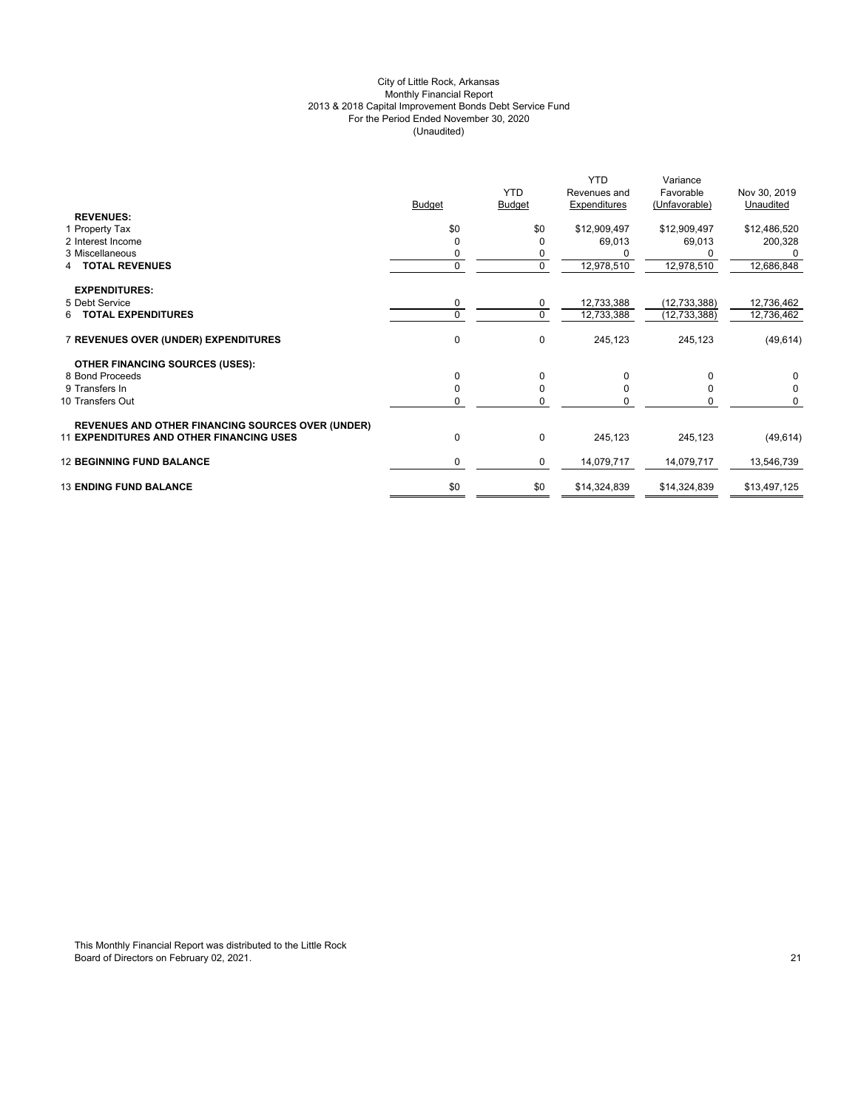## City of Little Rock, Arkansas Monthly Financial Report 2013 & 2018 Capital Improvement Bonds Debt Service Fund For the Period Ended November 30, 2020 (Unaudited)

|                                                          | <b>Budget</b> | <b>YTD</b><br><b>Budget</b> | <b>YTD</b><br>Revenues and<br>Expenditures | Variance<br>Favorable<br>(Unfavorable) | Nov 30, 2019<br>Unaudited |
|----------------------------------------------------------|---------------|-----------------------------|--------------------------------------------|----------------------------------------|---------------------------|
| <b>REVENUES:</b><br>1 Property Tax                       | \$0           | \$0                         | \$12,909,497                               | \$12,909,497                           | \$12,486,520              |
| 2 Interest Income                                        | O             | 0                           | 69,013                                     | 69,013                                 | 200,328                   |
| 3 Miscellaneous                                          | 0             | 0                           |                                            |                                        |                           |
| <b>TOTAL REVENUES</b>                                    | $\mathbf 0$   | $\mathbf 0$                 | 12,978,510                                 | 12,978,510                             | 12,686,848                |
| <b>EXPENDITURES:</b>                                     |               |                             |                                            |                                        |                           |
| 5 Debt Service                                           | $\mathbf 0$   | 0                           | 12,733,388                                 | (12, 733, 388)                         | 12,736,462                |
| <b>6 TOTAL EXPENDITURES</b>                              | $\Omega$      | $\Omega$                    | 12,733,388                                 | (12, 733, 388)                         | 12,736,462                |
| 7 REVENUES OVER (UNDER) EXPENDITURES                     | $\Omega$      | $\mathbf 0$                 | 245,123                                    | 245,123                                | (49, 614)                 |
| <b>OTHER FINANCING SOURCES (USES):</b>                   |               |                             |                                            |                                        |                           |
| 8 Bond Proceeds                                          | $\Omega$      | $\mathbf 0$                 | 0                                          | $\Omega$                               | 0                         |
| 9 Transfers In                                           | $\Omega$      | 0                           | <sup>0</sup>                               | $\Omega$                               | 0                         |
| 10 Transfers Out                                         | 0             | 0                           | O                                          | 0                                      | $\Omega$                  |
| <b>REVENUES AND OTHER FINANCING SOURCES OVER (UNDER)</b> |               |                             |                                            |                                        |                           |
| <b>11 EXPENDITURES AND OTHER FINANCING USES</b>          | 0             | 0                           | 245,123                                    | 245,123                                | (49, 614)                 |
| <b>12 BEGINNING FUND BALANCE</b>                         | $\mathbf 0$   | 0                           | 14,079,717                                 | 14,079,717                             | 13,546,739                |
| <b>13 ENDING FUND BALANCE</b>                            | \$0           | \$0                         | \$14,324,839                               | \$14,324,839                           | \$13,497,125              |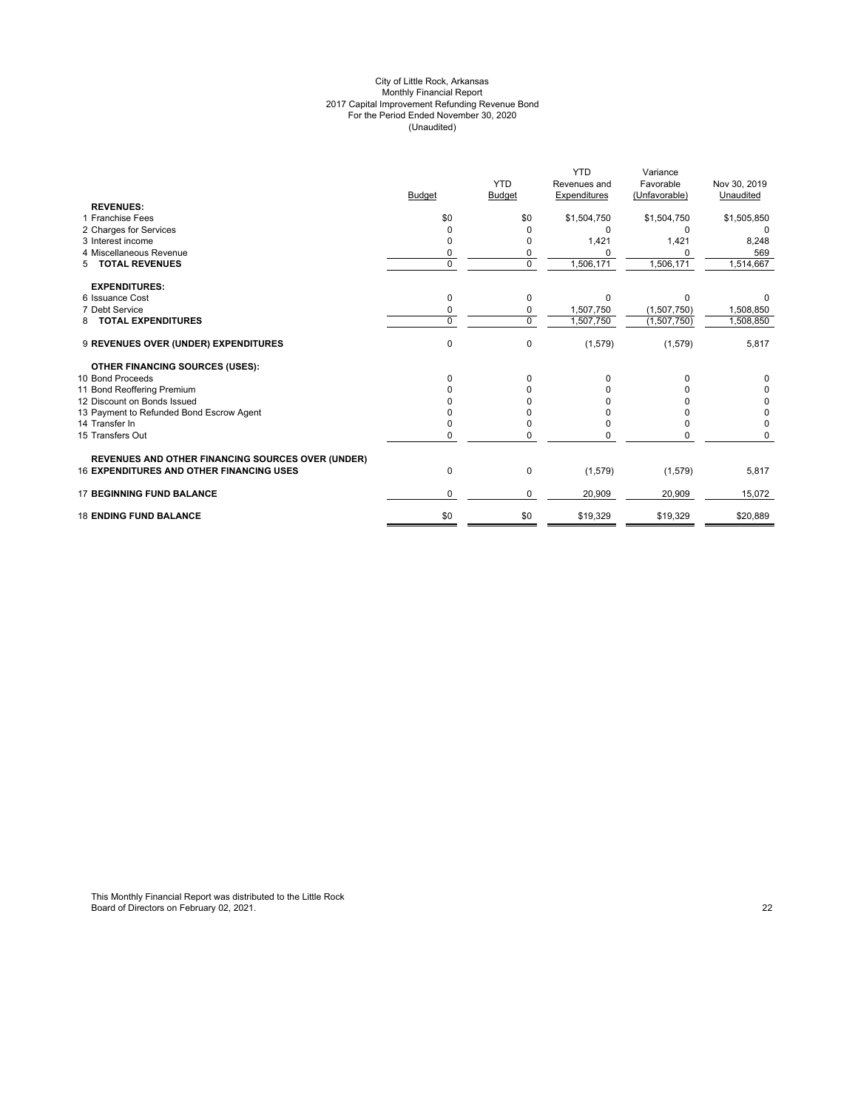#### City of Little Rock, Arkansas Monthly Financial Report 2017 Capital Improvement Refunding Revenue Bond For the Period Ended November 30, 2020 (Unaudited)

|                                                          |               |            | <b>YTD</b>   | Variance      |              |
|----------------------------------------------------------|---------------|------------|--------------|---------------|--------------|
|                                                          |               | <b>YTD</b> | Revenues and | Favorable     | Nov 30, 2019 |
|                                                          | <b>Budget</b> | Budget     | Expenditures | (Unfavorable) | Unaudited    |
| <b>REVENUES:</b>                                         |               |            |              |               |              |
| 1 Franchise Fees                                         | \$0           | \$0        | \$1,504,750  | \$1,504,750   | \$1,505,850  |
| 2 Charges for Services                                   | O             |            | n            | O             |              |
| 3 Interest income                                        |               |            | 1,421        | 1,421         | 8,248        |
| 4 Miscellaneous Revenue                                  | 0             | 0          |              |               | 569          |
| <b>TOTAL REVENUES</b><br>5                               | $\Omega$      | 0          | 1,506,171    | 1,506,171     | 1,514,667    |
| <b>EXPENDITURES:</b>                                     |               |            |              |               |              |
| 6 Issuance Cost                                          | $\Omega$      | 0          | n            | O             |              |
| 7 Debt Service                                           | 0             | 0          | 1,507,750    | (1,507,750)   | 1,508,850    |
| <b>TOTAL EXPENDITURES</b><br>8                           | $\Omega$      | $\Omega$   | 1,507,750    | (1,507,750)   | 1,508,850    |
| 9 REVENUES OVER (UNDER) EXPENDITURES                     | $\mathbf 0$   | 0          | (1, 579)     | (1, 579)      | 5,817        |
| <b>OTHER FINANCING SOURCES (USES):</b>                   |               |            |              |               |              |
| 10 Bond Proceeds                                         | <sup>0</sup>  | 0          |              |               |              |
| 11 Bond Reoffering Premium                               |               |            |              |               | 0            |
| 12 Discount on Bonds Issued                              |               |            |              |               | 0            |
| 13 Payment to Refunded Bond Escrow Agent                 |               |            |              |               | 0            |
| 14 Transfer In                                           |               | 0          |              |               | $\Omega$     |
| 15 Transfers Out                                         | $\Omega$      | O          |              | U             |              |
| <b>REVENUES AND OTHER FINANCING SOURCES OVER (UNDER)</b> |               |            |              |               |              |
| <b>16 EXPENDITURES AND OTHER FINANCING USES</b>          | 0             | 0          | (1,579)      | (1,579)       | 5,817        |
| <b>17 BEGINNING FUND BALANCE</b>                         | $\Omega$      | 0          | 20,909       | 20,909        | 15,072       |
| <b>18 ENDING FUND BALANCE</b>                            | \$0           | \$0        | \$19,329     | \$19,329      | \$20,889     |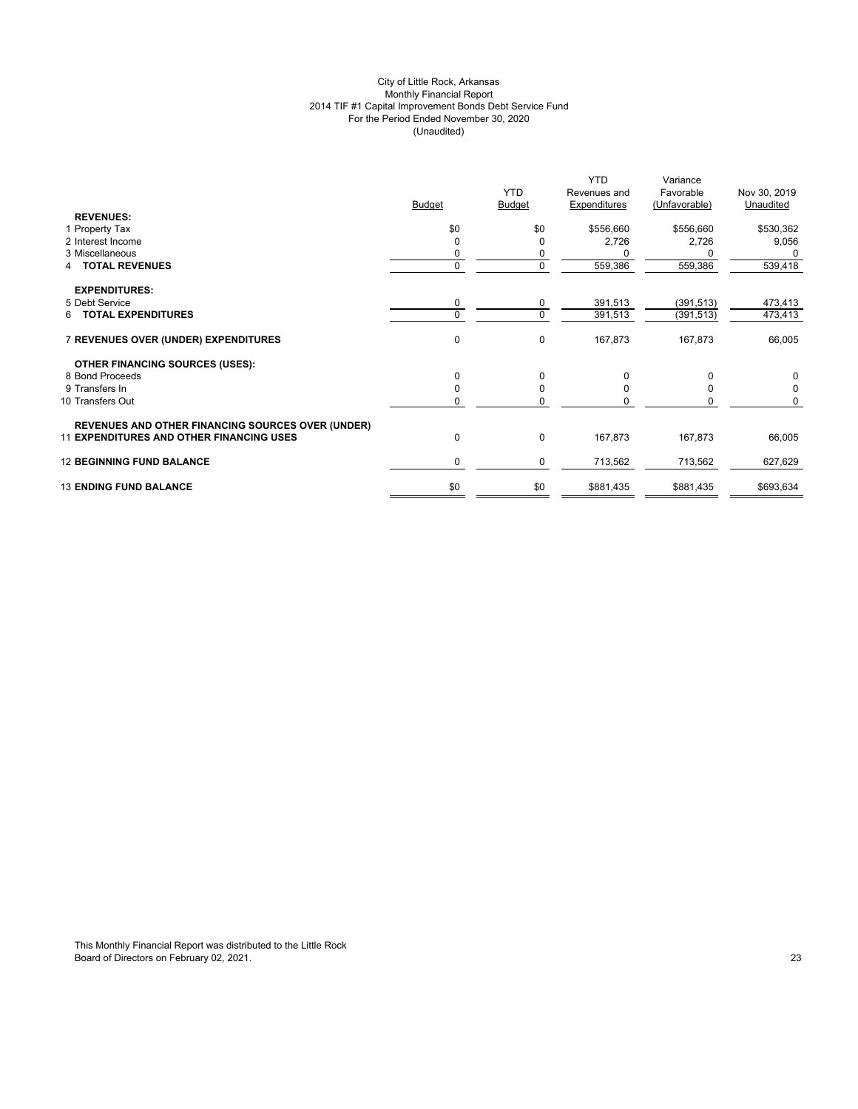## City of Little Rock, Arkansas Monthly Financial Report 2014 TIF #1 Capital Improvement Bonds Debt Service Fund For the Period Ended November 30, 2020 (Unaudited)

|                                                          |               | <b>YTD</b>    | <b>YTD</b><br>Revenues and | Variance<br>Favorable | Nov 30, 2019 |
|----------------------------------------------------------|---------------|---------------|----------------------------|-----------------------|--------------|
| <b>REVENUES:</b>                                         | <b>Budget</b> | <b>Budget</b> | Expenditures               | (Unfavorable)         | Unaudited    |
| 1 Property Tax                                           | \$0           | \$0           | \$556,660                  | \$556,660             | \$530,362    |
| 2 Interest Income                                        | 0             | 0             | 2,726                      | 2,726                 | 9,056        |
| 3 Miscellaneous                                          | 0             | 0             |                            |                       |              |
| <b>TOTAL REVENUES</b><br>4                               | $\mathbf{0}$  | 0             | 559,386                    | 559,386               | 539,418      |
| <b>EXPENDITURES:</b>                                     |               |               |                            |                       |              |
| 5 Debt Service                                           | 0             | 0             | 391,513                    | (391, 513)            | 473,413      |
| <b>6 TOTAL EXPENDITURES</b>                              | $\Omega$      | $\mathbf 0$   | 391,513                    | (391, 513)            | 473,413      |
| 7 REVENUES OVER (UNDER) EXPENDITURES                     | 0             | 0             | 167,873                    | 167,873               | 66,005       |
| <b>OTHER FINANCING SOURCES (USES):</b>                   |               |               |                            |                       |              |
| 8 Bond Proceeds                                          | 0             | 0             | 0                          | $\Omega$              | 0            |
| 9 Transfers In                                           | $\Omega$      | $\mathbf 0$   | $\Omega$                   | $\Omega$              | $\mathbf 0$  |
| 10 Transfers Out                                         | 0             | 0             | O                          | $\Omega$              | $\Omega$     |
| <b>REVENUES AND OTHER FINANCING SOURCES OVER (UNDER)</b> |               |               |                            |                       |              |
| <b>11 EXPENDITURES AND OTHER FINANCING USES</b>          | 0             | $\pmb{0}$     | 167,873                    | 167,873               | 66,005       |
| <b>12 BEGINNING FUND BALANCE</b>                         | $\mathbf 0$   | 0             | 713,562                    | 713,562               | 627,629      |
| <b>13 ENDING FUND BALANCE</b>                            | \$0           | \$0           | \$881,435                  | \$881,435             | \$693,634    |
|                                                          |               |               |                            |                       |              |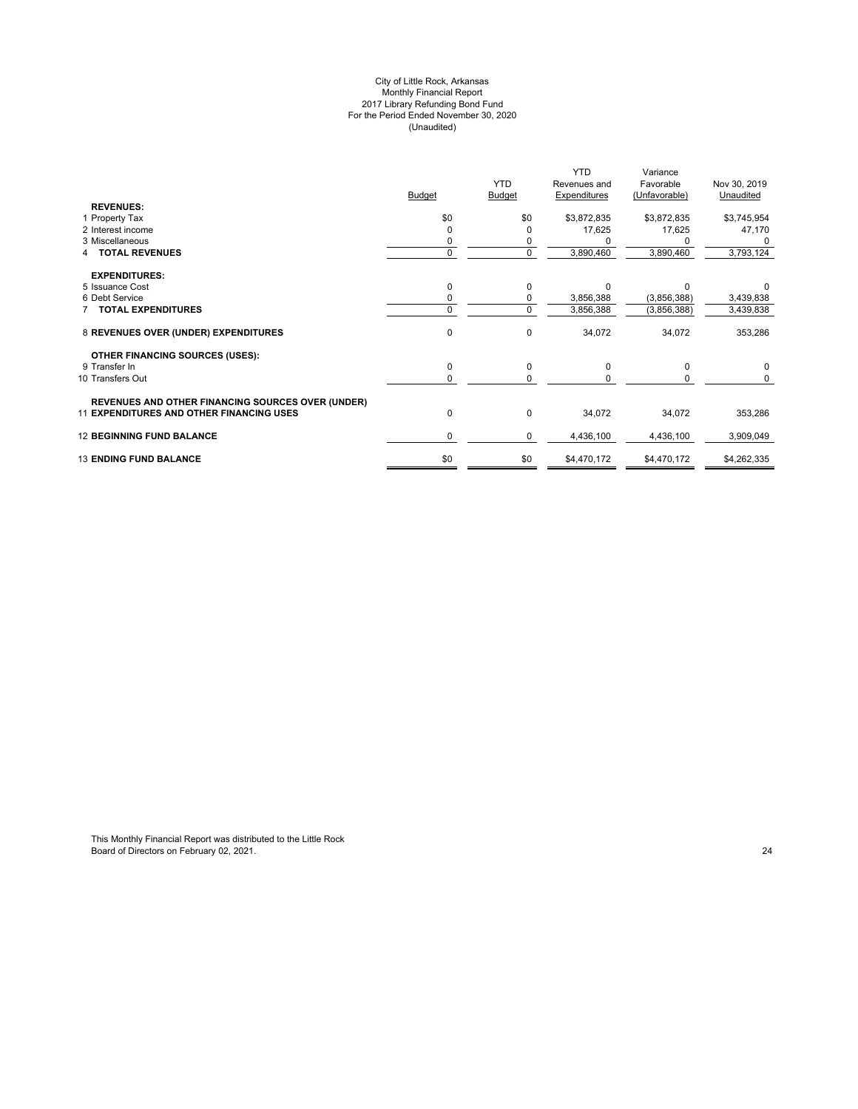#### City of Little Rock, Arkansas Monthly Financial Report 2017 Library Refunding Bond Fund For the Period Ended November 30, 2020 (Unaudited)

|                                                                                                             |               | <b>YTD</b>    | <b>YTD</b><br>Revenues and | Variance<br>Favorable | Nov 30, 2019 |
|-------------------------------------------------------------------------------------------------------------|---------------|---------------|----------------------------|-----------------------|--------------|
|                                                                                                             | <b>Budget</b> | <b>Budget</b> | <b>Expenditures</b>        | (Unfavorable)         | Unaudited    |
| <b>REVENUES:</b>                                                                                            |               |               |                            |                       |              |
| 1 Property Tax                                                                                              | \$0           | \$0           | \$3,872,835                | \$3,872,835           | \$3,745,954  |
| 2 Interest income                                                                                           |               | 0             | 17,625                     | 17,625                | 47,170       |
| 3 Miscellaneous                                                                                             |               |               |                            |                       |              |
| <b>TOTAL REVENUES</b>                                                                                       | 0             | $\mathbf 0$   | 3,890,460                  | 3,890,460             | 3,793,124    |
| <b>EXPENDITURES:</b>                                                                                        |               |               |                            |                       |              |
| 5 Issuance Cost                                                                                             |               | 0             | <sup>0</sup>               | $\Omega$              |              |
| 6 Debt Service                                                                                              |               | 0             | 3,856,388                  | (3,856,388)           | 3,439,838    |
| <b>TOTAL EXPENDITURES</b>                                                                                   | $\Omega$      | $\mathbf 0$   | 3,856,388                  | (3,856,388)           | 3,439,838    |
| 8 REVENUES OVER (UNDER) EXPENDITURES                                                                        | $\mathbf 0$   | $\mathbf 0$   | 34,072                     | 34,072                | 353,286      |
| <b>OTHER FINANCING SOURCES (USES):</b>                                                                      |               |               |                            |                       |              |
| 9 Transfer In                                                                                               | $\Omega$      | 0             | $\Omega$                   | $\Omega$              | $\Omega$     |
| 10 Transfers Out                                                                                            | 0             | $\Omega$      |                            |                       | $\Omega$     |
|                                                                                                             |               |               |                            |                       |              |
| <b>REVENUES AND OTHER FINANCING SOURCES OVER (UNDER)</b><br><b>11 EXPENDITURES AND OTHER FINANCING USES</b> | $\mathbf 0$   | $\mathbf 0$   | 34,072                     | 34,072                | 353,286      |
| <b>12 BEGINNING FUND BALANCE</b>                                                                            | $\Omega$      | 0             | 4,436,100                  | 4,436,100             | 3,909,049    |
| <b>13 ENDING FUND BALANCE</b>                                                                               | \$0           | \$0           | \$4,470,172                | \$4,470,172           | \$4,262,335  |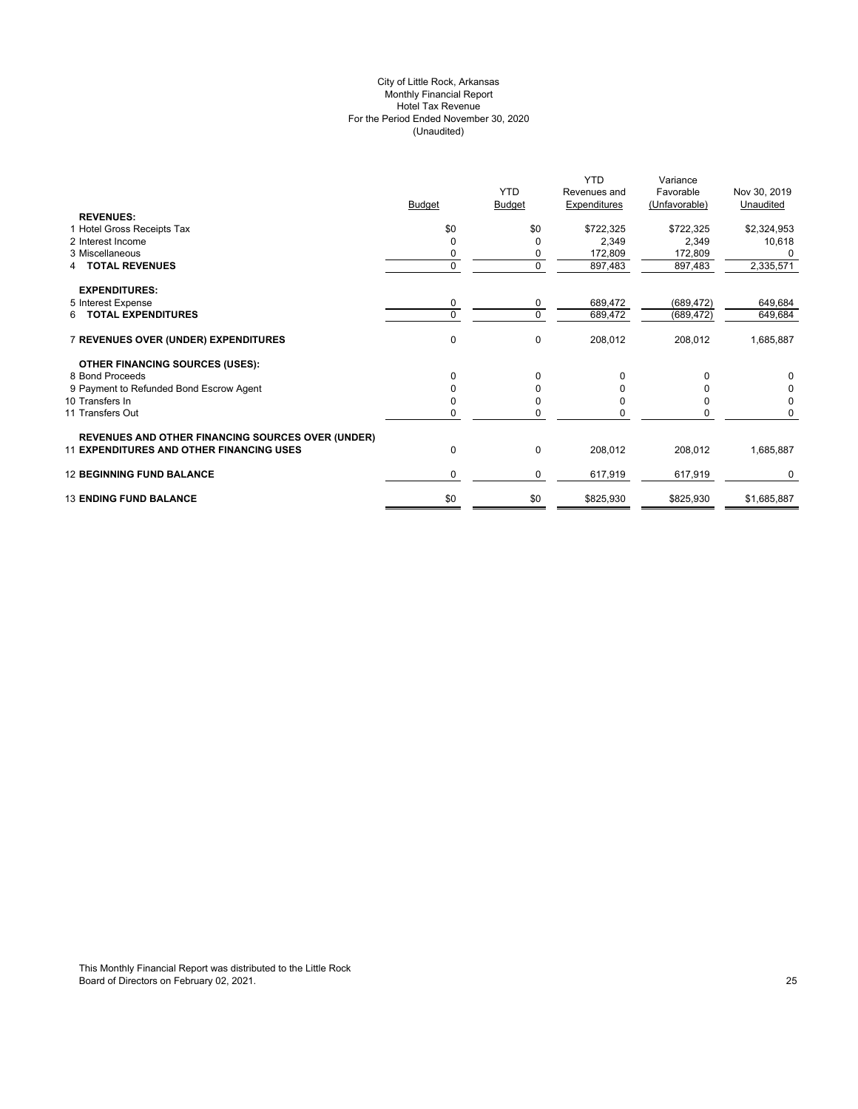## City of Little Rock, Arkansas Monthly Financial Report Hotel Tax Revenue For the Period Ended November 30, 2020 (Unaudited)

|                                                          |          |               | <b>YTD</b>   | Variance      |              |
|----------------------------------------------------------|----------|---------------|--------------|---------------|--------------|
|                                                          |          | <b>YTD</b>    | Revenues and | Favorable     | Nov 30, 2019 |
|                                                          | Budget   | <b>Budget</b> | Expenditures | (Unfavorable) | Unaudited    |
| <b>REVENUES:</b>                                         |          |               |              |               |              |
| 1 Hotel Gross Receipts Tax                               | \$0      | \$0           | \$722,325    | \$722,325     | \$2,324,953  |
| 2 Interest Income                                        | 0        | O             | 2,349        | 2,349         | 10,618       |
| 3 Miscellaneous                                          |          | 0             | 172,809      | 172,809       |              |
| <b>TOTAL REVENUES</b>                                    | 0        | $\mathbf 0$   | 897,483      | 897,483       | 2,335,571    |
| <b>EXPENDITURES:</b>                                     |          |               |              |               |              |
| 5 Interest Expense                                       | 0        | 0             | 689,472      | (689, 472)    | 649,684      |
| 6 TOTAL EXPENDITURES                                     | $\Omega$ | 0             | 689,472      | (689, 472)    | 649,684      |
| 7 REVENUES OVER (UNDER) EXPENDITURES                     | 0        | $\mathbf 0$   | 208,012      | 208,012       | 1,685,887    |
| <b>OTHER FINANCING SOURCES (USES):</b>                   |          |               |              |               |              |
| 8 Bond Proceeds                                          | 0        | 0             |              | $\Omega$      | 0            |
| 9 Payment to Refunded Bond Escrow Agent                  |          | 0             |              |               | 0            |
| 10 Transfers In                                          |          | 0             |              |               | 0            |
| 11 Transfers Out                                         | 0        | $\Omega$      |              | n             | 0            |
| <b>REVENUES AND OTHER FINANCING SOURCES OVER (UNDER)</b> |          |               |              |               |              |
| <b>11 EXPENDITURES AND OTHER FINANCING USES</b>          | 0        | $\mathbf 0$   | 208,012      | 208,012       | 1,685,887    |
| <b>12 BEGINNING FUND BALANCE</b>                         | 0        | 0             | 617,919      | 617,919       | 0            |
| <b>13 ENDING FUND BALANCE</b>                            | \$0      | \$0           | \$825,930    | \$825,930     | \$1,685,887  |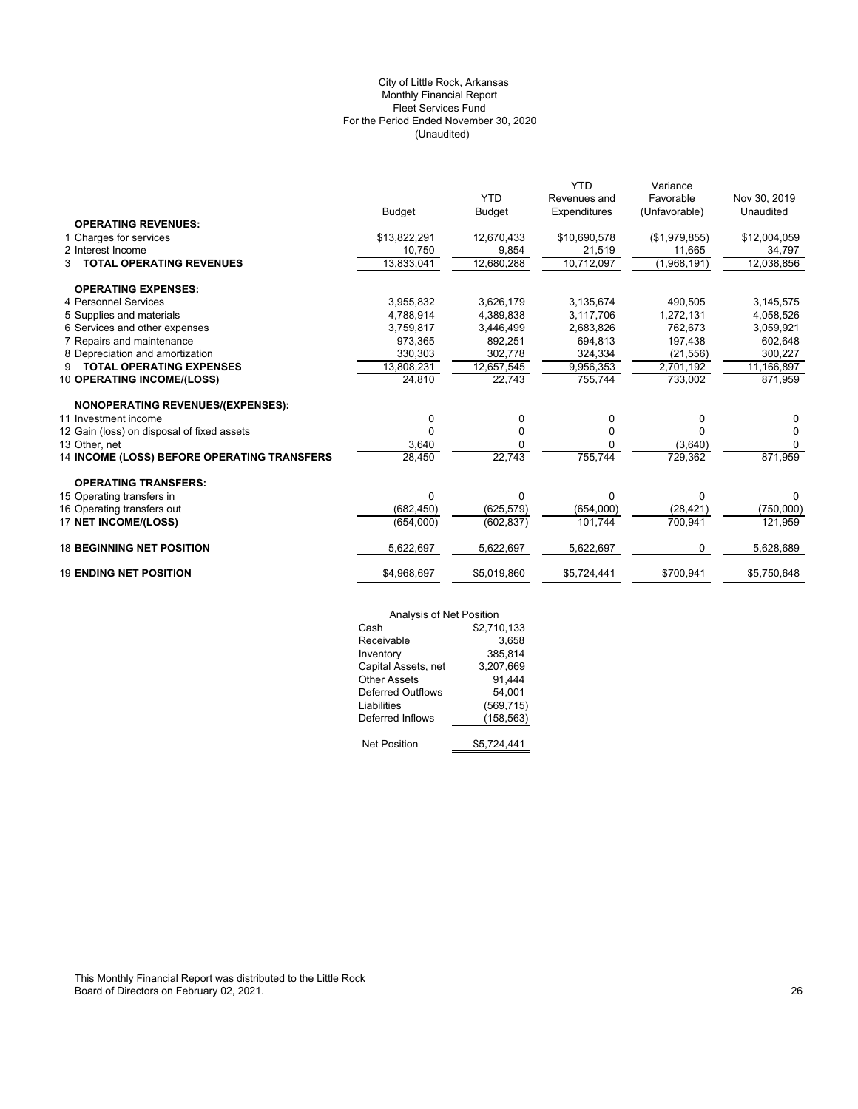## (Unaudited) City of Little Rock, Arkansas Monthly Financial Report Fleet Services Fund For the Period Ended November 30, 2020

| <b>OPERATING REVENUES:</b>                                                                    |              |
|-----------------------------------------------------------------------------------------------|--------------|
| 1 Charges for services<br>\$13,822,291<br>12,670,433<br>\$10,690,578<br>(\$1,979,855)         | \$12,004,059 |
| 2 Interest Income<br>10,750<br>9,854<br>21,519<br>11,665                                      | 34,797       |
| 13,833,041<br>12,680,288<br>10,712,097<br>(1,968,191)<br><b>TOTAL OPERATING REVENUES</b><br>3 | 12,038,856   |
| <b>OPERATING EXPENSES:</b>                                                                    |              |
| 4 Personnel Services<br>3,626,179<br>3,135,674<br>3,955,832<br>490,505                        | 3,145,575    |
| 5 Supplies and materials<br>4,788,914<br>4,389,838<br>3,117,706<br>1,272,131                  | 4,058,526    |
| 6 Services and other expenses<br>3,759,817<br>3,446,499<br>2,683,826<br>762,673               | 3,059,921    |
| 7 Repairs and maintenance<br>892,251<br>694.813<br>973,365<br>197,438                         | 602,648      |
| 8 Depreciation and amortization<br>330,303<br>302,778<br>324,334<br>(21, 556)                 | 300,227      |
| <b>TOTAL OPERATING EXPENSES</b><br>13,808,231<br>12,657,545<br>9,956,353<br>2,701,192<br>9    | 11,166,897   |
| 24,810<br>10 OPERATING INCOME/(LOSS)<br>22,743<br>755,744<br>733,002                          | 871,959      |
| <b>NONOPERATING REVENUES/(EXPENSES):</b>                                                      |              |
| 11 Investment income<br>0<br>0<br>0<br>0                                                      | 0            |
| 12 Gain (loss) on disposal of fixed assets<br>0<br>0<br>O                                     | 0            |
| 13 Other, net<br>3,640<br>0<br>(3,640)<br>O                                                   | $\Omega$     |
| 14 INCOME (LOSS) BEFORE OPERATING TRANSFERS<br>22,743<br>755,744<br>28,450<br>729,362         | 871,959      |
| <b>OPERATING TRANSFERS:</b>                                                                   |              |
| 15 Operating transfers in<br>0<br>0<br>$\Omega$<br>0                                          | <sup>0</sup> |
| 16 Operating transfers out<br>(682, 450)<br>(654,000)<br>(625, 579)<br>(28, 421)              | (750,000)    |
| 17 NET INCOME/(LOSS)<br>700,941<br>(654,000)<br>(602, 837)<br>101,744                         | 121,959      |
| <b>18 BEGINNING NET POSITION</b><br>5,622,697<br>5,622,697<br>5,622,697<br>0                  | 5,628,689    |
| <b>19 ENDING NET POSITION</b><br>\$4,968,697<br>\$700,941<br>\$5,019,860<br>\$5,724,441       | \$5,750,648  |

|                          | Analysis of Net Position |  |  |
|--------------------------|--------------------------|--|--|
| Cash                     | \$2,710,133              |  |  |
| Receivable               | 3,658                    |  |  |
| Inventory                | 385,814                  |  |  |
| Capital Assets, net      | 3,207,669                |  |  |
| <b>Other Assets</b>      | 91,444                   |  |  |
| <b>Deferred Outflows</b> | 54.001                   |  |  |
| Liabilities              | (569, 715)               |  |  |
| Deferred Inflows         | (158,563)                |  |  |
| <b>Net Position</b>      | \$5.724.441              |  |  |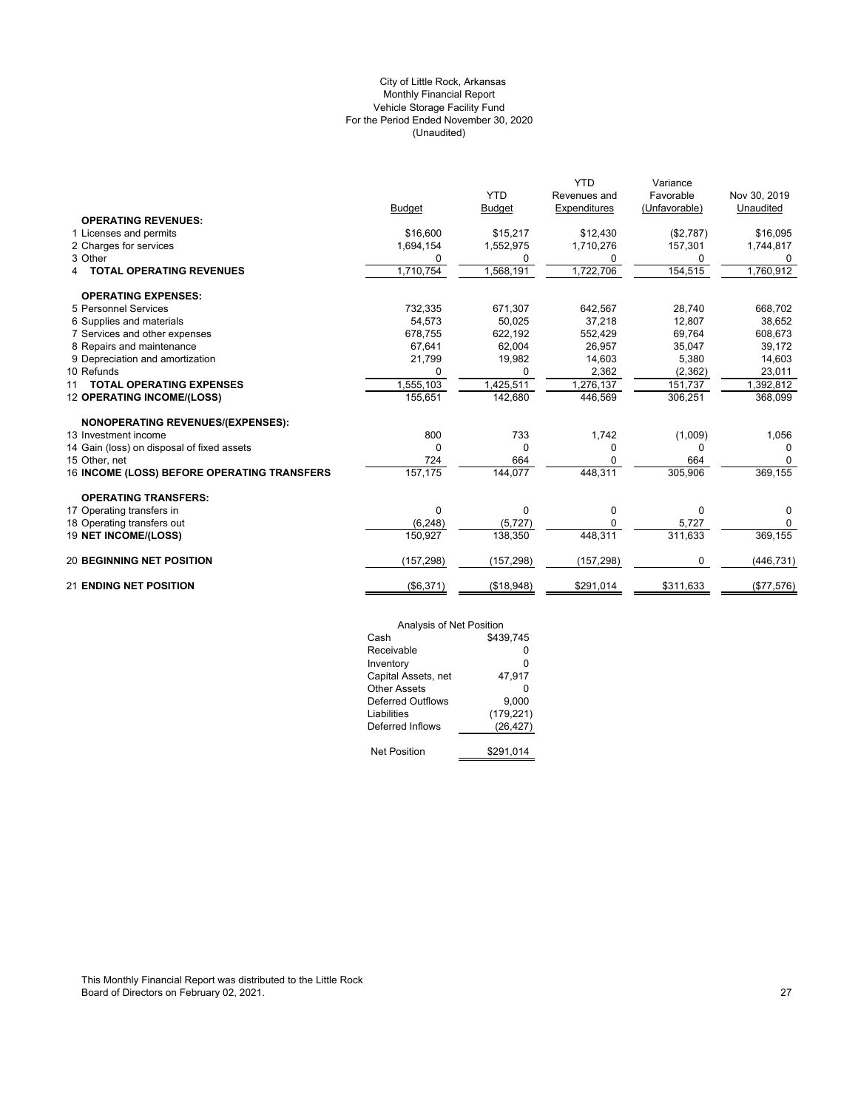## (Unaudited) City of Little Rock, Arkansas Monthly Financial Report Vehicle Storage Facility Fund For the Period Ended November 30, 2020

|                                             |               |               | <b>YTD</b>   | Variance      |              |
|---------------------------------------------|---------------|---------------|--------------|---------------|--------------|
|                                             |               | <b>YTD</b>    | Revenues and | Favorable     | Nov 30, 2019 |
|                                             | <b>Budget</b> | <b>Budget</b> | Expenditures | (Unfavorable) | Unaudited    |
| <b>OPERATING REVENUES:</b>                  |               |               |              |               |              |
| 1 Licenses and permits                      | \$16,600      | \$15,217      | \$12,430     | (\$2,787)     | \$16,095     |
| 2 Charges for services                      | 1,694,154     | 1,552,975     | 1,710,276    | 157,301       | 1,744,817    |
| 3 Other                                     | 0             | 0             | 0            | 0             | 0            |
| <b>TOTAL OPERATING REVENUES</b>             | 1,710,754     | 1,568,191     | 1,722,706    | 154,515       | 1,760,912    |
| <b>OPERATING EXPENSES:</b>                  |               |               |              |               |              |
| 5 Personnel Services                        | 732,335       | 671,307       | 642,567      | 28,740        | 668,702      |
| 6 Supplies and materials                    | 54.573        | 50.025        | 37,218       | 12,807        | 38,652       |
| 7 Services and other expenses               | 678,755       | 622,192       | 552,429      | 69,764        | 608,673      |
| 8 Repairs and maintenance                   | 67,641        | 62,004        | 26,957       | 35,047        | 39,172       |
| 9 Depreciation and amortization             | 21,799        | 19,982        | 14,603       | 5,380         | 14,603       |
| 10 Refunds                                  | 0             | 0             | 2,362        | (2, 362)      | 23,011       |
| <b>TOTAL OPERATING EXPENSES</b><br>11       | 1,555,103     | 1,425,511     | 1,276,137    | 151,737       | 1,392,812    |
| 12 OPERATING INCOME/(LOSS)                  | 155,651       | 142,680       | 446,569      | 306,251       | 368,099      |
| <b>NONOPERATING REVENUES/(EXPENSES):</b>    |               |               |              |               |              |
| 13 Investment income                        | 800           | 733           | 1,742        | (1,009)       | 1,056        |
| 14 Gain (loss) on disposal of fixed assets  | 0             | 0             | $\Omega$     | O             | $\Omega$     |
| 15 Other, net                               | 724           | 664           | 0            | 664           | 0            |
| 16 INCOME (LOSS) BEFORE OPERATING TRANSFERS | 157,175       | 144,077       | 448,311      | 305,906       | 369,155      |
| <b>OPERATING TRANSFERS:</b>                 |               |               |              |               |              |
| 17 Operating transfers in                   | 0             | 0             | 0            | $\Omega$      | 0            |
| 18 Operating transfers out                  | (6, 248)      | (5, 727)      | $\Omega$     | 5,727         | $\Omega$     |
| 19 NET INCOME/(LOSS)                        | 150,927       | 138,350       | 448,311      | 311,633       | 369,155      |
| <b>20 BEGINNING NET POSITION</b>            | (157, 298)    | (157, 298)    | (157, 298)   | 0             | (446, 731)   |
| <b>21 ENDING NET POSITION</b>               | (\$6,371)     | (\$18,948)    | \$291,014    | \$311,633     | (\$77,576)   |

| Analysis of Net Position |            |
|--------------------------|------------|
| Cash                     | \$439,745  |
| Receivable               | ŋ          |
| Inventory                | 0          |
| Capital Assets, net      | 47.917     |
| Other Assets             | ŋ          |
| Deferred Outflows        | 9.000      |
| Liabilities              | (179, 221) |
| Deferred Inflows         | (26, 427)  |
|                          |            |
| <b>Net Position</b>      | \$291,014  |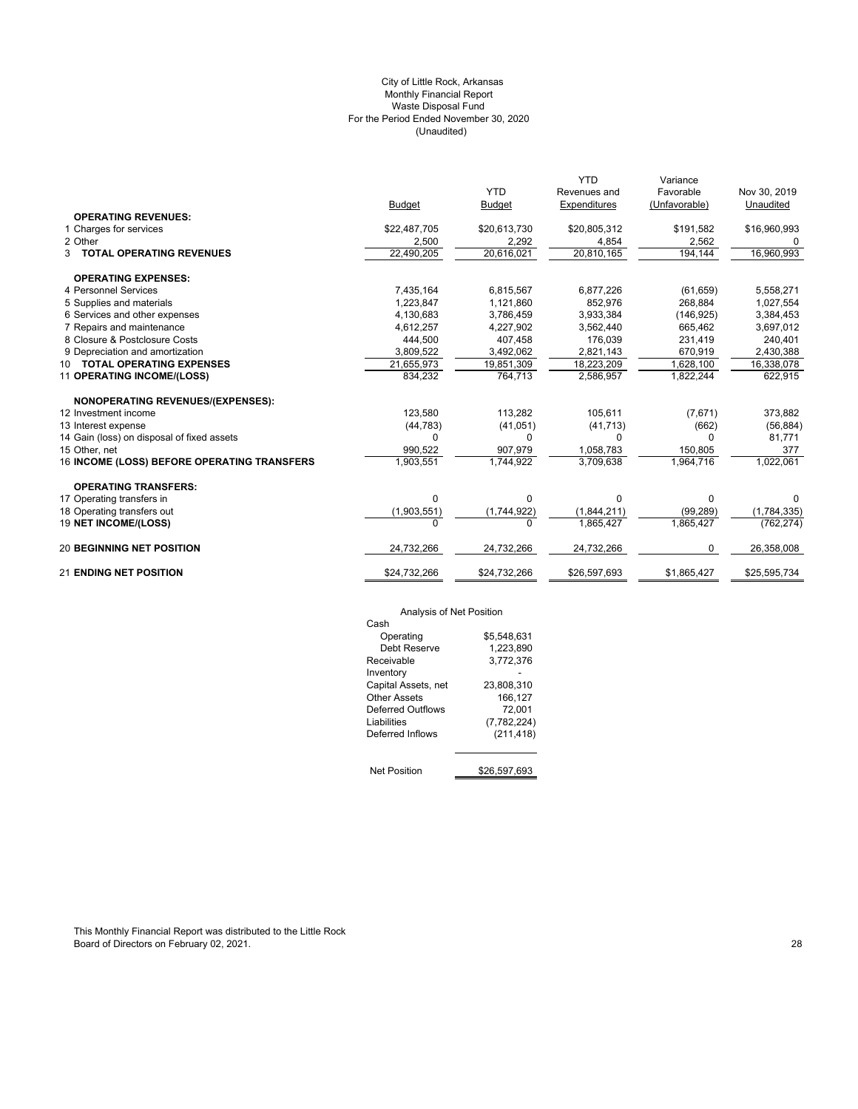## (Unaudited) City of Little Rock, Arkansas Monthly Financial Report Waste Disposal Fund For the Period Ended November 30, 2020

|                                             |               |                          | <b>YTD</b>   | Variance      |              |
|---------------------------------------------|---------------|--------------------------|--------------|---------------|--------------|
|                                             |               | <b>YTD</b>               | Revenues and | Favorable     | Nov 30, 2019 |
|                                             | <b>Budget</b> | <b>Budget</b>            | Expenditures | (Unfavorable) | Unaudited    |
| <b>OPERATING REVENUES:</b>                  |               |                          |              |               |              |
| 1 Charges for services                      | \$22,487,705  | \$20,613,730             | \$20,805,312 | \$191,582     | \$16,960,993 |
| 2 Other                                     | 2,500         | 2,292                    | 4,854        | 2,562         |              |
| <b>3 TOTAL OPERATING REVENUES</b>           | 22,490,205    | $\overline{20,61}$ 6,021 | 20,810,165   | 194,144       | 16,960,993   |
| <b>OPERATING EXPENSES:</b>                  |               |                          |              |               |              |
| 4 Personnel Services                        | 7,435,164     | 6,815,567                | 6,877,226    | (61, 659)     | 5,558,271    |
| 5 Supplies and materials                    | 1,223,847     | 1,121,860                | 852.976      | 268,884       | 1,027,554    |
| 6 Services and other expenses               | 4,130,683     | 3,786,459                | 3,933,384    | (146, 925)    | 3,384,453    |
| 7 Repairs and maintenance                   | 4,612,257     | 4,227,902                | 3,562,440    | 665.462       | 3,697,012    |
| 8 Closure & Postclosure Costs               | 444,500       | 407,458                  | 176,039      | 231,419       | 240,401      |
| 9 Depreciation and amortization             | 3,809,522     | 3,492,062                | 2,821,143    | 670,919       | 2,430,388    |
| 10 TOTAL OPERATING EXPENSES                 | 21,655,973    | 19,851,309               | 18,223,209   | 1,628,100     | 16,338,078   |
| 11 OPERATING INCOME/(LOSS)                  | 834,232       | 764,713                  | 2,586,957    | 1,822,244     | 622,915      |
| NONOPERATING REVENUES/(EXPENSES):           |               |                          |              |               |              |
| 12 Investment income                        | 123,580       | 113,282                  | 105,611      | (7,671)       | 373,882      |
| 13 Interest expense                         | (44, 783)     | (41, 051)                | (41, 713)    | (662)         | (56, 884)    |
| 14 Gain (loss) on disposal of fixed assets  | 0             | 0                        | 0            | 0             | 81,771       |
| 15 Other, net                               | 990,522       | 907,979                  | 1,058,783    | 150,805       | 377          |
| 16 INCOME (LOSS) BEFORE OPERATING TRANSFERS | 1,903,551     | 1,744,922                | 3,709,638    | 1,964,716     | 1,022,061    |
| <b>OPERATING TRANSFERS:</b>                 |               |                          |              |               |              |
| 17 Operating transfers in                   | $\Omega$      | 0                        | 0            | $\Omega$      | 0            |
| 18 Operating transfers out                  | (1,903,551)   | (1,744,922)              | (1,844,211)  | (99, 289)     | (1,784,335)  |
| 19 NET INCOME/(LOSS)                        | $\Omega$      | 0                        | 1.865.427    | 1,865,427     | (762, 274)   |
| <b>20 BEGINNING NET POSITION</b>            | 24,732,266    | 24,732,266               | 24,732,266   | 0             | 26,358,008   |
| <b>21 ENDING NET POSITION</b>               | \$24,732,266  | \$24,732,266             | \$26,597,693 | \$1,865,427   | \$25,595,734 |

# Analysis of Net Position

| Alialysis UI NCLF USILIUII |              |
|----------------------------|--------------|
| Cash                       |              |
| Operating                  | \$5.548.631  |
| Debt Reserve               | 1,223,890    |
| Receivable                 | 3,772,376    |
| Inventory                  |              |
| Capital Assets, net        | 23,808,310   |
| Other Assets               | 166,127      |
| Deferred Outflows          | 72,001       |
| Liabilities                | (7,782,224)  |
| Deferred Inflows           | (211, 418)   |
|                            |              |
| <b>Net Position</b>        | \$26.597.693 |

This Monthly Financial Report was distributed to the Little Rock Board of Directors on February 02, 2021. 28 April 2020 12: 28 April 2020 12: 28 April 2020 12: 28 April 2020 12: 28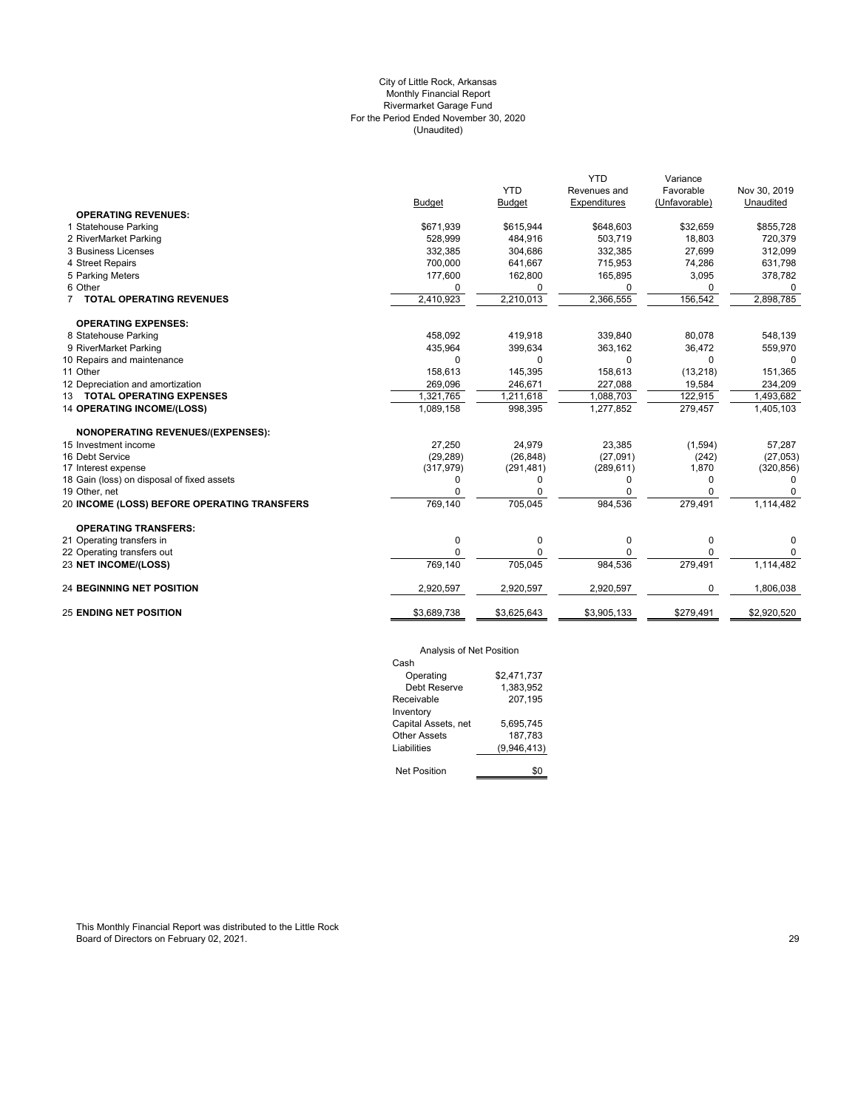## (Unaudited) City of Little Rock, Arkansas Monthly Financial Report Rivermarket Garage Fund For the Period Ended November 30, 2020

|               |                                            | <b>YTD</b>                                                       | Variance                                                         |                                                             |
|---------------|--------------------------------------------|------------------------------------------------------------------|------------------------------------------------------------------|-------------------------------------------------------------|
|               | <b>YTD</b>                                 | Revenues and                                                     | Favorable                                                        | Nov 30, 2019                                                |
| <b>Budget</b> | <b>Budget</b>                              | <b>Expenditures</b>                                              | (Unfavorable)                                                    | Unaudited                                                   |
|               |                                            |                                                                  |                                                                  |                                                             |
| \$671,939     | \$615,944                                  | \$648,603                                                        | \$32,659                                                         | \$855,728                                                   |
| 528.999       | 484.916                                    | 503.719                                                          | 18.803                                                           | 720,379                                                     |
| 332,385       | 304,686                                    | 332,385                                                          | 27,699                                                           | 312,099                                                     |
| 700,000       | 641,667                                    | 715,953                                                          | 74,286                                                           | 631,798                                                     |
|               |                                            |                                                                  |                                                                  | 378,782                                                     |
| $\mathbf 0$   | 0                                          | $\Omega$                                                         | 0                                                                | 0                                                           |
| 2,410,923     | 2,210,013                                  | 2,366,555                                                        | 156,542                                                          | 2,898,785                                                   |
|               |                                            |                                                                  |                                                                  |                                                             |
| 458.092       |                                            |                                                                  |                                                                  | 548,139                                                     |
|               |                                            |                                                                  |                                                                  | 559,970                                                     |
| $\Omega$      | $\Omega$                                   | $\Omega$                                                         | $\Omega$                                                         | $\Omega$                                                    |
| 158.613       |                                            |                                                                  |                                                                  | 151,365                                                     |
|               |                                            |                                                                  |                                                                  | 234,209                                                     |
|               |                                            |                                                                  |                                                                  | 1,493,682                                                   |
| 1,089,158     | 998,395                                    | 1,277,852                                                        | 279,457                                                          | 1,405,103                                                   |
|               |                                            |                                                                  |                                                                  |                                                             |
| 27.250        | 24,979                                     | 23,385                                                           | (1,594)                                                          | 57.287                                                      |
| (29, 289)     | (26, 848)                                  | (27,091)                                                         | (242)                                                            | (27,053)                                                    |
| (317, 979)    | (291, 481)                                 | (289, 611)                                                       | 1,870                                                            | (320, 856)                                                  |
| 0             | 0                                          | 0                                                                | 0                                                                | $\Omega$                                                    |
| $\Omega$      | 0                                          |                                                                  | 0                                                                |                                                             |
| 769,140       | 705,045                                    | 984,536                                                          | 279,491                                                          | 1,114,482                                                   |
|               |                                            |                                                                  |                                                                  |                                                             |
| 0             | 0                                          | 0                                                                | 0                                                                | 0                                                           |
| $\Omega$      | $\Omega$                                   | $\Omega$                                                         | 0                                                                | 0                                                           |
| 769,140       | 705,045                                    | 984,536                                                          | 279,491                                                          | 1,114,482                                                   |
| 2,920,597     | 2,920,597                                  | 2,920,597                                                        | 0                                                                | 1,806,038                                                   |
| \$3,689,738   | \$3,625,643                                | \$3,905,133                                                      | \$279,491                                                        | \$2,920,520                                                 |
|               | 177,600<br>435,964<br>269,096<br>1,321,765 | 162,800<br>419,918<br>399,634<br>145,395<br>246,671<br>1,211,618 | 165,895<br>339,840<br>363,162<br>158,613<br>227,088<br>1,088,703 | 3,095<br>80,078<br>36,472<br>(13, 218)<br>19,584<br>122,915 |

# Analysis of Net Position

| Cash                |             |
|---------------------|-------------|
| Operating           | \$2,471,737 |
| Debt Reserve        | 1.383.952   |
| Receivable          | 207.195     |
| Inventory           |             |
| Capital Assets, net | 5,695,745   |
| Other Assets        | 187.783     |
| Liabilities         | (9,946,413) |
|                     |             |
| Net Position        |             |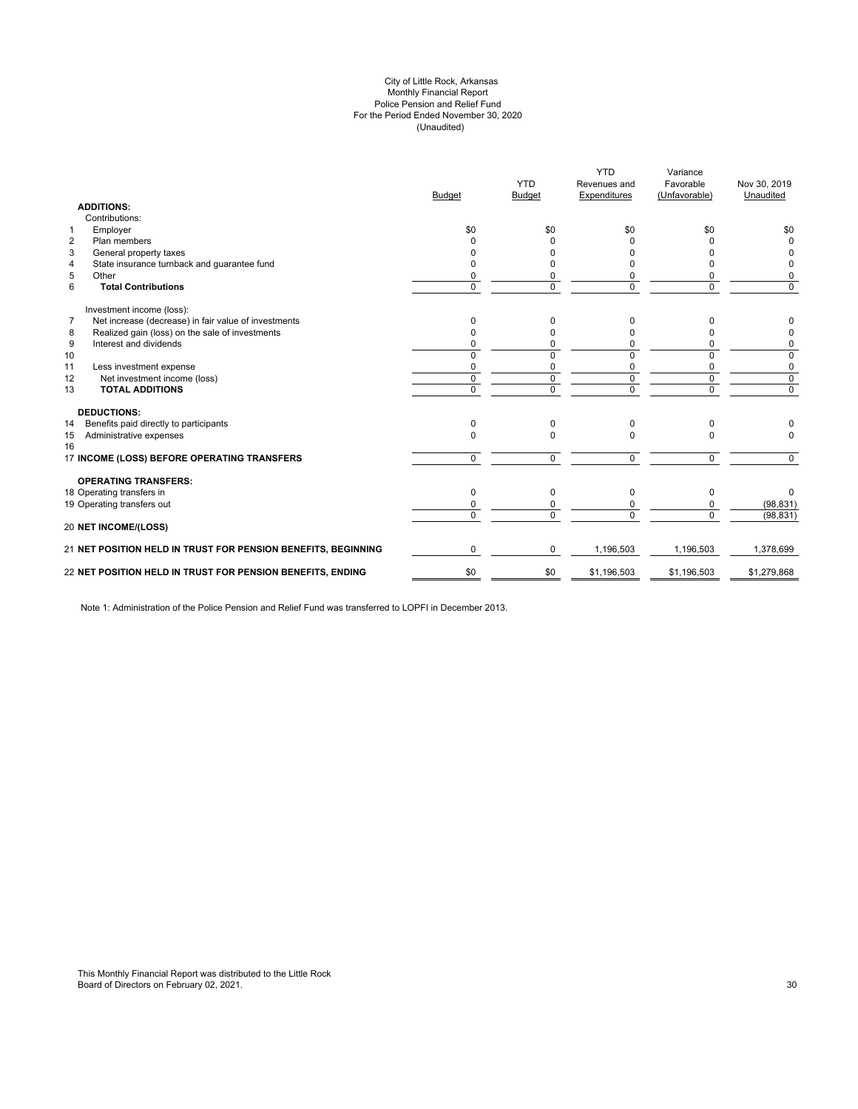#### (Unaudited) City of Little Rock, Arkansas Monthly Financial Report Police Pension and Relief Fund For the Period Ended November 30, 2020

|                |                                                               | Budget         | <b>YTD</b><br>Budget | <b>YTD</b><br>Revenues and<br>Expenditures | Variance<br>Favorable<br>(Unfavorable) | Nov 30, 2019<br>Unaudited |
|----------------|---------------------------------------------------------------|----------------|----------------------|--------------------------------------------|----------------------------------------|---------------------------|
|                | <b>ADDITIONS:</b>                                             |                |                      |                                            |                                        |                           |
|                | Contributions:                                                |                |                      |                                            |                                        |                           |
| $\mathbf{1}$   | Employer                                                      | \$0            | \$0                  | \$0                                        | \$0                                    | \$0                       |
| 2              | Plan members                                                  |                |                      |                                            |                                        | $\Omega$                  |
| 3              | General property taxes                                        | n              |                      |                                            | n                                      |                           |
| $\overline{4}$ | State insurance turnback and guarantee fund                   |                |                      |                                            | o                                      | 0                         |
| 5              | Other                                                         | 0              | 0                    |                                            | 0                                      | 0                         |
| 6              | <b>Total Contributions</b>                                    | $\Omega$       | $\Omega$             | $\Omega$                                   | $\Omega$                               | $\Omega$                  |
|                | Investment income (loss):                                     |                |                      |                                            |                                        |                           |
| 7              | Net increase (decrease) in fair value of investments          | 0              |                      |                                            | 0                                      | O                         |
| 8              | Realized gain (loss) on the sale of investments               |                |                      |                                            | 0                                      | O                         |
| 9              | Interest and dividends                                        |                | ŋ                    |                                            | 0                                      | 0                         |
| 10             |                                                               | $\Omega$       | $\Omega$             |                                            | $\Omega$                               | 0                         |
| 11             | Less investment expense                                       | 0              | 0                    |                                            | 0                                      | 0                         |
| 12             | Net investment income (loss)                                  | $\mathbf 0$    | $\mathbf 0$          | $\mathbf 0$                                | $\mathbf 0$                            | 0                         |
| 13             | <b>TOTAL ADDITIONS</b>                                        | $\overline{0}$ | $\overline{0}$       | $\overline{0}$                             | $\overline{0}$                         | $\overline{0}$            |
|                | <b>DEDUCTIONS:</b>                                            |                |                      |                                            |                                        |                           |
| 14             | Benefits paid directly to participants                        | 0              | $\Omega$             | <sup>0</sup>                               | 0                                      |                           |
| 15<br>16       | Administrative expenses                                       | $\Omega$       | $\Omega$             | $\Omega$                                   | $\Omega$                               | $\Omega$                  |
|                | 17 INCOME (LOSS) BEFORE OPERATING TRANSFERS                   | $\Omega$       | $\Omega$             | $\Omega$                                   | $\mathbf 0$                            | $\Omega$                  |
|                | <b>OPERATING TRANSFERS:</b>                                   |                |                      |                                            |                                        |                           |
|                | 18 Operating transfers in                                     | $\Omega$       | $\Omega$             | $\Omega$                                   | 0                                      | 0                         |
|                | 19 Operating transfers out                                    | 0              | 0                    |                                            | $\Omega$                               | (98, 831)                 |
|                | 20 NET INCOME/(LOSS)                                          | $\Omega$       | $\Omega$             | <sup>n</sup>                               | $\Omega$                               | (98, 831)                 |
|                | 21 NET POSITION HELD IN TRUST FOR PENSION BENEFITS, BEGINNING | $\Omega$       | $\Omega$             | 1.196.503                                  | 1,196,503                              | 1,378,699                 |
|                | 22 NET POSITION HELD IN TRUST FOR PENSION BENEFITS, ENDING    | \$0            | \$0                  | \$1,196,503                                | \$1,196,503                            | \$1,279,868               |
|                |                                                               |                |                      |                                            |                                        |                           |

Note 1: Administration of the Police Pension and Relief Fund was transferred to LOPFI in December 2013.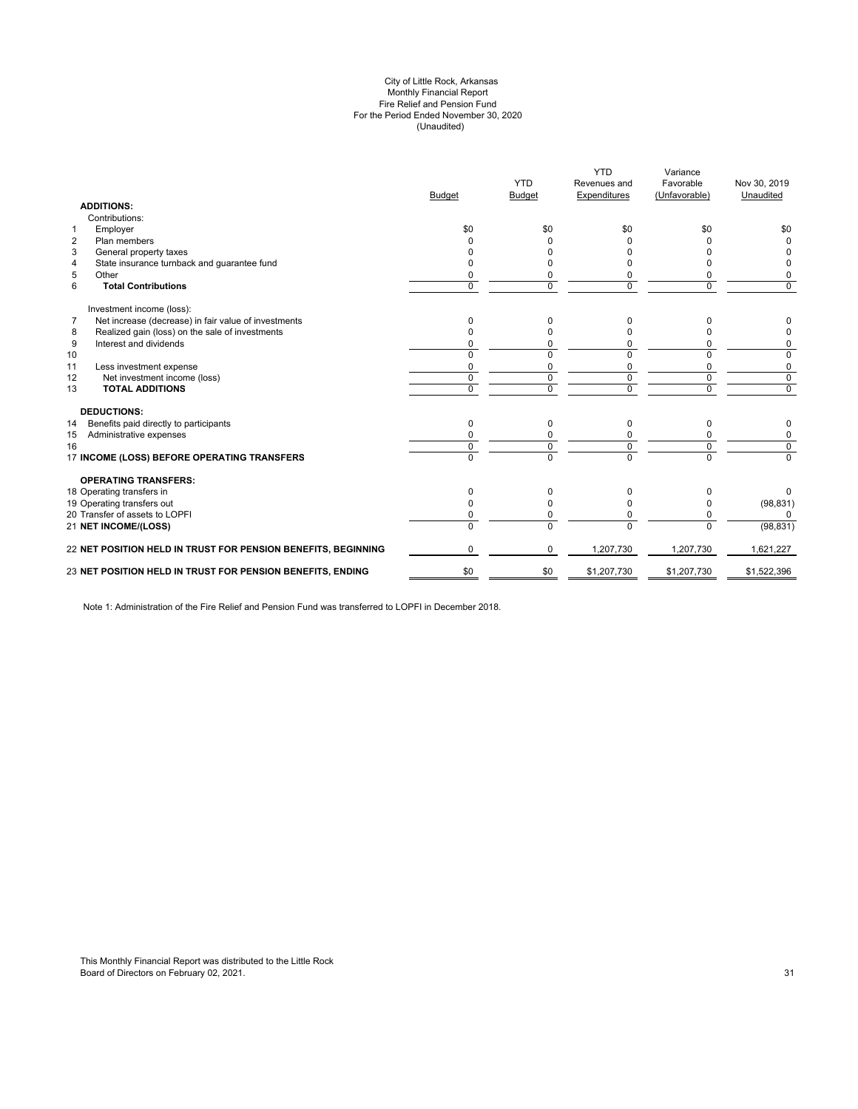#### (Unaudited) City of Little Rock, Arkansas Monthly Financial Report Fire Relief and Pension Fund For the Period Ended November 30, 2020

|                | <b>ADDITIONS:</b>                                             | <b>Budget</b> | <b>YTD</b><br><b>Budget</b> | <b>YTD</b><br>Revenues and<br>Expenditures | Variance<br>Favorable<br>(Unfavorable) | Nov 30, 2019<br>Unaudited |
|----------------|---------------------------------------------------------------|---------------|-----------------------------|--------------------------------------------|----------------------------------------|---------------------------|
|                | Contributions:                                                |               |                             |                                            |                                        |                           |
| $\mathbf{1}$   | Employer                                                      | \$0           | \$0                         | \$0                                        | \$0                                    | \$0                       |
| $\overline{2}$ | Plan members                                                  |               | <sup>0</sup>                | <sup>0</sup>                               |                                        | <sup>0</sup>              |
| 3              | General property taxes                                        |               | <sup>0</sup>                | $\Omega$                                   |                                        |                           |
| 4              | State insurance turnback and guarantee fund                   |               | n                           |                                            |                                        | 0                         |
| 5              | Other                                                         |               | 0                           | $\Omega$                                   |                                        | 0                         |
| 6              | <b>Total Contributions</b>                                    | $\Omega$      | $\Omega$                    | $\Omega$                                   | $\Omega$                               | $\Omega$                  |
|                | Investment income (loss):                                     |               |                             |                                            |                                        |                           |
| $\overline{7}$ | Net increase (decrease) in fair value of investments          | O             | 0                           | $\Omega$                                   |                                        | ŋ                         |
| 8              | Realized gain (loss) on the sale of investments               |               |                             |                                            |                                        |                           |
| 9              | Interest and dividends                                        |               | n                           | $\Omega$                                   |                                        | 0                         |
| 10             |                                                               |               | 0                           | $\Omega$                                   |                                        | $\Omega$                  |
| 11             | Less investment expense                                       |               | 0                           | 0                                          |                                        | 0                         |
| 12             | Net investment income (loss)                                  | $\mathbf 0$   | 0                           | $\mathbf 0$                                | $\Omega$                               | 0                         |
| 13             | <b>TOTAL ADDITIONS</b>                                        | $\Omega$      | $\Omega$                    | $\Omega$                                   | $\Omega$                               | 0                         |
|                | <b>DEDUCTIONS:</b>                                            |               |                             |                                            |                                        |                           |
| 14             | Benefits paid directly to participants                        | $\Omega$      | $\Omega$                    | $\Omega$                                   | <sup>0</sup>                           | 0                         |
| 15             | Administrative expenses                                       |               |                             | 0                                          |                                        | 0                         |
| 16             |                                                               | $\Omega$      | 0                           | $\mathbf 0$                                | $\Omega$                               | $\overline{0}$            |
|                | 17 INCOME (LOSS) BEFORE OPERATING TRANSFERS                   | $\Omega$      | $\Omega$                    | $\Omega$                                   | $\Omega$                               | $\overline{0}$            |
|                | <b>OPERATING TRANSFERS:</b>                                   |               |                             |                                            |                                        |                           |
|                | 18 Operating transfers in                                     | $\Omega$      | $\Omega$                    | $\Omega$                                   |                                        | 0                         |
|                | 19 Operating transfers out                                    |               | 0                           | $\Omega$                                   |                                        | (98, 831)                 |
|                | 20 Transfer of assets to LOPFI                                |               | 0                           | 0                                          | 0                                      | O                         |
|                | <b>21 NET INCOME/(LOSS)</b>                                   | $\Omega$      | $\Omega$                    | $\Omega$                                   | $\Omega$                               | (98, 831)                 |
|                | 22 NET POSITION HELD IN TRUST FOR PENSION BENEFITS, BEGINNING | $\Omega$      | 0                           | 1,207,730                                  | 1,207,730                              | 1,621,227                 |
|                | 23 NET POSITION HELD IN TRUST FOR PENSION BENEFITS, ENDING    | \$0           | \$0                         | \$1,207,730                                | \$1,207,730                            | \$1,522,396               |
|                |                                                               |               |                             |                                            |                                        |                           |

Note 1: Administration of the Fire Relief and Pension Fund was transferred to LOPFI in December 2018.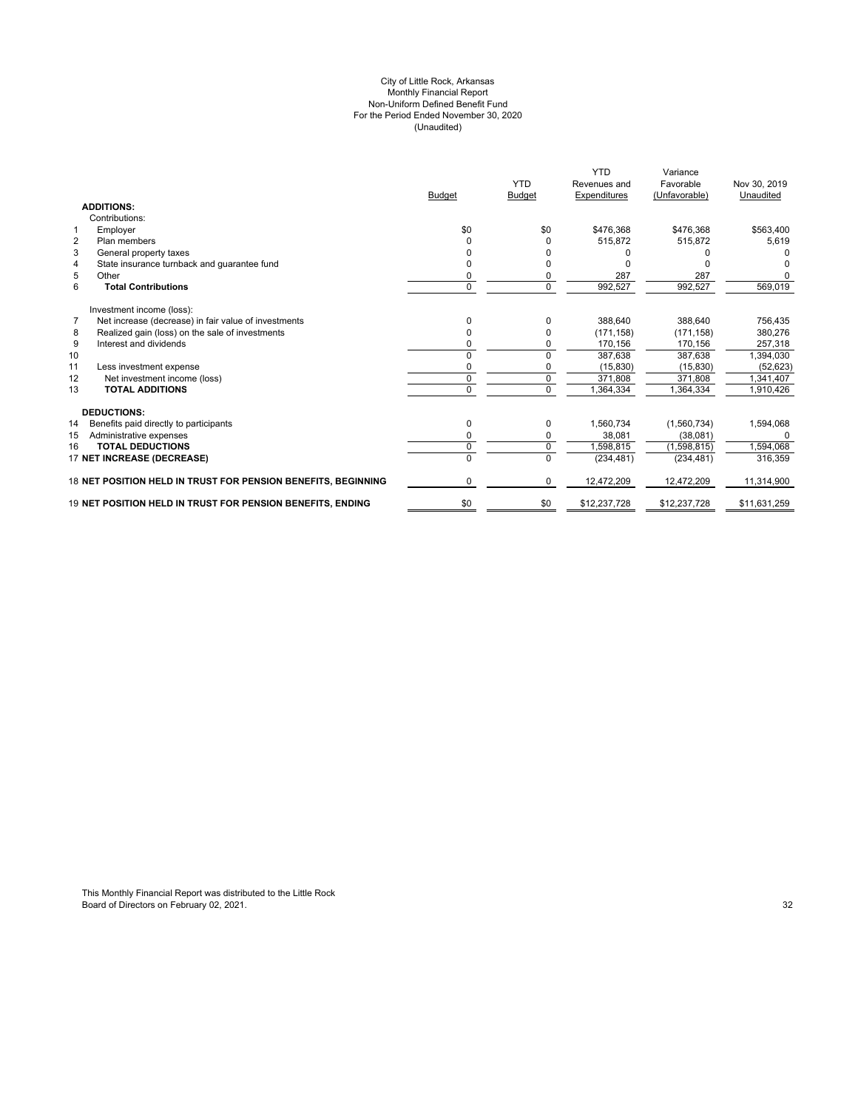#### (Unaudited) For the Period Ended November 30, 2020 City of Little Rock, Arkansas Monthly Financial Report Non-Uniform Defined Benefit Fund

|                                                  |                                                               | <b>Budget</b> | <b>YTD</b><br><b>Budget</b> | <b>YTD</b><br>Revenues and<br>Expenditures | Variance<br>Favorable<br>(Unfavorable) | Nov 30, 2019<br>Unaudited |
|--------------------------------------------------|---------------------------------------------------------------|---------------|-----------------------------|--------------------------------------------|----------------------------------------|---------------------------|
| <b>ADDITIONS:</b>                                |                                                               |               |                             |                                            |                                        |                           |
| Contributions:                                   |                                                               |               |                             |                                            |                                        |                           |
| Employer<br>$\mathbf 1$                          |                                                               | \$0           | \$0                         | \$476.368                                  | \$476.368                              | \$563,400                 |
| $\overline{2}$<br>Plan members                   |                                                               |               | $\Omega$                    | 515,872                                    | 515.872                                | 5,619                     |
| 3<br>General property taxes                      |                                                               |               |                             |                                            |                                        |                           |
| State insurance turnback and guarantee fund<br>4 |                                                               |               |                             |                                            |                                        |                           |
| 5<br>Other                                       |                                                               |               | 0                           | 287                                        | 287                                    |                           |
| 6<br><b>Total Contributions</b>                  |                                                               | $\mathbf 0$   | $\mathbf 0$                 | 992,527                                    | 992,527                                | 569,019                   |
| Investment income (loss):                        |                                                               |               |                             |                                            |                                        |                           |
| $\overline{7}$                                   | Net increase (decrease) in fair value of investments          | O             | $\Omega$                    | 388.640                                    | 388.640                                | 756,435                   |
| 8                                                | Realized gain (loss) on the sale of investments               |               | $\Omega$                    | (171, 158)                                 | (171, 158)                             | 380,276                   |
| 9<br>Interest and dividends                      |                                                               | ŋ             | 0                           | 170,156                                    | 170,156                                | 257,318                   |
| 10                                               |                                                               | U             | 0                           | 387,638                                    | 387,638                                | 1,394,030                 |
| 11<br>Less investment expense                    |                                                               | 0             | 0                           | (15, 830)                                  | (15, 830)                              | (52, 623)                 |
| Net investment income (loss)<br>12               |                                                               | $\Omega$      | $\mathbf 0$                 | 371,808                                    | 371,808                                | ,341,407                  |
| <b>TOTAL ADDITIONS</b><br>13                     |                                                               | $\Omega$      | $\Omega$                    | ,364,334                                   | 1,364,334                              | 1,910,426                 |
| <b>DEDUCTIONS:</b>                               |                                                               |               |                             |                                            |                                        |                           |
| 14<br>Benefits paid directly to participants     |                                                               | $\mathbf 0$   | 0                           | 1,560,734                                  | (1,560,734)                            | 1,594,068                 |
| Administrative expenses<br>15                    |                                                               | $\Omega$      | 0                           | 38.081                                     | (38,081)                               | $\Omega$                  |
| <b>TOTAL DEDUCTIONS</b><br>16                    |                                                               | 0             | $\mathbf 0$                 | 1,598,815                                  | (1,598,815)                            | 1,594,068                 |
| 17 NET INCREASE (DECREASE)                       |                                                               |               | 0                           | (234, 481)                                 | (234, 481)                             | 316,359                   |
|                                                  | 18 NET POSITION HELD IN TRUST FOR PENSION BENEFITS, BEGINNING | 0             | 0                           | 12,472,209                                 | 12,472,209                             | 11,314,900                |
|                                                  | 19 NET POSITION HELD IN TRUST FOR PENSION BENEFITS. ENDING    | \$0           | \$0                         | \$12,237,728                               | \$12,237,728                           | \$11,631,259              |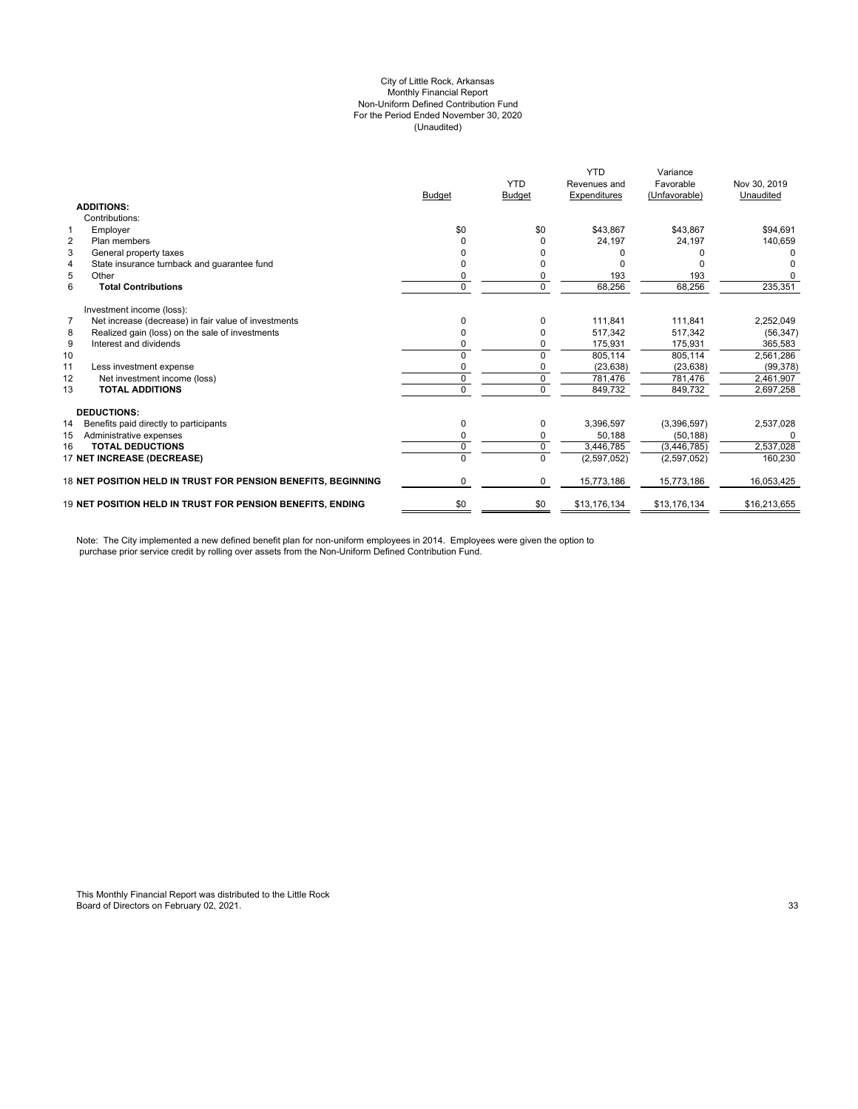#### City of Little Rock, Arkansas (Unaudited) For the Period Ended November 30, 2020 Non-Uniform Defined Contribution Fund Monthly Financial Report

|                |                                                                   | <b>Budget</b>  | <b>YTD</b><br><b>Budget</b> | <b>YTD</b><br>Revenues and<br>Expenditures | Variance<br>Favorable<br>(Unfavorable) | Nov 30, 2019<br>Unaudited |
|----------------|-------------------------------------------------------------------|----------------|-----------------------------|--------------------------------------------|----------------------------------------|---------------------------|
|                | <b>ADDITIONS:</b>                                                 |                |                             |                                            |                                        |                           |
|                | Contributions:                                                    |                |                             |                                            |                                        |                           |
| 1              | Employer                                                          | \$0            | \$0                         | \$43,867                                   | \$43,867                               | \$94,691                  |
| $\overline{2}$ | Plan members                                                      |                |                             | 24,197                                     | 24,197                                 | 140,659                   |
| 3              | General property taxes                                            |                |                             |                                            |                                        |                           |
| $\overline{4}$ | State insurance turnback and guarantee fund                       |                |                             |                                            |                                        |                           |
| 5              | Other                                                             | 0              |                             | 193                                        | 193                                    |                           |
| 6              | <b>Total Contributions</b>                                        | 0              | $\Omega$                    | 68,256                                     | 68,256                                 | 235,351                   |
|                | Investment income (loss):                                         |                |                             |                                            |                                        |                           |
| $\overline{7}$ | Net increase (decrease) in fair value of investments              | ŋ              |                             | 111.841                                    | 111.841                                | 2,252,049                 |
| 8              | Realized gain (loss) on the sale of investments                   | 0              |                             | 517.342                                    | 517,342                                | (56, 347)                 |
| 9              | Interest and dividends                                            |                |                             | 175,931                                    | 175,931                                | 365,583                   |
| 10             |                                                                   | $\Omega$       | $\Omega$                    | 805,114                                    | 805,114                                | 2,561,286                 |
| 11             | Less investment expense                                           | 0              |                             | (23, 638)                                  | (23, 638)                              | (99, 378)                 |
| 12             | Net investment income (loss)                                      | 0              | 0                           | 781,476                                    | 781,476                                | 2,461,907                 |
| 13             | <b>TOTAL ADDITIONS</b>                                            | $\Omega$       | $\Omega$                    | 849.732                                    | 849.732                                | 2,697,258                 |
|                | <b>DEDUCTIONS:</b>                                                |                |                             |                                            |                                        |                           |
| 14             | Benefits paid directly to participants                            | 0              | $\Omega$                    | 3,396,597                                  | (3,396,597)                            | 2,537,028                 |
| 15             | Administrative expenses                                           | 0              | 0                           | 50.188                                     | (50, 188)                              |                           |
| 16             | <b>TOTAL DEDUCTIONS</b>                                           | 0              | $\Omega$                    | 3,446,785                                  | (3,446,785)                            | 2,537,028                 |
|                | 17 NET INCREASE (DECREASE)                                        | $\overline{0}$ | $\Omega$                    | (2,597,052)                                | (2,597,052)                            | 160,230                   |
|                | 18 NET POSITION HELD IN TRUST FOR PENSION BENEFITS, BEGINNING     | 0              | 0                           | 15,773,186                                 | 15,773,186                             | 16,053,425                |
|                | <b>19 NET POSITION HELD IN TRUST FOR PENSION BENEFITS. ENDING</b> | \$0            | \$0                         | \$13,176,134                               | \$13,176,134                           | \$16,213,655              |

Note: The City implemented a new defined benefit plan for non-uniform employees in 2014. Employees were given the option to purchase prior service credit by rolling over assets from the Non-Uniform Defined Contribution Fund.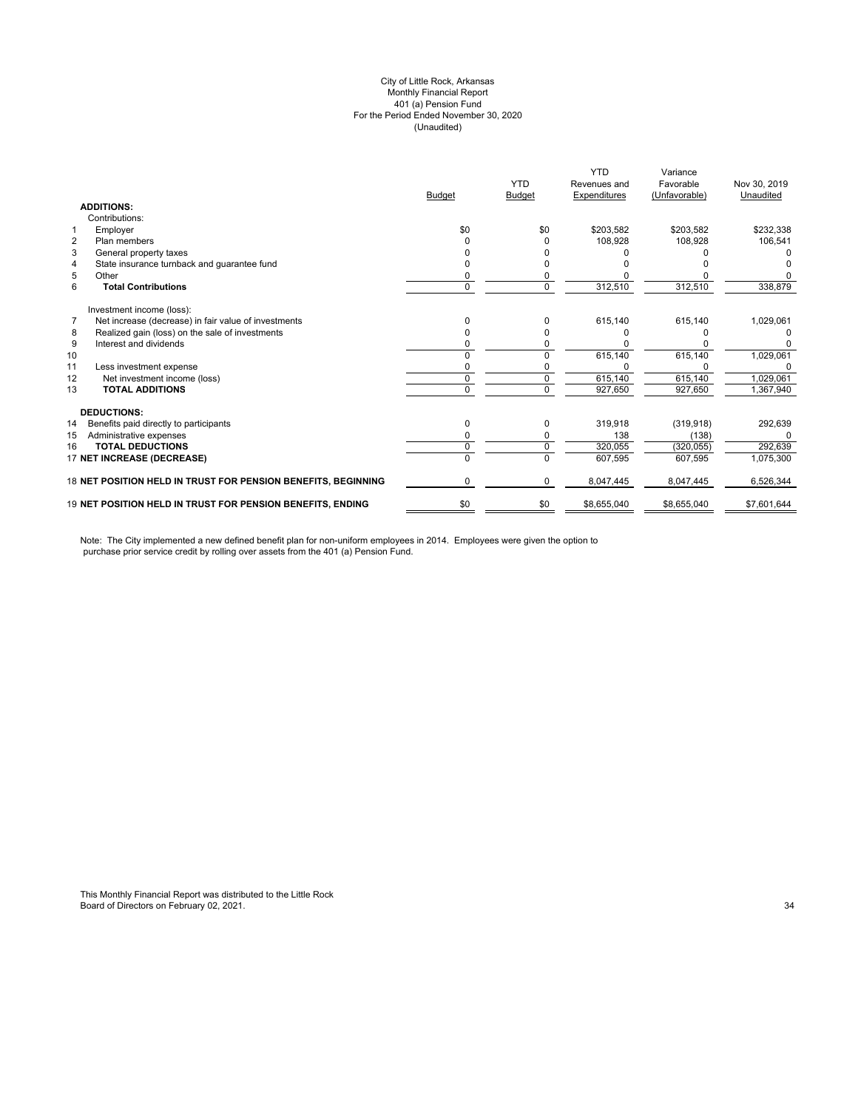#### (Unaudited) City of Little Rock, Arkansas Monthly Financial Report 401 (a) Pension Fund For the Period Ended November 30, 2020

|                |                                                               |               |                | <b>YTD</b>   | Variance      |              |
|----------------|---------------------------------------------------------------|---------------|----------------|--------------|---------------|--------------|
|                |                                                               |               | <b>YTD</b>     | Revenues and | Favorable     | Nov 30, 2019 |
|                |                                                               | <b>Budget</b> | Budget         | Expenditures | (Unfavorable) | Unaudited    |
|                | <b>ADDITIONS:</b>                                             |               |                |              |               |              |
|                | Contributions:                                                |               |                |              |               |              |
| $\mathbf{1}$   | Employer                                                      | \$0           | \$0            | \$203,582    | \$203,582     | \$232,338    |
| $\overline{2}$ | Plan members                                                  | U             | O              | 108,928      | 108.928       | 106,541      |
| 3              | General property taxes                                        |               |                |              |               |              |
| 4              | State insurance turnback and guarantee fund                   | 0             |                |              |               |              |
| 5              | Other                                                         | n             |                |              |               |              |
| 6              | <b>Total Contributions</b>                                    | 0             | $\Omega$       | 312,510      | 312,510       | 338,879      |
|                | Investment income (loss):                                     |               |                |              |               |              |
| $\overline{7}$ | Net increase (decrease) in fair value of investments          | n             | $\Omega$       | 615,140      | 615,140       | 1,029,061    |
| 8              | Realized gain (loss) on the sale of investments               | n             | O              |              |               |              |
| 9              | Interest and dividends                                        |               |                |              |               |              |
| 10             |                                                               | n             |                | 615,140      | 615,140       | 1,029,061    |
| 11             | Less investment expense                                       |               |                |              |               |              |
| 12             | Net investment income (loss)                                  | O             | $\Omega$       | 615,140      | 615,140       | 1,029,061    |
| 13             | <b>TOTAL ADDITIONS</b>                                        | n             | $\overline{0}$ | 927,650      | 927,650       | 1,367,940    |
|                | <b>DEDUCTIONS:</b>                                            |               |                |              |               |              |
| 14             | Benefits paid directly to participants                        | 0             | 0              | 319,918      | (319, 918)    | 292,639      |
| 15             | Administrative expenses                                       |               |                | 138          | (138)         |              |
| 16             | <b>TOTAL DEDUCTIONS</b>                                       | 0             | 0              | 320,055      | (320, 055)    | 292,639      |
|                | 17 NET INCREASE (DECREASE)                                    | 0             | $\Omega$       | 607,595      | 607.595       | 1,075,300    |
|                | 18 NET POSITION HELD IN TRUST FOR PENSION BENEFITS, BEGINNING | 0             | 0              | 8,047,445    | 8,047,445     | 6,526,344    |
|                | 19 NET POSITION HELD IN TRUST FOR PENSION BENEFITS, ENDING    | \$0           | \$0            | \$8,655,040  | \$8,655,040   | \$7,601,644  |

Note: The City implemented a new defined benefit plan for non-uniform employees in 2014. Employees were given the option to purchase prior service credit by rolling over assets from the 401 (a) Pension Fund.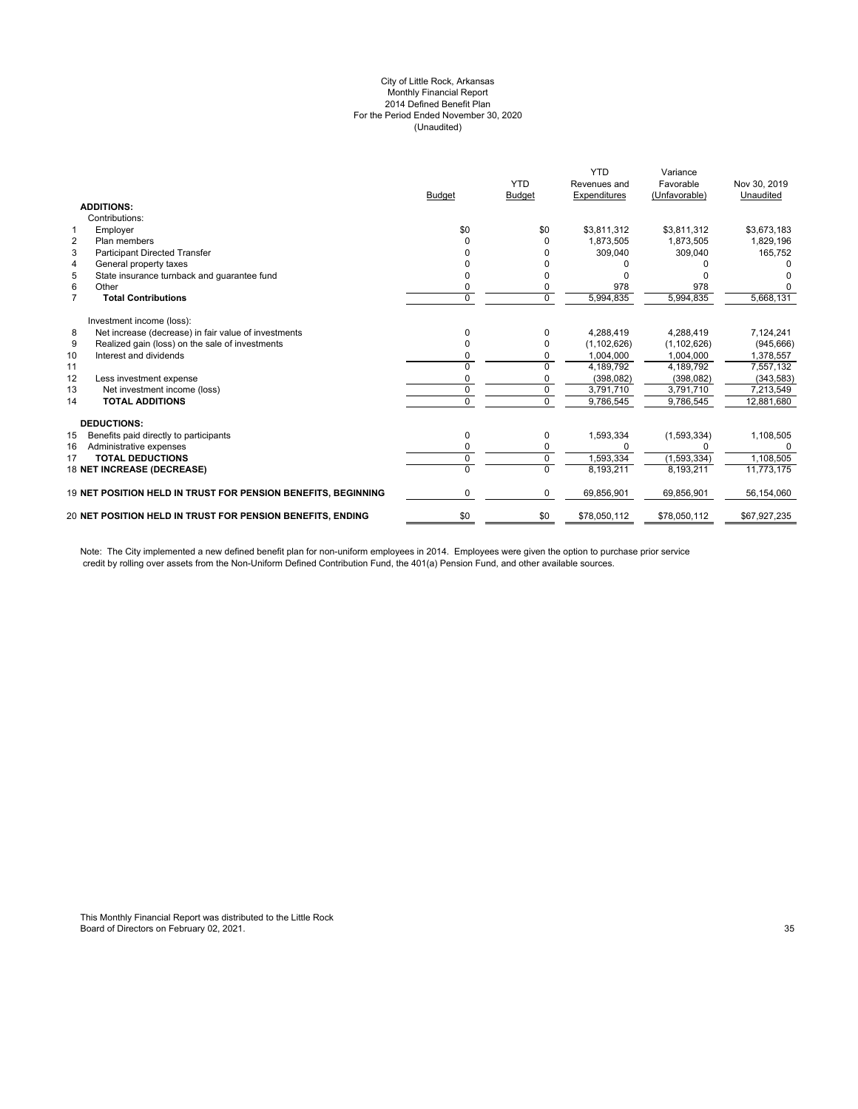#### City of Little Rock, Arkansas Monthly Financial Report 2014 Defined Benefit Plan For the Period Ended November 30, 2020 (Unaudited)

|                |                                                               | <b>Budget</b> | <b>YTD</b><br><b>Budget</b> | <b>YTD</b><br>Revenues and<br>Expenditures | Variance<br>Favorable<br>(Unfavorable) | Nov 30, 2019<br>Unaudited |
|----------------|---------------------------------------------------------------|---------------|-----------------------------|--------------------------------------------|----------------------------------------|---------------------------|
|                | <b>ADDITIONS:</b>                                             |               |                             |                                            |                                        |                           |
|                | Contributions:                                                |               |                             |                                            |                                        |                           |
| $\mathbf{1}$   | Employer                                                      | \$0           | \$0                         | \$3,811,312                                | \$3,811,312                            | \$3,673,183               |
| $\overline{2}$ | Plan members                                                  | n             | $\Omega$                    | 1,873,505                                  | 1,873,505                              | 1,829,196                 |
| 3              | <b>Participant Directed Transfer</b>                          |               |                             | 309,040                                    | 309,040                                | 165,752                   |
| 4              | General property taxes                                        |               |                             |                                            |                                        |                           |
| 5              | State insurance turnback and quarantee fund                   |               |                             |                                            |                                        |                           |
| 6              | Other                                                         | 0             | 0                           | 978                                        | 978                                    |                           |
| $\overline{7}$ | <b>Total Contributions</b>                                    | 0             | $\Omega$                    | 5,994,835                                  | 5,994,835                              | 5,668,131                 |
|                | Investment income (loss):                                     |               |                             |                                            |                                        |                           |
| 8              | Net increase (decrease) in fair value of investments          | 0             | $\Omega$                    | 4,288,419                                  | 4,288,419                              | 7,124,241                 |
| 9              | Realized gain (loss) on the sale of investments               |               | $\Omega$                    | (1, 102, 626)                              | (1, 102, 626)                          | (945, 666)                |
| 10             | Interest and dividends                                        |               | $\Omega$                    | 1,004,000                                  | 1,004,000                              | 1,378,557                 |
| 11             |                                                               |               | $\Omega$                    | 4,189,792                                  | 4.189.792                              | 7,557,132                 |
| 12             | Less investment expense                                       |               |                             | (398, 082)                                 | (398, 082)                             | (343, 583)                |
| 13             | Net investment income (loss)                                  | $\Omega$      | $\Omega$                    | 3,791,710                                  | 3,791,710                              | 7,213,549                 |
| 14             | <b>TOTAL ADDITIONS</b>                                        | U             | $\Omega$                    | 9,786,545                                  | 9,786,545                              | 12,881,680                |
|                | <b>DEDUCTIONS:</b>                                            |               |                             |                                            |                                        |                           |
| 15             | Benefits paid directly to participants                        | 0             | 0                           | 1,593,334                                  | (1,593,334)                            | 1,108,505                 |
| 16             | Administrative expenses                                       | O             | 0                           |                                            | n                                      |                           |
| 17             | <b>TOTAL DEDUCTIONS</b>                                       | 0             | $\mathbf 0$                 | 1.593.334                                  | (1,593,334)                            | 1,108,505                 |
|                | 18 NET INCREASE (DECREASE)                                    |               | $\Omega$                    | 8,193,211                                  | 8.193.211                              | 11,773,175                |
|                | 19 NET POSITION HELD IN TRUST FOR PENSION BENEFITS, BEGINNING | 0             | $\mathbf 0$                 | 69,856,901                                 | 69,856,901                             | 56,154,060                |
|                | 20 NET POSITION HELD IN TRUST FOR PENSION BENEFITS, ENDING    | \$0           | \$0                         | \$78,050,112                               | \$78,050,112                           | \$67,927,235              |
|                |                                                               |               |                             |                                            |                                        |                           |

Note: The City implemented a new defined benefit plan for non-uniform employees in 2014. Employees were given the option to purchase prior service credit by rolling over assets from the Non-Uniform Defined Contribution Fund, the 401(a) Pension Fund, and other available sources.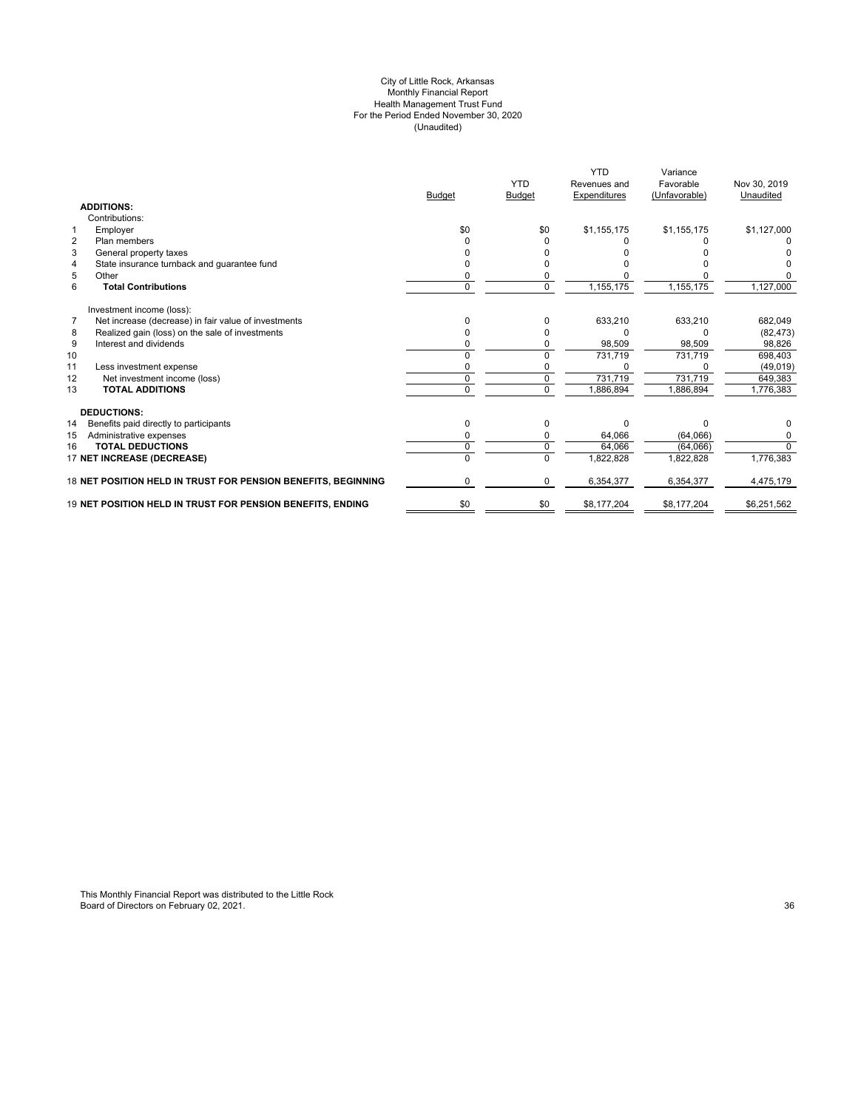#### City of Little Rock, Arkansas Monthly Financial Report Health Management Trust Fund For the Period Ended November 30, 2020 (Unaudited)

|                                                                        | <b>Budget</b> | <b>YTD</b><br><b>Budget</b> | <b>YTD</b><br>Revenues and<br>Expenditures | Variance<br>Favorable<br>(Unfavorable) | Nov 30, 2019<br>Unaudited |
|------------------------------------------------------------------------|---------------|-----------------------------|--------------------------------------------|----------------------------------------|---------------------------|
| <b>ADDITIONS:</b>                                                      |               |                             |                                            |                                        |                           |
| Contributions:                                                         |               |                             |                                            |                                        |                           |
| $\mathbf{1}$<br>Employer                                               | \$0           | \$0                         | \$1,155,175                                | \$1,155,175                            | \$1,127,000               |
| $\overline{2}$<br>Plan members                                         |               |                             |                                            |                                        |                           |
| 3<br>General property taxes                                            |               |                             |                                            |                                        |                           |
| State insurance turnback and guarantee fund<br>4                       |               |                             |                                            |                                        |                           |
| 5<br>Other                                                             |               |                             |                                            |                                        |                           |
| 6<br><b>Total Contributions</b>                                        | 0             | $\Omega$                    | 1,155,175                                  | 1,155,175                              | 1,127,000                 |
| Investment income (loss):                                              |               |                             |                                            |                                        |                           |
| $\overline{7}$<br>Net increase (decrease) in fair value of investments | ŋ             |                             | 633,210                                    | 633,210                                | 682,049                   |
| Realized gain (loss) on the sale of investments<br>8                   |               |                             |                                            |                                        | (82, 473)                 |
| 9<br>Interest and dividends                                            |               |                             | 98,509                                     | 98,509                                 | 98,826                    |
| 10                                                                     | ŋ             |                             | 731,719                                    | 731,719                                | 698,403                   |
| 11<br>Less investment expense                                          |               |                             |                                            |                                        | (49, 019)                 |
| 12<br>Net investment income (loss)                                     | O             | $\Omega$                    | 731,719                                    | 731,719                                | 649,383                   |
| <b>TOTAL ADDITIONS</b><br>13                                           | 0             | $\Omega$                    | 1,886,894                                  | 1,886,894                              | 1,776,383                 |
| <b>DEDUCTIONS:</b>                                                     |               |                             |                                            |                                        |                           |
| 14<br>Benefits paid directly to participants                           | 0             | O                           | $\Omega$                                   | U                                      | 0                         |
| 15<br>Administrative expenses                                          |               |                             | 64,066                                     | (64,066)                               | 0                         |
| <b>TOTAL DEDUCTIONS</b><br>16                                          | 0             |                             | 64.066                                     | (64,066)                               | $\Omega$                  |
| 17 NET INCREASE (DECREASE)                                             |               |                             | 1,822,828                                  | 1,822,828                              | 1,776,383                 |
| 18 NET POSITION HELD IN TRUST FOR PENSION BENEFITS, BEGINNING          | 0             | $\Omega$                    | 6,354,377                                  | 6,354,377                              | 4,475,179                 |
| 19 NET POSITION HELD IN TRUST FOR PENSION BENEFITS, ENDING             | \$0           | \$0                         | \$8,177,204                                | \$8,177,204                            | \$6,251,562               |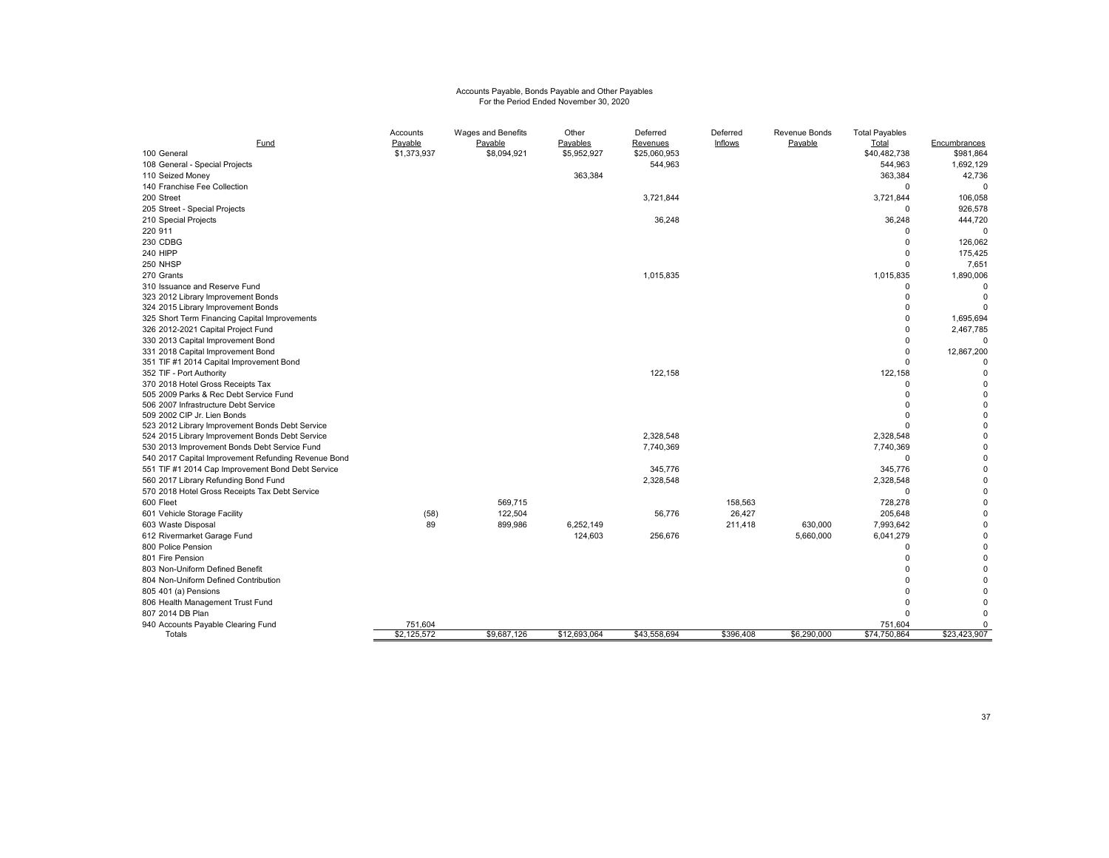# Accounts Payable, Bonds Payable and Other Payables For the Period Ended November 30, 2020

| Fund                                                                | Accounts<br>Payable | Wages and Benefits<br>Payable | Other<br>Payables | Deferred<br>Revenues | Deferred<br>Inflows | Revenue Bonds<br>Payable | <b>Total Payables</b><br>Total | Encumbrances     |
|---------------------------------------------------------------------|---------------------|-------------------------------|-------------------|----------------------|---------------------|--------------------------|--------------------------------|------------------|
| 100 General                                                         | \$1,373,937         | \$8,094,921                   | \$5,952,927       | \$25,060,953         |                     |                          | \$40,482,738                   | \$981,864        |
| 108 General - Special Projects                                      |                     |                               |                   | 544,963              |                     |                          | 544,963                        | 1,692,129        |
| 110 Seized Money                                                    |                     |                               | 363,384           |                      |                     |                          | 363,384                        | 42,736           |
| 140 Franchise Fee Collection                                        |                     |                               |                   |                      |                     |                          | $\overline{0}$                 | $\mathbf 0$      |
| 200 Street                                                          |                     |                               |                   | 3,721,844            |                     |                          | 3,721,844                      | 106,058          |
| 205 Street - Special Projects                                       |                     |                               |                   |                      |                     |                          | $\mathbf 0$                    | 926,578          |
| 210 Special Projects                                                |                     |                               |                   | 36,248               |                     |                          | 36,248                         | 444,720          |
| 220 911                                                             |                     |                               |                   |                      |                     |                          | $\mathbf 0$                    | $\Omega$         |
| 230 CDBG                                                            |                     |                               |                   |                      |                     |                          | $\Omega$                       | 126,062          |
| <b>240 HIPP</b>                                                     |                     |                               |                   |                      |                     |                          | $\Omega$                       | 175,425          |
| 250 NHSP                                                            |                     |                               |                   |                      |                     |                          | $\Omega$                       | 7,651            |
| 270 Grants                                                          |                     |                               |                   | 1,015,835            |                     |                          | 1,015,835                      | 1,890,006        |
| 310 Issuance and Reserve Fund                                       |                     |                               |                   |                      |                     |                          | $\mathbf 0$                    |                  |
| 323 2012 Library Improvement Bonds                                  |                     |                               |                   |                      |                     |                          | $\Omega$                       | $\mathbf 0$      |
| 324 2015 Library Improvement Bonds                                  |                     |                               |                   |                      |                     |                          | $\Omega$                       |                  |
| 325 Short Term Financing Capital Improvements                       |                     |                               |                   |                      |                     |                          | $\Omega$                       | 1,695,694        |
| 326 2012-2021 Capital Project Fund                                  |                     |                               |                   |                      |                     |                          | $\Omega$                       | 2,467,785        |
| 330 2013 Capital Improvement Bond                                   |                     |                               |                   |                      |                     |                          | $\Omega$                       |                  |
| 331 2018 Capital Improvement Bond                                   |                     |                               |                   |                      |                     |                          | $\Omega$                       | 12,867,200       |
| 351 TIF #1 2014 Capital Improvement Bond                            |                     |                               |                   |                      |                     |                          | $\Omega$                       |                  |
| 352 TIF - Port Authority                                            |                     |                               |                   | 122,158              |                     |                          | 122,158                        | $\Omega$         |
| 370 2018 Hotel Gross Receipts Tax                                   |                     |                               |                   |                      |                     |                          | $\Omega$                       | $\Omega$         |
| 505 2009 Parks & Rec Debt Service Fund                              |                     |                               |                   |                      |                     |                          | $\Omega$                       | $\Omega$         |
| 506 2007 Infrastructure Debt Service<br>509 2002 CIP Jr. Lien Bonds |                     |                               |                   |                      |                     |                          | $\Omega$<br>$\Omega$           | $\mathbf 0$<br>0 |
| 523 2012 Library Improvement Bonds Debt Service                     |                     |                               |                   |                      |                     |                          | $\Omega$                       | $\mathbf 0$      |
| 524 2015 Library Improvement Bonds Debt Service                     |                     |                               |                   | 2,328,548            |                     |                          | 2,328,548                      | $\mathbf 0$      |
| 530 2013 Improvement Bonds Debt Service Fund                        |                     |                               |                   | 7,740,369            |                     |                          | 7,740,369                      | $\mathbf 0$      |
| 540 2017 Capital Improvement Refunding Revenue Bond                 |                     |                               |                   |                      |                     |                          | $\Omega$                       | $\Omega$         |
| 551 TIF #1 2014 Cap Improvement Bond Debt Service                   |                     |                               |                   | 345,776              |                     |                          | 345,776                        | $\Omega$         |
| 560 2017 Library Refunding Bond Fund                                |                     |                               |                   | 2,328,548            |                     |                          | 2,328,548                      | $\mathbf 0$      |
| 570 2018 Hotel Gross Receipts Tax Debt Service                      |                     |                               |                   |                      |                     |                          | $\Omega$                       | $\mathbf 0$      |
| 600 Fleet                                                           |                     | 569,715                       |                   |                      | 158,563             |                          | 728,278                        | $\mathbf 0$      |
| 601 Vehicle Storage Facility                                        | (58)                | 122,504                       |                   | 56,776               | 26,427              |                          | 205,648                        | $\mathbf 0$      |
| 603 Waste Disposal                                                  | 89                  | 899,986                       | 6,252,149         |                      | 211,418             | 630,000                  | 7,993,642                      | $\Omega$         |
| 612 Rivermarket Garage Fund                                         |                     |                               | 124,603           | 256,676              |                     | 5,660,000                | 6,041,279                      | $\mathbf 0$      |
| 800 Police Pension                                                  |                     |                               |                   |                      |                     |                          | $\Omega$                       | $\mathbf 0$      |
| 801 Fire Pension                                                    |                     |                               |                   |                      |                     |                          | $\Omega$                       | $\Omega$         |
| 803 Non-Uniform Defined Benefit                                     |                     |                               |                   |                      |                     |                          | $\Omega$                       | $\Omega$         |
| 804 Non-Uniform Defined Contribution                                |                     |                               |                   |                      |                     |                          | $\Omega$                       | $\Omega$         |
| 805 401 (a) Pensions                                                |                     |                               |                   |                      |                     |                          |                                | $\Omega$         |
| 806 Health Management Trust Fund                                    |                     |                               |                   |                      |                     |                          | $\Omega$                       | $\Omega$         |
| 807 2014 DB Plan                                                    |                     |                               |                   |                      |                     |                          | $\Omega$                       | $\Omega$         |
| 940 Accounts Payable Clearing Fund                                  | 751,604             |                               |                   |                      |                     |                          | 751,604                        | 0                |
| Totals                                                              | \$2,125,572         | \$9,687,126                   | \$12,693,064      | \$43,558,694         | \$396.408           | \$6,290,000              | \$74,750,864                   | \$23,423,907     |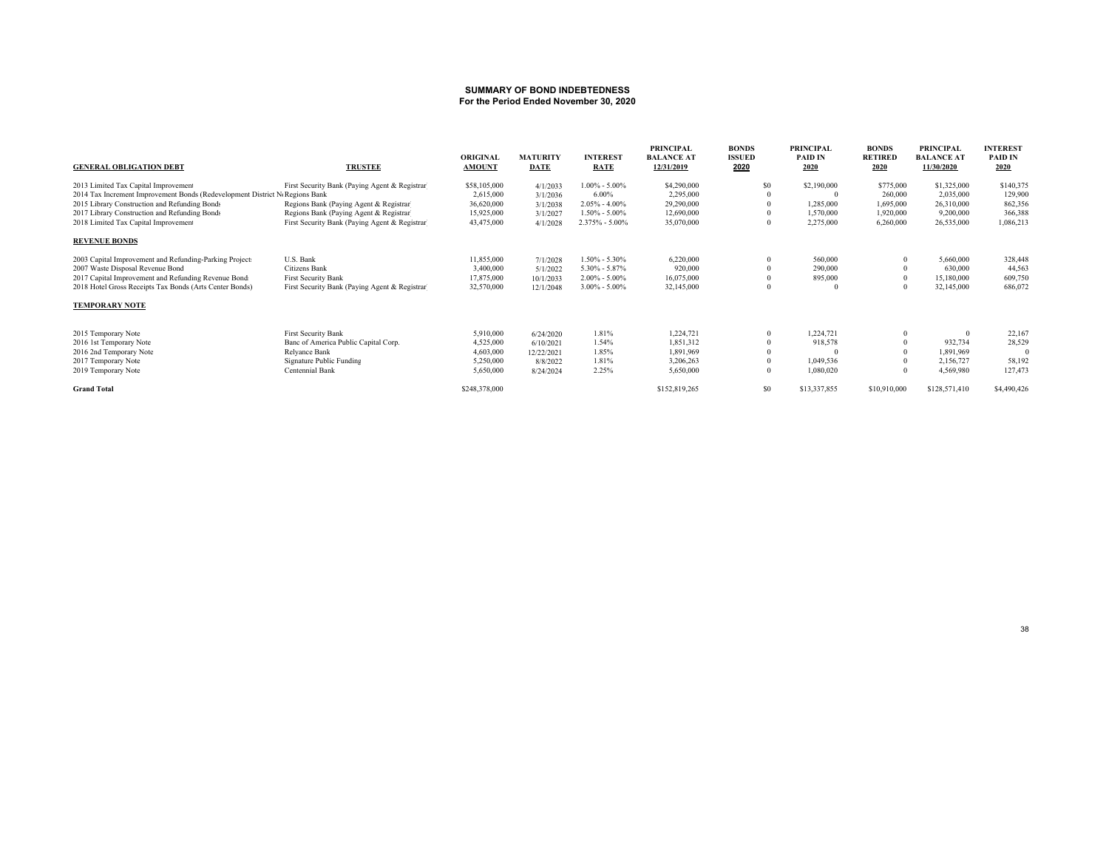#### **SUMMARY OF BOND INDEBTEDNESSFor the Period Ended November 30, 2020**

| <b>GENERAL OBLIGATION DEBT</b>                                              | <b>TRUSTEE</b>                                 | ORIGINAL<br><b>AMOUNT</b> | <b>MATURITY</b><br><b>DATE</b> | <b>INTEREST</b><br><b>RATE</b> | <b>PRINCIPAL</b><br><b>BALANCE AT</b><br>12/31/2019 | <b>BONDS</b><br><b>ISSUED</b><br>2020 | <b>PRINCIPAL</b><br><b>PAID IN</b><br>2020 | <b>BONDS</b><br><b>RETIRED</b><br>2020 | <b>PRINCIPAL</b><br><b>BALANCE AT</b><br>11/30/2020 | <b>INTEREST</b><br>PAID IN<br>2020 |
|-----------------------------------------------------------------------------|------------------------------------------------|---------------------------|--------------------------------|--------------------------------|-----------------------------------------------------|---------------------------------------|--------------------------------------------|----------------------------------------|-----------------------------------------------------|------------------------------------|
| 2013 Limited Tax Capital Improvement                                        | First Security Bank (Paying Agent & Registrar) | \$58,105,000              | 4/1/2033                       | $1.00\% - 5.00\%$              | \$4,290,000                                         | S <sub>0</sub>                        | \$2,190,000                                | \$775,000                              | \$1,325,000                                         | \$140,375                          |
| 2014 Tax Increment Improvement Bonds (Redevelopment District NoRegions Bank |                                                | 2,615,000                 | 3/1/2036                       | 6.00%                          | 2,295,000                                           |                                       |                                            | 260,000                                | 2,035,000                                           | 129,900                            |
| 2015 Library Construction and Refunding Bonds                               | Regions Bank (Paying Agent & Registrar)        | 36,620,000                | 3/1/2038                       | $2.05\% - 4.00\%$              | 29,290,000                                          |                                       | 1,285,000                                  | 1,695,000                              | 26,310,000                                          | 862,356                            |
| 2017 Library Construction and Refunding Bonds                               | Regions Bank (Paying Agent & Registrar)        | 15,925,000                | 3/1/2027                       | $1.50\% - 5.00\%$              | 12,690,000                                          |                                       | 1.570.000                                  | 1,920,000                              | 9.200.000                                           | 366,388                            |
| 2018 Limited Tax Capital Improvement                                        | First Security Bank (Paying Agent & Registrar) | 43,475,000                | 4/1/2028                       | 2.375% - 5.00%                 | 35,070,000                                          |                                       | 2,275,000                                  | 6,260,000                              | 26,535,000                                          | 1,086,213                          |
| <b>REVENUE BONDS</b>                                                        |                                                |                           |                                |                                |                                                     |                                       |                                            |                                        |                                                     |                                    |
| 2003 Capital Improvement and Refunding-Parking Project:                     | U.S. Bank                                      | 11,855,000                | 7/1/2028                       | $1.50\% - 5.30\%$              | 6,220,000                                           |                                       | 560,000                                    |                                        | 5,660,000                                           | 328,448                            |
| 2007 Waste Disposal Revenue Bond                                            | Citizens Bank                                  | 3,400,000                 | 5/1/2022                       | $5.30\% - 5.87\%$              | 920,000                                             |                                       | 290,000                                    |                                        | 630,000                                             | 44,563                             |
| 2017 Capital Improvement and Refunding Revenue Bond:                        | <b>First Security Bank</b>                     | 17,875,000                | 10/1/2033                      | $2.00\% - 5.00\%$              | 16,075,000                                          |                                       | 895,000                                    |                                        | 15,180,000                                          | 609,750                            |
| 2018 Hotel Gross Receipts Tax Bonds (Arts Center Bonds)                     | First Security Bank (Paying Agent & Registrar) | 32,570,000                | 12/1/2048                      | $3.00\% - 5.00\%$              | 32,145,000                                          |                                       |                                            |                                        | 32,145,000                                          | 686,072                            |
| <b>TEMPORARY NOTE</b>                                                       |                                                |                           |                                |                                |                                                     |                                       |                                            |                                        |                                                     |                                    |
| 2015 Temporary Note                                                         | First Security Bank                            | 5,910,000                 | 6/24/2020                      | 1.81%                          | 1,224,721                                           |                                       | 1,224,721                                  |                                        |                                                     | 22,167                             |
| 2016 1st Temporary Note                                                     | Banc of America Public Capital Corp.           | 4,525,000                 | 6/10/2021                      | 1.54%                          | 1,851,312                                           |                                       | 918,578                                    |                                        | 932,734                                             | 28,529                             |
| 2016 2nd Temporary Note                                                     | Relyance Bank                                  | 4,603,000                 | 12/22/2021                     | 1.85%                          | 1,891,969                                           |                                       |                                            |                                        | 1,891,969                                           | 0                                  |
| 2017 Temporary Note                                                         | Signature Public Funding                       | 5,250,000                 | 8/8/2022                       | 1.81%                          | 3,206,263                                           |                                       | 1,049,536                                  |                                        | 2,156,727                                           | 58,192                             |
| 2019 Temporary Note                                                         | Centennial Bank                                | 5,650,000                 | 8/24/2024                      | 2.25%                          | 5,650,000                                           | $\theta$                              | 1,080,020                                  |                                        | 4,569,980                                           | 127,473                            |
| <b>Grand Total</b>                                                          |                                                | \$248,378,000             |                                |                                | \$152,819,265                                       | S <sub>0</sub>                        | \$13,337,855                               | \$10,910,000                           | \$128,571,410                                       | \$4,490,426                        |